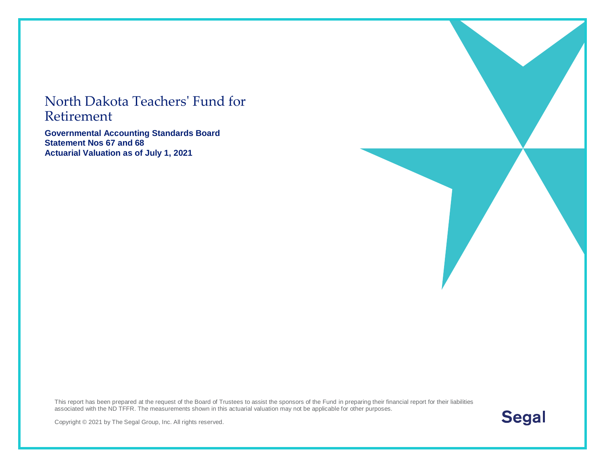#### North Dakota Teachers' Fund for Retirement

**Governmental Accounting Standards Board Statement Nos 67 and 68 Actuarial Valuation as of July 1, 2021**

This report has been prepared at the request of the Board of Trustees to assist the sponsors of the Fund in preparing their financial report for their liabilities associated with the ND TFFR. The measurements shown in this actuarial valuation may not be applicable for other purposes.



Copyright © 2021 by The Segal Group, Inc. All rights reserved.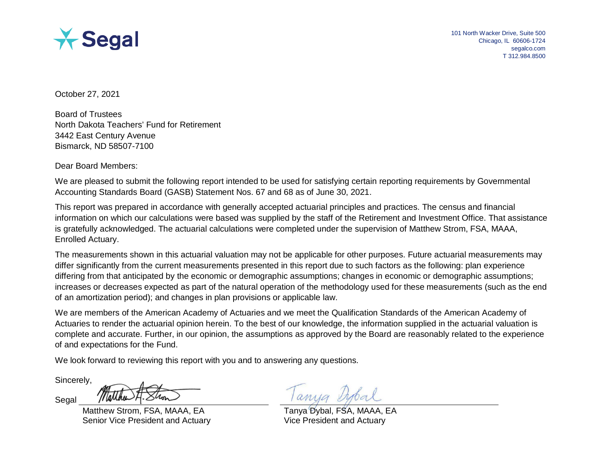

October 27, 2021

Board of Trustees North Dakota Teachers' Fund for Retirement 3442 East Century Avenue Bismarck, ND 58507-7100

Dear Board Members:

We are pleased to submit the following report intended to be used for satisfying certain reporting requirements by Governmental Accounting Standards Board (GASB) Statement Nos. 67 and 68 as of June 30, 2021.

This report was prepared in accordance with generally accepted actuarial principles and practices. The census and financial information on which our calculations were based was supplied by the staff of the Retirement and Investment Office. That assistance is gratefully acknowledged. The actuarial calculations were completed under the supervision of Matthew Strom, FSA, MAAA, Enrolled Actuary.

The measurements shown in this actuarial valuation may not be applicable for other purposes. Future actuarial measurements may differ significantly from the current measurements presented in this report due to such factors as the following: plan experience differing from that anticipated by the economic or demographic assumptions; changes in economic or demographic assumptions; increases or decreases expected as part of the natural operation of the methodology used for these measurements (such as the end of an amortization period); and changes in plan provisions or applicable law.

We are members of the American Academy of Actuaries and we meet the Qualification Standards of the American Academy of Actuaries to render the actuarial opinion herein. To the best of our knowledge, the information supplied in the actuarial valuation is complete and accurate. Further, in our opinion, the assumptions as approved by the Board are reasonably related to the experience of and expectations for the Fund.

We look forward to reviewing this report with you and to answering any questions.

Sincerely,

Segal

Matthew Strom, FSA, MAAA, EA Senior Vice President and Actuary

Tanya Dybal, FSA, MAAA, EA Vice President and Actuary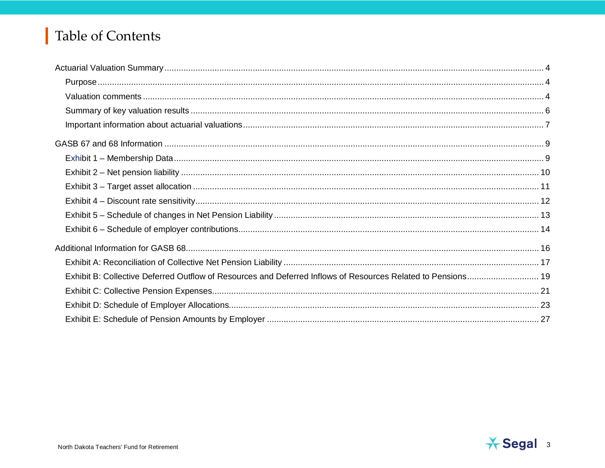# Table of Contents

| Exhibit B: Collective Deferred Outflow of Resources and Deferred Inflows of Resources Related to Pensions 19 |  |
|--------------------------------------------------------------------------------------------------------------|--|
|                                                                                                              |  |
|                                                                                                              |  |
|                                                                                                              |  |

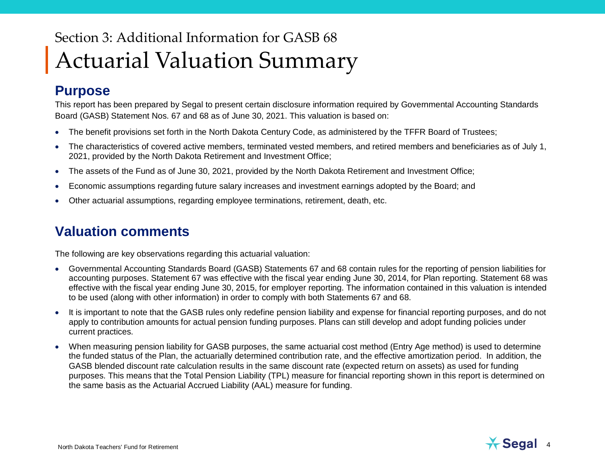# Section 3: Additional Information for GASB 68 Actuarial Valuation Summary

#### **Purpose**

This report has been prepared by Segal to present certain disclosure information required by Governmental Accounting Standards Board (GASB) Statement Nos. 67 and 68 as of June 30, 2021. This valuation is based on:

- The benefit provisions set forth in the North Dakota Century Code, as administered by the TFFR Board of Trustees;
- The characteristics of covered active members, terminated vested members, and retired members and beneficiaries as of July 1, 2021, provided by the North Dakota Retirement and Investment Office;
- The assets of the Fund as of June 30, 2021, provided by the North Dakota Retirement and Investment Office;
- Economic assumptions regarding future salary increases and investment earnings adopted by the Board; and
- Other actuarial assumptions, regarding employee terminations, retirement, death, etc.

#### **Valuation comments**

The following are key observations regarding this actuarial valuation:

- Governmental Accounting Standards Board (GASB) Statements 67 and 68 contain rules for the reporting of pension liabilities for accounting purposes. Statement 67 was effective with the fiscal year ending June 30, 2014, for Plan reporting. Statement 68 was effective with the fiscal year ending June 30, 2015, for employer reporting. The information contained in this valuation is intended to be used (along with other information) in order to comply with both Statements 67 and 68.
- It is important to note that the GASB rules only redefine pension liability and expense for financial reporting purposes, and do not apply to contribution amounts for actual pension funding purposes. Plans can still develop and adopt funding policies under current practices.
- When measuring pension liability for GASB purposes, the same actuarial cost method (Entry Age method) is used to determine the funded status of the Plan, the actuarially determined contribution rate, and the effective amortization period. In addition, the GASB blended discount rate calculation results in the same discount rate (expected return on assets) as used for funding purposes. This means that the Total Pension Liability (TPL) measure for financial reporting shown in this report is determined on the same basis as the Actuarial Accrued Liability (AAL) measure for funding.

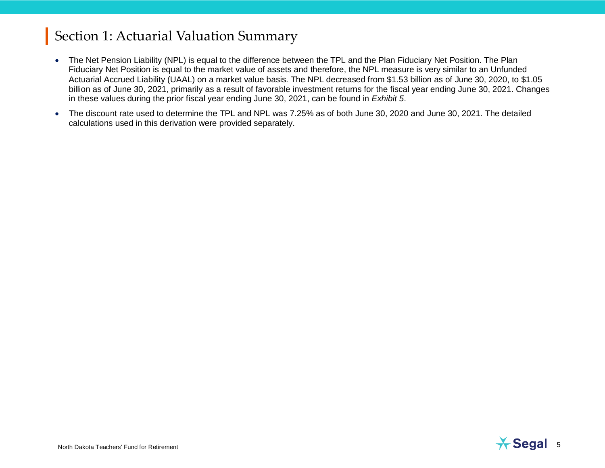- The Net Pension Liability (NPL) is equal to the difference between the TPL and the Plan Fiduciary Net Position. The Plan Fiduciary Net Position is equal to the market value of assets and therefore, the NPL measure is very similar to an Unfunded Actuarial Accrued Liability (UAAL) on a market value basis. The NPL decreased from \$1.53 billion as of June 30, 2020, to \$1.05 billion as of June 30, 2021, primarily as a result of favorable investment returns for the fiscal year ending June 30, 2021. Changes in these values during the prior fiscal year ending June 30, 2021, can be found in *Exhibit 5*.
- The discount rate used to determine the TPL and NPL was 7.25% as of both June 30, 2020 and June 30, 2021. The detailed calculations used in this derivation were provided separately.

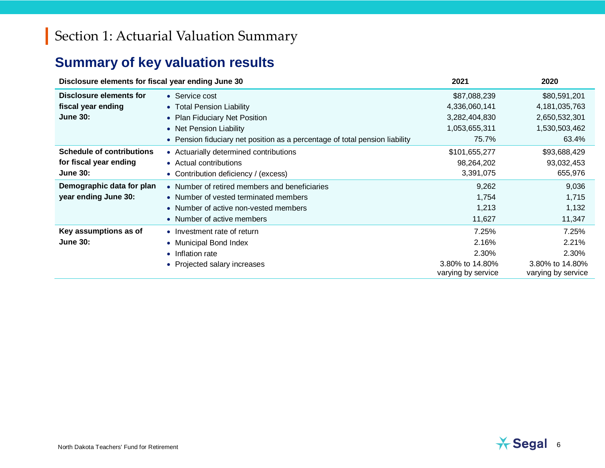# **Summary of key valuation results**

| Disclosure elements for fiscal year ending June 30 | 2021                                                                        | 2020                                  |                                       |
|----------------------------------------------------|-----------------------------------------------------------------------------|---------------------------------------|---------------------------------------|
| Disclosure elements for                            | • Service cost                                                              | \$87,088,239                          | \$80,591,201                          |
| fiscal year ending                                 | • Total Pension Liability                                                   | 4,336,060,141                         | 4,181,035,763                         |
| <b>June 30:</b>                                    | • Plan Fiduciary Net Position                                               | 3,282,404,830                         | 2,650,532,301                         |
|                                                    | • Net Pension Liability                                                     | 1,053,655,311                         | 1,530,503,462                         |
|                                                    | • Pension fiduciary net position as a percentage of total pension liability | 75.7%                                 | 63.4%                                 |
| <b>Schedule of contributions</b>                   | • Actuarially determined contributions                                      | \$101,655,277                         | \$93,688,429                          |
| for fiscal year ending                             | • Actual contributions                                                      | 98,264,202                            | 93,032,453                            |
| <b>June 30:</b>                                    | • Contribution deficiency / (excess)                                        | 3,391,075                             | 655,976                               |
| Demographic data for plan                          | • Number of retired members and beneficiaries                               | 9,262                                 | 9,036                                 |
| year ending June 30:                               | • Number of vested terminated members                                       | 1,754                                 | 1,715                                 |
|                                                    | • Number of active non-vested members                                       | 1,213                                 | 1,132                                 |
|                                                    | • Number of active members                                                  | 11,627                                | 11,347                                |
| Key assumptions as of                              | • Investment rate of return                                                 | 7.25%                                 | 7.25%                                 |
| <b>June 30:</b>                                    | • Municipal Bond Index                                                      | 2.16%                                 | 2.21%                                 |
|                                                    | • Inflation rate                                                            | 2.30%                                 | 2.30%                                 |
|                                                    | • Projected salary increases                                                | 3.80% to 14.80%<br>varying by service | 3.80% to 14.80%<br>varying by service |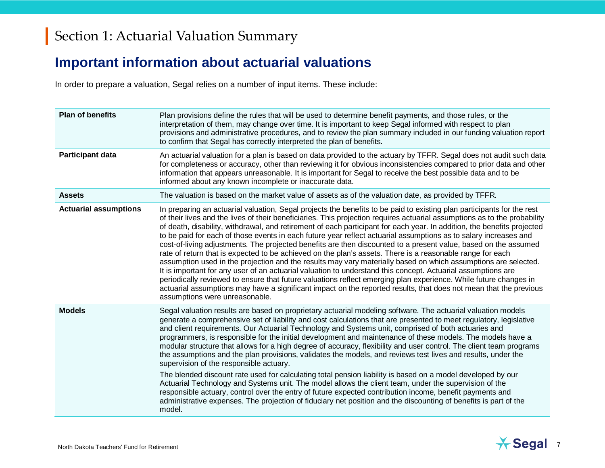### **Important information about actuarial valuations**

In order to prepare a valuation, Segal relies on a number of input items. These include:

| <b>Plan of benefits</b>      | Plan provisions define the rules that will be used to determine benefit payments, and those rules, or the<br>interpretation of them, may change over time. It is important to keep Segal informed with respect to plan<br>provisions and administrative procedures, and to review the plan summary included in our funding valuation report<br>to confirm that Segal has correctly interpreted the plan of benefits.                                                                                                                                                                                                                                                                                                                                                                                                                                                                                                                                                                                                                                                                                                                                                                                                                            |
|------------------------------|-------------------------------------------------------------------------------------------------------------------------------------------------------------------------------------------------------------------------------------------------------------------------------------------------------------------------------------------------------------------------------------------------------------------------------------------------------------------------------------------------------------------------------------------------------------------------------------------------------------------------------------------------------------------------------------------------------------------------------------------------------------------------------------------------------------------------------------------------------------------------------------------------------------------------------------------------------------------------------------------------------------------------------------------------------------------------------------------------------------------------------------------------------------------------------------------------------------------------------------------------|
| <b>Participant data</b>      | An actuarial valuation for a plan is based on data provided to the actuary by TFFR. Segal does not audit such data<br>for completeness or accuracy, other than reviewing it for obvious inconsistencies compared to prior data and other<br>information that appears unreasonable. It is important for Segal to receive the best possible data and to be<br>informed about any known incomplete or inaccurate data.                                                                                                                                                                                                                                                                                                                                                                                                                                                                                                                                                                                                                                                                                                                                                                                                                             |
| <b>Assets</b>                | The valuation is based on the market value of assets as of the valuation date, as provided by TFFR.                                                                                                                                                                                                                                                                                                                                                                                                                                                                                                                                                                                                                                                                                                                                                                                                                                                                                                                                                                                                                                                                                                                                             |
| <b>Actuarial assumptions</b> | In preparing an actuarial valuation, Segal projects the benefits to be paid to existing plan participants for the rest<br>of their lives and the lives of their beneficiaries. This projection requires actuarial assumptions as to the probability<br>of death, disability, withdrawal, and retirement of each participant for each year. In addition, the benefits projected<br>to be paid for each of those events in each future year reflect actuarial assumptions as to salary increases and<br>cost-of-living adjustments. The projected benefits are then discounted to a present value, based on the assumed<br>rate of return that is expected to be achieved on the plan's assets. There is a reasonable range for each<br>assumption used in the projection and the results may vary materially based on which assumptions are selected.<br>It is important for any user of an actuarial valuation to understand this concept. Actuarial assumptions are<br>periodically reviewed to ensure that future valuations reflect emerging plan experience. While future changes in<br>actuarial assumptions may have a significant impact on the reported results, that does not mean that the previous<br>assumptions were unreasonable. |
| <b>Models</b>                | Segal valuation results are based on proprietary actuarial modeling software. The actuarial valuation models<br>generate a comprehensive set of liability and cost calculations that are presented to meet regulatory, legislative<br>and client requirements. Our Actuarial Technology and Systems unit, comprised of both actuaries and<br>programmers, is responsible for the initial development and maintenance of these models. The models have a<br>modular structure that allows for a high degree of accuracy, flexibility and user control. The client team programs<br>the assumptions and the plan provisions, validates the models, and reviews test lives and results, under the<br>supervision of the responsible actuary.<br>The blended discount rate used for calculating total pension liability is based on a model developed by our<br>Actuarial Technology and Systems unit. The model allows the client team, under the supervision of the<br>responsible actuary, control over the entry of future expected contribution income, benefit payments and<br>administrative expenses. The projection of fiduciary net position and the discounting of benefits is part of the<br>model.                                     |

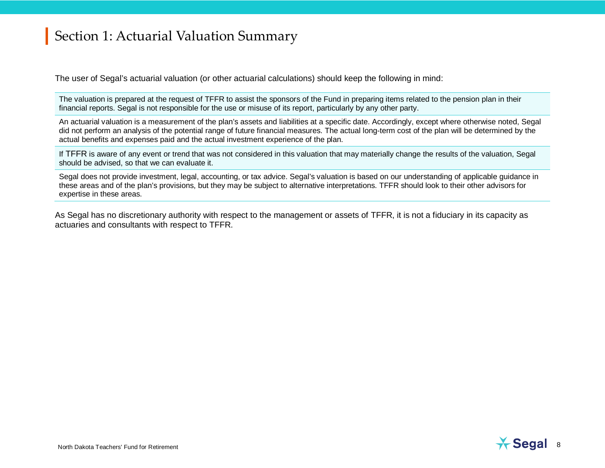The user of Segal's actuarial valuation (or other actuarial calculations) should keep the following in mind:

The valuation is prepared at the request of TFFR to assist the sponsors of the Fund in preparing items related to the pension plan in their financial reports. Segal is not responsible for the use or misuse of its report, particularly by any other party.

An actuarial valuation is a measurement of the plan's assets and liabilities at a specific date. Accordingly, except where otherwise noted, Segal did not perform an analysis of the potential range of future financial measures. The actual long-term cost of the plan will be determined by the actual benefits and expenses paid and the actual investment experience of the plan.

If TFFR is aware of any event or trend that was not considered in this valuation that may materially change the results of the valuation, Segal should be advised, so that we can evaluate it.

Segal does not provide investment, legal, accounting, or tax advice. Segal's valuation is based on our understanding of applicable guidance in these areas and of the plan's provisions, but they may be subject to alternative interpretations. TFFR should look to their other advisors for expertise in these areas.

As Segal has no discretionary authority with respect to the management or assets of TFFR, it is not a fiduciary in its capacity as actuaries and consultants with respect to TFFR.

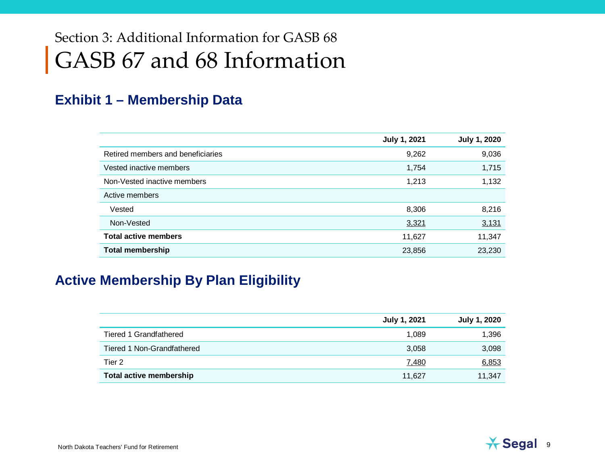# Section 3: Additional Information for GASB 68 GASB 67 and 68 Information

#### **Exhibit 1 – Membership Data**

|                                   | <b>July 1, 2021</b> | <b>July 1, 2020</b> |
|-----------------------------------|---------------------|---------------------|
| Retired members and beneficiaries | 9,262               | 9,036               |
| Vested inactive members           | 1,754               | 1,715               |
| Non-Vested inactive members       | 1,213               | 1,132               |
| Active members                    |                     |                     |
| Vested                            | 8,306               | 8,216               |
| Non-Vested                        | 3,321               | 3,131               |
| <b>Total active members</b>       | 11,627              | 11,347              |
| <b>Total membership</b>           | 23,856              | 23,230              |

#### **Active Membership By Plan Eligibility**

|                                | July 1, 2021 | <b>July 1, 2020</b> |
|--------------------------------|--------------|---------------------|
| <b>Tiered 1 Grandfathered</b>  | 1,089        | 1,396               |
| Tiered 1 Non-Grandfathered     | 3,058        | 3,098               |
| Tier <sub>2</sub>              | 7,480        | 6,853               |
| <b>Total active membership</b> | 11,627       | 11,347              |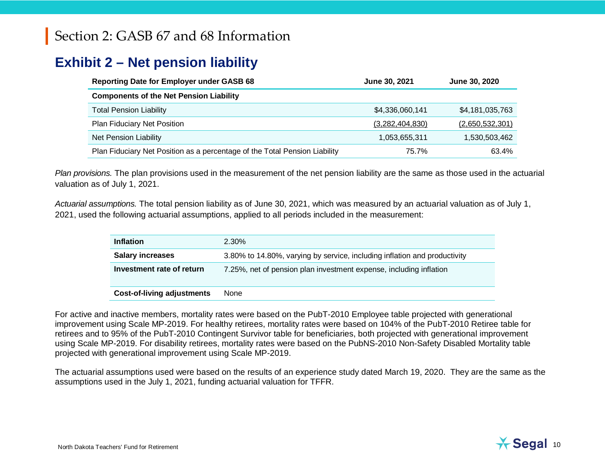#### **Exhibit 2 – Net pension liability**

| <b>Reporting Date for Employer under GASB 68</b>                           | June 30, 2021   | June 30, 2020   |
|----------------------------------------------------------------------------|-----------------|-----------------|
| <b>Components of the Net Pension Liability</b>                             |                 |                 |
| <b>Total Pension Liability</b>                                             | \$4,336,060,141 | \$4,181,035,763 |
| Plan Fiduciary Net Position                                                | (3,282,404,830) | (2,650,532,301) |
| Net Pension Liability                                                      | 1,053,655,311   | 1,530,503,462   |
| Plan Fiduciary Net Position as a percentage of the Total Pension Liability | 75.7%           | 63.4%           |

*Plan provisions.* The plan provisions used in the measurement of the net pension liability are the same as those used in the actuarial valuation as of July 1, 2021.

*Actuarial assumptions.* The total pension liability as of June 30, 2021, which was measured by an actuarial valuation as of July 1, 2021, used the following actuarial assumptions, applied to all periods included in the measurement:

| <b>Inflation</b>                  | $2.30\%$                                                                  |
|-----------------------------------|---------------------------------------------------------------------------|
| <b>Salary increases</b>           | 3.80% to 14.80%, varying by service, including inflation and productivity |
| Investment rate of return         | 7.25%, net of pension plan investment expense, including inflation        |
| <b>Cost-of-living adjustments</b> | None                                                                      |

For active and inactive members, mortality rates were based on the PubT-2010 Employee table projected with generational improvement using Scale MP-2019. For healthy retirees, mortality rates were based on 104% of the PubT-2010 Retiree table for retirees and to 95% of the PubT-2010 Contingent Survivor table for beneficiaries, both projected with generational improvement using Scale MP-2019. For disability retirees, mortality rates were based on the PubNS-2010 Non-Safety Disabled Mortality table projected with generational improvement using Scale MP-2019.

The actuarial assumptions used were based on the results of an experience study dated March 19, 2020. They are the same as the assumptions used in the July 1, 2021, funding actuarial valuation for TFFR.

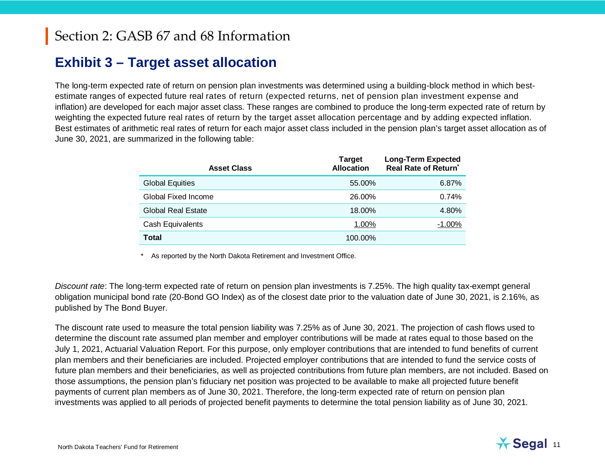### **Exhibit 3 – Target asset allocation**

The long-term expected rate of return on pension plan investments was determined using a building-block method in which bestestimate ranges of expected future real rates of return (expected returns, net of pension plan investment expense and inflation) are developed for each major asset class. These ranges are combined to produce the long-term expected rate of return by weighting the expected future real rates of return by the target asset allocation percentage and by adding expected inflation. Best estimates of arithmetic real rates of return for each major asset class included in the pension plan's target asset allocation as of June 30, 2021, are summarized in the following table:

| <b>Asset Class</b>        | <b>Target</b><br><b>Allocation</b> | <b>Long-Term Expected</b><br>Real Rate of Return <sup>*</sup> |
|---------------------------|------------------------------------|---------------------------------------------------------------|
| <b>Global Equities</b>    | 55.00%                             | 6.87%                                                         |
| Global Fixed Income       | 26.00%                             | 0.74%                                                         |
| <b>Global Real Estate</b> | 18.00%                             | 4.80%                                                         |
| <b>Cash Equivalents</b>   | 1.00%                              | $-1.00\%$                                                     |
| <b>Total</b>              | 100.00%                            |                                                               |

As reported by the North Dakota Retirement and Investment Office.

*Discount rate*: The long-term expected rate of return on pension plan investments is 7.25%. The high quality tax-exempt general obligation municipal bond rate (20-Bond GO Index) as of the closest date prior to the valuation date of June 30, 2021, is 2.16%, as published by The Bond Buyer.

The discount rate used to measure the total pension liability was 7.25% as of June 30, 2021. The projection of cash flows used to determine the discount rate assumed plan member and employer contributions will be made at rates equal to those based on the July 1, 2021, Actuarial Valuation Report. For this purpose, only employer contributions that are intended to fund benefits of current plan members and their beneficiaries are included. Projected employer contributions that are intended to fund the service costs of future plan members and their beneficiaries, as well as projected contributions from future plan members, are not included. Based on those assumptions, the pension plan's fiduciary net position was projected to be available to make all projected future benefit payments of current plan members as of June 30, 2021. Therefore, the long-term expected rate of return on pension plan investments was applied to all periods of projected benefit payments to determine the total pension liability as of June 30, 2021*.*

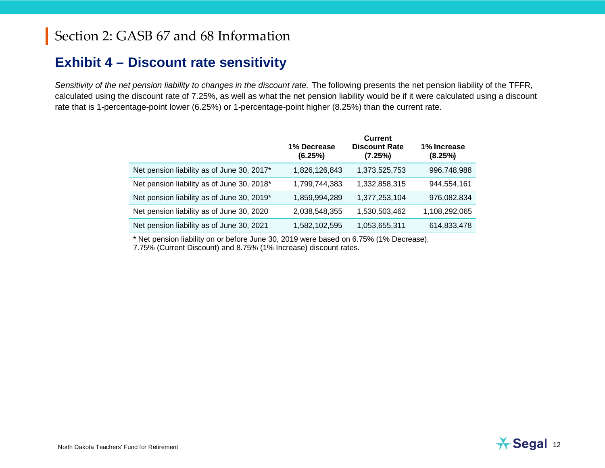#### **Exhibit 4 – Discount rate sensitivity**

*Sensitivity of the net pension liability to changes in the discount rate.* The following presents the net pension liability of the TFFR, calculated using the discount rate of 7.25%, as well as what the net pension liability would be if it were calculated using a discount rate that is 1-percentage-point lower (6.25%) or 1-percentage-point higher (8.25%) than the current rate.

|                                            | 1% Decrease<br>(6.25%) | <b>Current</b><br><b>Discount Rate</b><br>(7.25%) | 1% Increase<br>(8.25%) |
|--------------------------------------------|------------------------|---------------------------------------------------|------------------------|
| Net pension liability as of June 30, 2017* | 1,826,126,843          | 1,373,525,753                                     | 996,748,988            |
| Net pension liability as of June 30, 2018* | 1,799,744,383          | 1,332,858,315                                     | 944,554,161            |
| Net pension liability as of June 30, 2019* | 1,859,994,289          | 1,377,253,104                                     | 976,082,834            |
| Net pension liability as of June 30, 2020  | 2,038,548,355          | 1,530,503,462                                     | 1,108,292,065          |
| Net pension liability as of June 30, 2021  | 1,582,102,595          | 1,053,655,311                                     | 614,833,478            |
|                                            |                        |                                                   |                        |

\* Net pension liability on or before June 30, 2019 were based on 6.75% (1% Decrease),

7.75% (Current Discount) and 8.75% (1% Increase) discount rates.

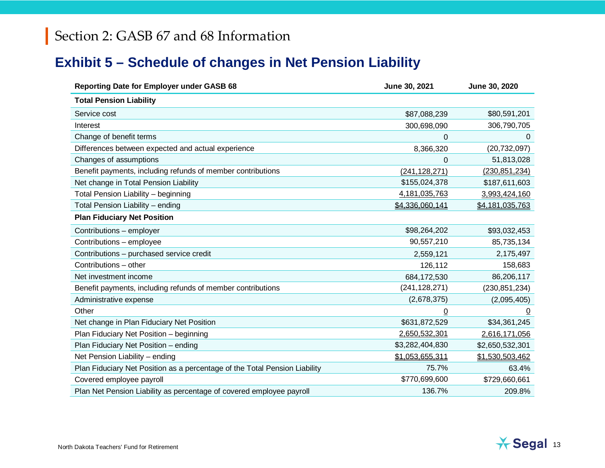## **Exhibit 5 – Schedule of changes in Net Pension Liability**

| Reporting Date for Employer under GASB 68                                  | June 30, 2021    | June 30, 2020   |
|----------------------------------------------------------------------------|------------------|-----------------|
| <b>Total Pension Liability</b>                                             |                  |                 |
| Service cost                                                               | \$87,088,239     | \$80,591,201    |
| Interest                                                                   | 300,698,090      | 306,790,705     |
| Change of benefit terms                                                    | $\Omega$         | 0               |
| Differences between expected and actual experience                         | 8,366,320        | (20, 732, 097)  |
| Changes of assumptions                                                     | 0                | 51,813,028      |
| Benefit payments, including refunds of member contributions                | (241, 128, 271)  | (230, 851, 234) |
| Net change in Total Pension Liability                                      | \$155,024,378    | \$187,611,603   |
| Total Pension Liability - beginning                                        | 4, 181, 035, 763 | 3,993,424,160   |
| Total Pension Liability - ending                                           | \$4,336,060,141  | \$4,181,035,763 |
| <b>Plan Fiduciary Net Position</b>                                         |                  |                 |
| Contributions - employer                                                   | \$98,264,202     | \$93,032,453    |
| Contributions - employee                                                   | 90,557,210       | 85,735,134      |
| Contributions - purchased service credit                                   | 2,559,121        | 2,175,497       |
| Contributions - other                                                      | 126,112          | 158,683         |
| Net investment income                                                      | 684,172,530      | 86,206,117      |
| Benefit payments, including refunds of member contributions                | (241, 128, 271)  | (230, 851, 234) |
| Administrative expense                                                     | (2,678,375)      | (2,095,405)     |
| Other                                                                      | 0                | $\overline{0}$  |
| Net change in Plan Fiduciary Net Position                                  | \$631,872,529    | \$34,361,245    |
| Plan Fiduciary Net Position - beginning                                    | 2,650,532,301    | 2,616,171,056   |
| Plan Fiduciary Net Position - ending                                       | \$3,282,404,830  | \$2,650,532,301 |
| Net Pension Liability - ending                                             | \$1,053,655,311  | \$1,530,503,462 |
| Plan Fiduciary Net Position as a percentage of the Total Pension Liability | 75.7%            | 63.4%           |
| Covered employee payroll                                                   | \$770,699,600    | \$729,660,661   |
| Plan Net Pension Liability as percentage of covered employee payroll       | 136.7%           | 209.8%          |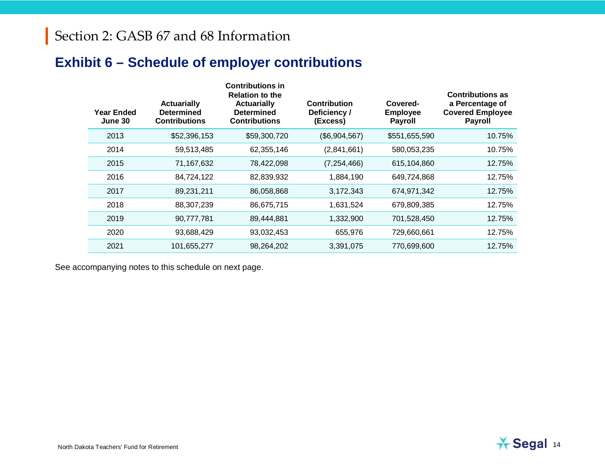## **Exhibit 6 – Schedule of employer contributions**

| <b>Year Ended</b><br>June 30 | <b>Actuarially</b><br><b>Determined</b><br><b>Contributions</b> | <b>Contributions in</b><br><b>Relation to the</b><br><b>Actuarially</b><br>Determined<br><b>Contributions</b> | <b>Contribution</b><br>Deficiency /<br>(Excess) | Covered-<br><b>Employee</b><br><b>Payroll</b> | <b>Contributions as</b><br>a Percentage of<br><b>Covered Employee</b><br><b>Payroll</b> |
|------------------------------|-----------------------------------------------------------------|---------------------------------------------------------------------------------------------------------------|-------------------------------------------------|-----------------------------------------------|-----------------------------------------------------------------------------------------|
| 2013                         | \$52,396,153                                                    | \$59,300,720                                                                                                  | (\$6,904,567)                                   | \$551,655,590                                 | 10.75%                                                                                  |
| 2014                         | 59,513,485                                                      | 62,355,146                                                                                                    | (2,841,661)                                     | 580,053,235                                   | 10.75%                                                                                  |
| 2015                         | 71,167,632                                                      | 78,422,098                                                                                                    | (7, 254, 466)                                   | 615,104,860                                   | 12.75%                                                                                  |
| 2016                         | 84,724,122                                                      | 82,839,932                                                                                                    | 1,884,190                                       | 649,724,868                                   | 12.75%                                                                                  |
| 2017                         | 89,231,211                                                      | 86,058,868                                                                                                    | 3,172,343                                       | 674,971,342                                   | 12.75%                                                                                  |
| 2018                         | 88,307,239                                                      | 86,675,715                                                                                                    | 1,631,524                                       | 679,809,385                                   | 12.75%                                                                                  |
| 2019                         | 90,777,781                                                      | 89,444,881                                                                                                    | 1,332,900                                       | 701,528,450                                   | 12.75%                                                                                  |
| 2020                         | 93,688,429                                                      | 93,032,453                                                                                                    | 655,976                                         | 729,660,661                                   | 12.75%                                                                                  |
| 2021                         | 101,655,277                                                     | 98,264,202                                                                                                    | 3,391,075                                       | 770,699,600                                   | 12.75%                                                                                  |

See accompanying notes to this schedule on next page.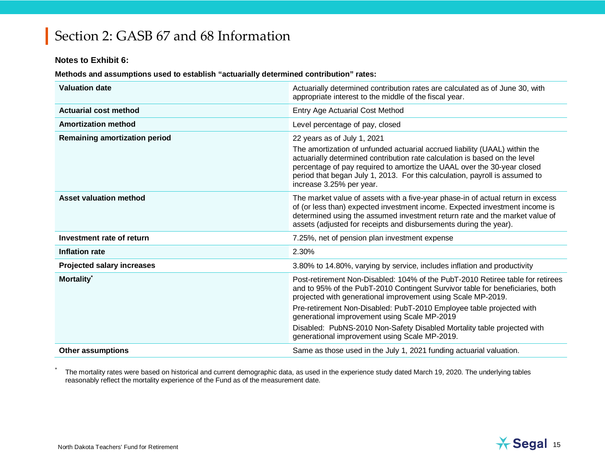#### **Notes to Exhibit 6:**

**Methods and assumptions used to establish "actuarially determined contribution" rates:**

| <b>Valuation date</b>                | Actuarially determined contribution rates are calculated as of June 30, with<br>appropriate interest to the middle of the fiscal year.                                                                                                                                                                                                                                        |
|--------------------------------------|-------------------------------------------------------------------------------------------------------------------------------------------------------------------------------------------------------------------------------------------------------------------------------------------------------------------------------------------------------------------------------|
| <b>Actuarial cost method</b>         | <b>Entry Age Actuarial Cost Method</b>                                                                                                                                                                                                                                                                                                                                        |
| <b>Amortization method</b>           | Level percentage of pay, closed                                                                                                                                                                                                                                                                                                                                               |
| <b>Remaining amortization period</b> | 22 years as of July 1, 2021<br>The amortization of unfunded actuarial accrued liability (UAAL) within the<br>actuarially determined contribution rate calculation is based on the level<br>percentage of pay required to amortize the UAAL over the 30-year closed<br>period that began July 1, 2013. For this calculation, payroll is assumed to<br>increase 3.25% per year. |
| <b>Asset valuation method</b>        | The market value of assets with a five-year phase-in of actual return in excess<br>of (or less than) expected investment income. Expected investment income is<br>determined using the assumed investment return rate and the market value of<br>assets (adjusted for receipts and disbursements during the year).                                                            |
| Investment rate of return            | 7.25%, net of pension plan investment expense                                                                                                                                                                                                                                                                                                                                 |
| Inflation rate                       | 2.30%                                                                                                                                                                                                                                                                                                                                                                         |
| <b>Projected salary increases</b>    | 3.80% to 14.80%, varying by service, includes inflation and productivity                                                                                                                                                                                                                                                                                                      |
| Mortality <sup>*</sup>               | Post-retirement Non-Disabled: 104% of the PubT-2010 Retiree table for retirees<br>and to 95% of the PubT-2010 Contingent Survivor table for beneficiaries, both<br>projected with generational improvement using Scale MP-2019.<br>Pre-retirement Non-Disabled: PubT-2010 Employee table projected with<br>generational improvement using Scale MP-2019                       |
|                                      | Disabled: PubNS-2010 Non-Safety Disabled Mortality table projected with<br>generational improvement using Scale MP-2019.                                                                                                                                                                                                                                                      |
| <b>Other assumptions</b>             | Same as those used in the July 1, 2021 funding actuarial valuation.                                                                                                                                                                                                                                                                                                           |

The mortality rates were based on historical and current demographic data, as used in the experience study dated March 19, 2020. The underlying tables reasonably reflect the mortality experience of the Fund as of the measurement date.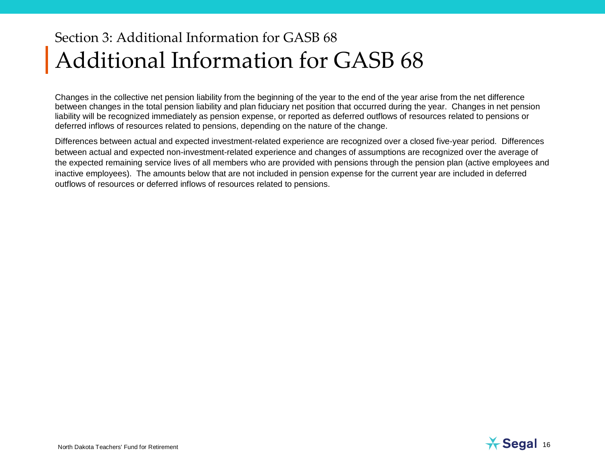# Section 3: Additional Information for GASB 68 Additional Information for GASB 68

Changes in the collective net pension liability from the beginning of the year to the end of the year arise from the net difference between changes in the total pension liability and plan fiduciary net position that occurred during the year. Changes in net pension liability will be recognized immediately as pension expense, or reported as deferred outflows of resources related to pensions or deferred inflows of resources related to pensions, depending on the nature of the change.

Differences between actual and expected investment-related experience are recognized over a closed five-year period. Differences between actual and expected non-investment-related experience and changes of assumptions are recognized over the average of the expected remaining service lives of all members who are provided with pensions through the pension plan (active employees and inactive employees). The amounts below that are not included in pension expense for the current year are included in deferred outflows of resources or deferred inflows of resources related to pensions.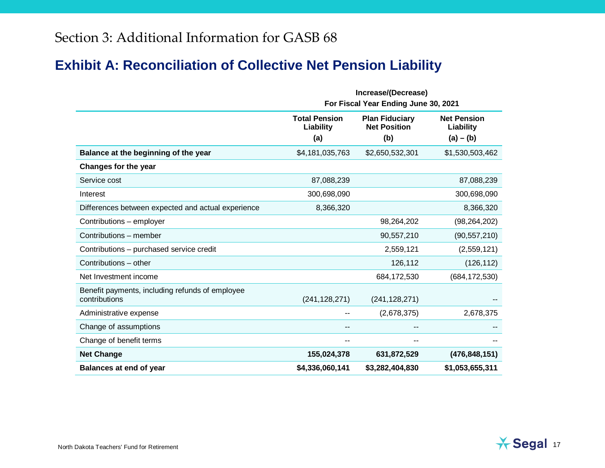### **Exhibit A: Reconciliation of Collective Net Pension Liability**

|                                                                  |                                          | Increase/(Decrease)<br>For Fiscal Year Ending June 30, 2021 |                                                |
|------------------------------------------------------------------|------------------------------------------|-------------------------------------------------------------|------------------------------------------------|
|                                                                  | <b>Total Pension</b><br>Liability<br>(a) | <b>Plan Fiduciary</b><br><b>Net Position</b><br>(b)         | <b>Net Pension</b><br>Liability<br>$(a) - (b)$ |
| Balance at the beginning of the year                             | \$4,181,035,763                          | \$2,650,532,301                                             | \$1,530,503,462                                |
| <b>Changes for the year</b>                                      |                                          |                                                             |                                                |
| Service cost                                                     | 87,088,239                               |                                                             | 87,088,239                                     |
| Interest                                                         | 300,698,090                              |                                                             | 300,698,090                                    |
| Differences between expected and actual experience               | 8,366,320                                |                                                             | 8,366,320                                      |
| Contributions - employer                                         |                                          | 98,264,202                                                  | (98, 264, 202)                                 |
| Contributions - member                                           |                                          | 90,557,210                                                  | (90, 557, 210)                                 |
| Contributions - purchased service credit                         |                                          | 2,559,121                                                   | (2,559,121)                                    |
| Contributions - other                                            |                                          | 126,112                                                     | (126, 112)                                     |
| Net Investment income                                            |                                          | 684,172,530                                                 | (684, 172, 530)                                |
| Benefit payments, including refunds of employee<br>contributions | (241, 128, 271)                          | (241, 128, 271)                                             |                                                |
| Administrative expense                                           |                                          | (2,678,375)                                                 | 2,678,375                                      |
| Change of assumptions                                            | $\overline{\phantom{a}}$                 | --                                                          |                                                |
| Change of benefit terms                                          | --                                       | --                                                          |                                                |
| <b>Net Change</b>                                                | 155,024,378                              | 631,872,529                                                 | (476, 848, 151)                                |
| <b>Balances at end of year</b>                                   | \$4,336,060,141                          | \$3,282,404,830                                             | \$1,053,655,311                                |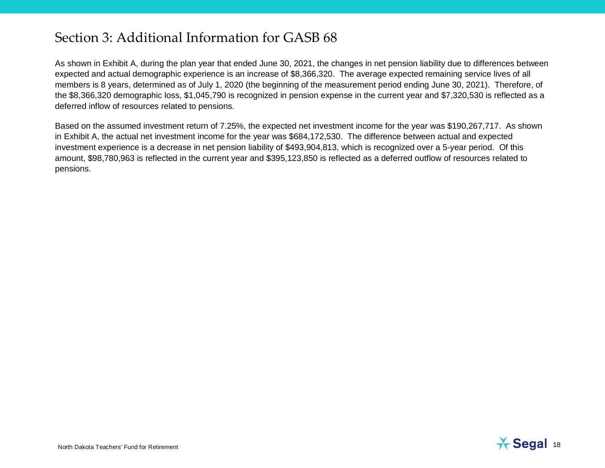As shown in Exhibit A, during the plan year that ended June 30, 2021, the changes in net pension liability due to differences between expected and actual demographic experience is an increase of \$8,366,320. The average expected remaining service lives of all members is 8 years, determined as of July 1, 2020 (the beginning of the measurement period ending June 30, 2021). Therefore, of the \$8,366,320 demographic loss, \$1,045,790 is recognized in pension expense in the current year and \$7,320,530 is reflected as a deferred inflow of resources related to pensions.

Based on the assumed investment return of 7.25%, the expected net investment income for the year was \$190,267,717. As shown in Exhibit A, the actual net investment income for the year was \$684,172,530. The difference between actual and expected investment experience is a decrease in net pension liability of \$493,904,813, which is recognized over a 5-year period. Of this amount, \$98,780,963 is reflected in the current year and \$395,123,850 is reflected as a deferred outflow of resources related to pensions.

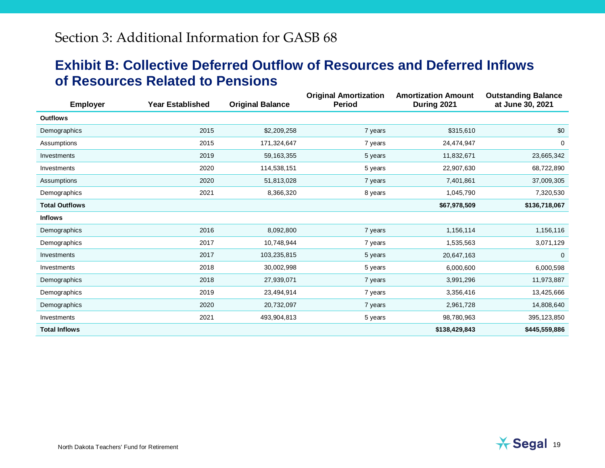#### **Exhibit B: Collective Deferred Outflow of Resources and Deferred Inflows of Resources Related to Pensions**

| <b>Employer</b>       | <b>Year Established</b> | <b>Original Balance</b> | <b>Original Amortization</b><br><b>Period</b> | <b>Amortization Amount</b><br>During 2021 | <b>Outstanding Balance</b><br>at June 30, 2021 |  |
|-----------------------|-------------------------|-------------------------|-----------------------------------------------|-------------------------------------------|------------------------------------------------|--|
| <b>Outflows</b>       |                         |                         |                                               |                                           |                                                |  |
| Demographics          | 2015                    | \$2,209,258             | 7 years                                       | \$315,610                                 | \$0                                            |  |
| Assumptions           | 2015                    | 171,324,647             | 7 years                                       | 24,474,947                                | 0                                              |  |
| Investments           | 2019                    | 59, 163, 355            | 5 years                                       | 11,832,671                                | 23,665,342                                     |  |
| Investments           | 2020                    | 114,538,151             | 5 years                                       | 22,907,630                                | 68,722,890                                     |  |
| Assumptions           | 2020                    | 51,813,028              | 7 years                                       | 7,401,861                                 | 37,009,305                                     |  |
| Demographics          | 2021                    | 8,366,320               | 8 years                                       | 1,045,790                                 | 7,320,530                                      |  |
| <b>Total Outflows</b> |                         |                         |                                               | \$67,978,509                              | \$136,718,067                                  |  |
| <b>Inflows</b>        |                         |                         |                                               |                                           |                                                |  |
| Demographics          | 2016                    | 8,092,800               | 7 years                                       | 1,156,114                                 | 1,156,116                                      |  |
| Demographics          | 2017                    | 10,748,944              | 7 years                                       | 1,535,563                                 | 3,071,129                                      |  |
| Investments           | 2017                    | 103,235,815             | 5 years                                       | 20,647,163                                | $\mathbf{0}$                                   |  |
| Investments           | 2018                    | 30,002,998              | 5 years                                       | 6,000,600                                 | 6,000,598                                      |  |
| Demographics          | 2018                    | 27,939,071              | 7 years                                       | 3,991,296                                 | 11,973,887                                     |  |
| Demographics          | 2019                    | 23,494,914              | 7 years                                       | 3,356,416                                 | 13,425,666                                     |  |
| Demographics          | 2020                    | 20,732,097              | 7 years                                       | 2,961,728                                 | 14,808,640                                     |  |
| Investments           | 2021                    | 493,904,813             | 5 years                                       | 98,780,963                                | 395, 123, 850                                  |  |
| <b>Total Inflows</b>  |                         |                         |                                               | \$138,429,843                             | \$445,559,886                                  |  |

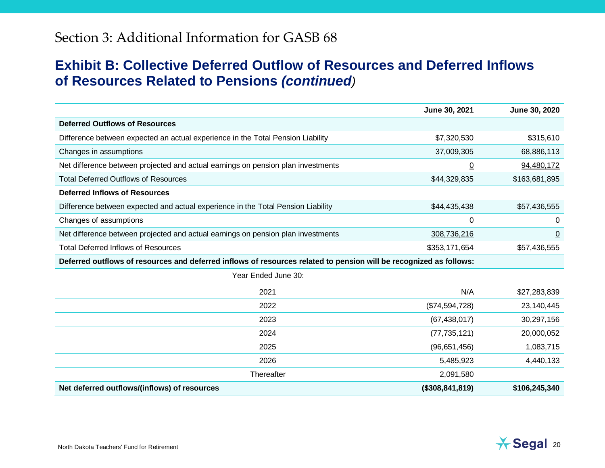#### **Exhibit B: Collective Deferred Outflow of Resources and Deferred Inflows of Resources Related to Pensions** *(continued)*

|                                                                                                                    | June 30, 2021     | June 30, 2020  |
|--------------------------------------------------------------------------------------------------------------------|-------------------|----------------|
| <b>Deferred Outflows of Resources</b>                                                                              |                   |                |
| Difference between expected an actual experience in the Total Pension Liability                                    | \$7,320,530       | \$315,610      |
| Changes in assumptions                                                                                             | 37,009,305        | 68,886,113     |
| Net difference between projected and actual earnings on pension plan investments                                   | $\underline{0}$   | 94,480,172     |
| <b>Total Deferred Outflows of Resources</b>                                                                        | \$44,329,835      | \$163,681,895  |
| <b>Deferred Inflows of Resources</b>                                                                               |                   |                |
| Difference between expected and actual experience in the Total Pension Liability                                   | \$44,435,438      | \$57,436,555   |
| Changes of assumptions                                                                                             | 0                 | 0              |
| Net difference between projected and actual earnings on pension plan investments                                   | 308,736,216       | $\overline{0}$ |
| <b>Total Deferred Inflows of Resources</b>                                                                         | \$353,171,654     | \$57,436,555   |
| Deferred outflows of resources and deferred inflows of resources related to pension will be recognized as follows: |                   |                |
| Year Ended June 30:                                                                                                |                   |                |
| 2021                                                                                                               | N/A               | \$27,283,839   |
| 2022                                                                                                               | (\$74,594,728)    | 23,140,445     |
| 2023                                                                                                               | (67, 438, 017)    | 30,297,156     |
| 2024                                                                                                               | (77, 735, 121)    | 20,000,052     |
| 2025                                                                                                               | (96,651,456)      | 1,083,715      |
| 2026                                                                                                               | 5,485,923         | 4,440,133      |
| Thereafter                                                                                                         | 2,091,580         |                |
| Net deferred outflows/(inflows) of resources                                                                       | (\$308, 841, 819) | \$106,245,340  |

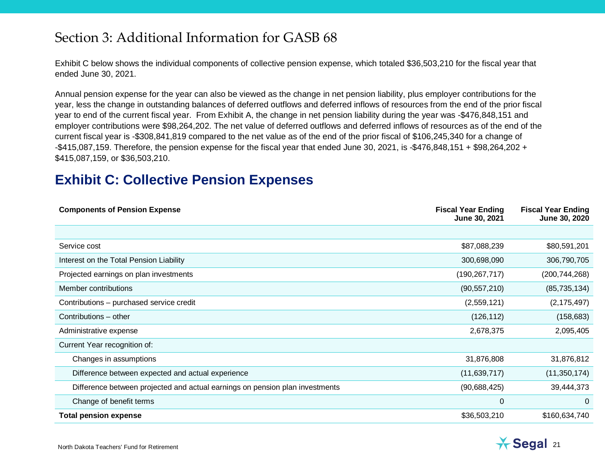Exhibit C below shows the individual components of collective pension expense, which totaled \$36,503,210 for the fiscal year that ended June 30, 2021.

Annual pension expense for the year can also be viewed as the change in net pension liability, plus employer contributions for the year, less the change in outstanding balances of deferred outflows and deferred inflows of resources from the end of the prior fiscal year to end of the current fiscal year. From Exhibit A, the change in net pension liability during the year was -\$476,848,151 and employer contributions were \$98,264,202. The net value of deferred outflows and deferred inflows of resources as of the end of the current fiscal year is -\$308,841,819 compared to the net value as of the end of the prior fiscal of \$106,245,340 for a change of -\$415,087,159. Therefore, the pension expense for the fiscal year that ended June 30, 2021, is -\$476,848,151 + \$98,264,202 + \$415,087,159, or \$36,503,210.

#### **Exhibit C: Collective Pension Expenses**

| <b>Components of Pension Expense</b>                                         | <b>Fiscal Year Ending</b><br>June 30, 2021 | <b>Fiscal Year Ending</b><br>June 30, 2020 |
|------------------------------------------------------------------------------|--------------------------------------------|--------------------------------------------|
|                                                                              |                                            |                                            |
| Service cost                                                                 | \$87,088,239                               | \$80,591,201                               |
| Interest on the Total Pension Liability                                      | 300,698,090                                | 306,790,705                                |
| Projected earnings on plan investments                                       | (190, 267, 717)                            | (200,744,268)                              |
| Member contributions                                                         | (90, 557, 210)                             | (85, 735, 134)                             |
| Contributions - purchased service credit                                     | (2,559,121)                                | (2, 175, 497)                              |
| Contributions - other                                                        | (126, 112)                                 | (158, 683)                                 |
| Administrative expense                                                       | 2,678,375                                  | 2,095,405                                  |
| Current Year recognition of:                                                 |                                            |                                            |
| Changes in assumptions                                                       | 31,876,808                                 | 31,876,812                                 |
| Difference between expected and actual experience                            | (11,639,717)                               | (11, 350, 174)                             |
| Difference between projected and actual earnings on pension plan investments | (90,688,425)                               | 39,444,373                                 |
| Change of benefit terms                                                      | 0                                          | $\Omega$                                   |
| <b>Total pension expense</b>                                                 | \$36,503,210                               | \$160,634,740                              |

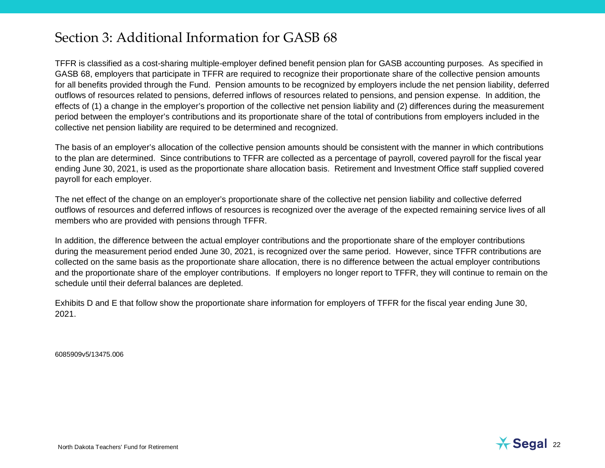TFFR is classified as a cost-sharing multiple-employer defined benefit pension plan for GASB accounting purposes. As specified in GASB 68, employers that participate in TFFR are required to recognize their proportionate share of the collective pension amounts for all benefits provided through the Fund. Pension amounts to be recognized by employers include the net pension liability, deferred outflows of resources related to pensions, deferred inflows of resources related to pensions, and pension expense. In addition, the effects of (1) a change in the employer's proportion of the collective net pension liability and (2) differences during the measurement period between the employer's contributions and its proportionate share of the total of contributions from employers included in the collective net pension liability are required to be determined and recognized.

The basis of an employer's allocation of the collective pension amounts should be consistent with the manner in which contributions to the plan are determined. Since contributions to TFFR are collected as a percentage of payroll, covered payroll for the fiscal year ending June 30, 2021, is used as the proportionate share allocation basis. Retirement and Investment Office staff supplied covered payroll for each employer.

The net effect of the change on an employer's proportionate share of the collective net pension liability and collective deferred outflows of resources and deferred inflows of resources is recognized over the average of the expected remaining service lives of all members who are provided with pensions through TFFR.

In addition, the difference between the actual employer contributions and the proportionate share of the employer contributions during the measurement period ended June 30, 2021, is recognized over the same period. However, since TFFR contributions are collected on the same basis as the proportionate share allocation, there is no difference between the actual employer contributions and the proportionate share of the employer contributions. If employers no longer report to TFFR, they will continue to remain on the schedule until their deferral balances are depleted.

Exhibits D and E that follow show the proportionate share information for employers of TFFR for the fiscal year ending June 30, 2021.

6085909v5/13475.006

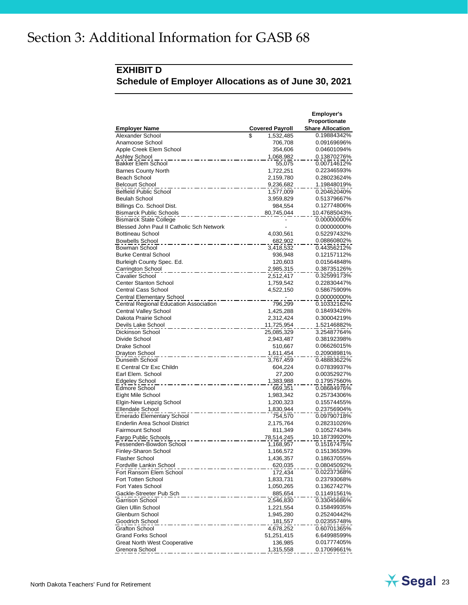#### **EXHIBIT D Schedule of Employer Allocations as of June 30, 2021**

|                                                   |                              | <b>Employer's</b><br>Proportionate |
|---------------------------------------------------|------------------------------|------------------------------------|
| <b>Employer Name</b><br>Alexander School          | <b>Covered Payroll</b><br>\$ | <b>Share Allocation</b>            |
|                                                   | 1,532,485                    | 0.19884342%                        |
| Anamoose School                                   | 706,708<br>354,606           | 0.09169696%<br>0.04601094%         |
| Apple Creek Elem School                           |                              |                                    |
| <b>Ashley School</b><br><b>Bakker Elem School</b> | 1,068,982<br>55,075          | 0.13870276%<br>0.00714612%         |
| <b>Barnes County North</b>                        |                              | 0.22346593%                        |
| Beach School                                      | 1,722,251<br>2,159,780       | 0.28023624%                        |
| <b>Belcourt School</b>                            |                              | 1.19848019%                        |
| <b>Belfield Public School</b>                     | 9,236,682<br>1,577,009       | 0.20462040%                        |
| <b>Beulah School</b>                              | 3,959,829                    | 0.51379667%                        |
| Billings Co. School Dist.                         | 984,554                      | 0.12774806%                        |
| <b>Bismarck Public Schools</b>                    | 80,745,044                   | 10.47685043%                       |
| <b>Bismarck State College</b>                     |                              | 0.00000000%                        |
| Blessed John Paul II Catholic Sch Network         |                              | 0.00000000%                        |
| <b>Bottineau School</b>                           | 4,030,561                    | 0.52297432%                        |
| <b>Bowbells School</b>                            | 682,902                      | 0.08860802%                        |
| Bowman School                                     | 3,418,532                    | 0.44356212%                        |
| <b>Burke Central School</b>                       | 936,948                      | 0.12157112%                        |
| Burleigh County Spec. Ed.                         | 120,603                      | 0.01564848%                        |
| Carrington School                                 | 2,985,315                    | 0.38735126%                        |
| Cavalier School                                   | 2,512,417                    | 0.32599173%                        |
| <b>Center Stanton School</b>                      | 1,759,542                    | 0.22830447%                        |
| <b>Central Cass School</b>                        | 4,522,150                    | 0.58675909%                        |
| <b>Central Elementary School</b>                  |                              | 0.00000000%                        |
| Central Regional Education Association            | 796,299                      | 0.10332162%                        |
| Central Valley School                             | 1,425,288                    | 0.18493426%                        |
| Dakota Prairie School                             | 2,312,424                    | 0.30004219%                        |
| Devils Lake School                                | 11,725,954                   | 1.52146882%                        |
| Dickinson School                                  | 25,085,329                   | 3.25487764%                        |
| Divide School                                     | 2,943,487                    | 0.38192398%                        |
| Drake School                                      | 510,667                      | 0.06626015%                        |
| Drayton School                                    | 1,611,454                    | 0.20908981%                        |
| Dunseith School                                   | 3,767,459                    | 0.48883622%                        |
| E Central Ctr Exc Childn                          | 604,224                      | 0.07839937%                        |
| Earl Elem. School                                 | 27,200                       | 0.00352927%                        |
| <b>Edgeley School</b>                             | 1,383,988                    | 0.17957560%                        |
| Edmore School                                     | 669,351                      | 0.08684976%                        |
| Eight Mile School                                 | 1,983,342                    | 0.25734306%                        |
| Elgin-New Leipzig School                          | 1,200,323                    | 0.15574455%                        |
| Ellendale School                                  | 1,830,944                    | 0.23756904%                        |
| <b>Emerado Elementary School</b>                  | 754,570                      | 0.09790718%                        |
| <b>Enderlin Area School District</b>              | 2,175,764                    | 0.28231026%                        |
| <b>Fairmount School</b>                           | 811,349                      | 0.10527434%                        |
| Fargo Public Schools<br>Fessenden-Bowdon School   | 78,514,245                   | 10.18739920%                       |
| Finley-Sharon School                              | 1,168,957                    | 0.15167475%                        |
|                                                   | 1,166,572<br>1,436,357       | 0.15136539%                        |
| Flasher School<br>Fordville Lankin School         |                              | 0.18637055%<br>0.08045092%         |
| Fort Ransom Elem School                           | 620,035<br>172,434           | 0.02237368%                        |
| Fort Totten School                                | 1,833,731                    | 0.23793068%                        |
| Fort Yates School                                 | 1,050,265                    | 0.13627427%                        |
| Gackle-Streeter Pub Sch                           | 885,654                      | 0.11491561%                        |
| Garrison School                                   | 2,546,830                    | 0.33045686%                        |
| Glen Ullin School                                 | 1,221,554                    | 0.15849935%                        |
| Glenburn School                                   | 1,945,280                    | 0.25240442%                        |
| Goodrich School                                   | 181,557                      | 0.02355748%                        |
| <b>Grafton School</b>                             | 4,678,252                    | 0.60701365%                        |
| <b>Grand Forks School</b>                         | 51,251,415                   | 6.64998599%                        |
| <b>Great North West Cooperative</b>               | 136,985                      | 0.01777405%                        |
| Grenora School                                    | 1,315,558                    | 0.17069661%                        |

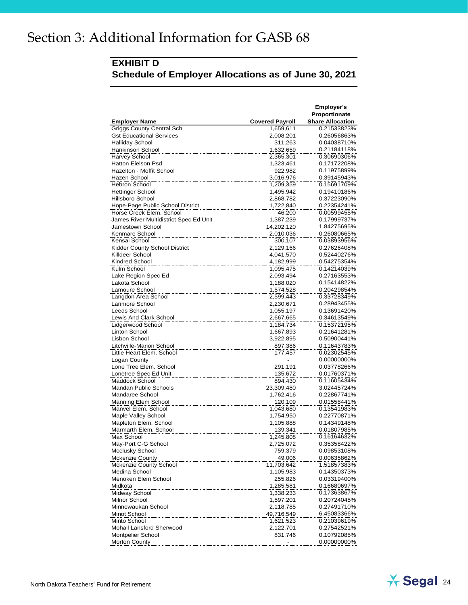#### **EXHIBIT D Schedule of Employer Allocations as of June 30, 2021**

|                                                  |                        | <b>Employer's</b>          |
|--------------------------------------------------|------------------------|----------------------------|
|                                                  |                        | Proportionate              |
| <b>Employer Name</b>                             | <b>Covered Payroll</b> | <b>Share Allocation</b>    |
| <b>Griggs County Central Sch</b>                 | 1,659,611              | 0.21533823%                |
| <b>Gst Educational Services</b>                  | 2,008,201              | 0.26056863%                |
| Halliday School                                  | 311,263                | 0.04038710%                |
| Hankinson School                                 | 1,632,659              | 0.21184118%                |
| <b>Harvey School</b>                             | 2,365,301              | 0.30690306%                |
| <b>Hatton Eielson Psd</b>                        | 1,323,461              | 0.17172208%                |
| Hazelton - Moffit School                         | 922,982                | 0.11975899%                |
| Hazen School<br><b>Hebron School</b>             | 3,016,976              | 0.39145943%                |
|                                                  | 1,209,359              | 0.15691709%                |
| Hettinger School<br>Hillsboro School             | 1,495,942              | 0.19410186%<br>0.37223090% |
| Hope-Page Public School District                 | 2,868,782<br>1,722,840 | 0.22354241%                |
| Horse Creek Elem. School                         | 46,200                 | 0.00599455%                |
| James River Multidistrict Spec Ed Unit           | 1,387,239              | 0.17999737%                |
| Jamestown School                                 | 14,202,120             | 1.84275695%                |
| Kenmare School                                   | 2,010,036              | 0.26080665%                |
| Kensal School                                    | 300,107                | 0.03893956%                |
| Kidder County School District                    | 2,129,166              | 0.27626408%                |
| Killdeer School                                  | 4,041,570              | 0.52440276%                |
| Kindred School                                   | 4,182,999              | 0.54275354%                |
| Kulm School                                      | 1,095,475              | 0.14214039%                |
| Lake Region Spec Ed                              | 2,093,494              | 0.27163553%                |
| Lakota School                                    | 1,188,020              | 0.15414822%                |
| Lamoure School                                   | 1,574,528              | 0.20429854%                |
| Langdon Area School                              | 2,599,443              | 0.33728349%                |
| Larimore School                                  | 2,230,671              | 0.28943455%                |
| Leeds School                                     | 1,055,197              | 0.13691420%                |
| Lewis And Clark School                           | 2,667,665              | 0.34613549%                |
| Lidgerwood School                                | 1,184,734              | 0.15372195%                |
| Linton School                                    | 1,667,893              | 0.21641281%                |
| Lisbon School                                    | 3,922,895              | 0.50900441%                |
| <b>Litchville-Marion School</b>                  | 897,386                | 0.11643783%                |
| Little Heart Elem. School                        | 177,457                | 0.02302545%                |
| Logan County                                     |                        | 0.00000000%                |
| Lone Tree Elem. School                           | 291,191                | 0.03778266%                |
| Lonetree Spec Ed Unit                            | 135,672                | 0.01760371%                |
| Maddock School                                   | 894,430                | 0.11605434%                |
| Mandan Public Schools                            | 23,309,480             | 3.02445724%                |
| Mandaree School                                  | 1,762,416              | 0.22867741%                |
| Manning Elem School                              | 120,109                | 0.01558441%                |
| Manvel Elem. School                              | 1,043,680              | 0.13541983%                |
| Maple Valley School                              | 1,754,950              | 0.22770871%                |
| Mapleton Elem. School                            | 1,105,888              | 0.14349148%                |
| Marmarth Elem. School                            | 139,341                | 0.01807985%                |
| Max School                                       | 1,245,808              | 0.16164632%                |
| May-Port C-G School                              | 2,725,072              | 0.35358422%                |
| Mcclusky School                                  | 759,379                | 0.09853108%                |
| <b>Mckenzie County</b><br>Mckenzie County School | 49,006<br>11,703,642   | 0.00635862%                |
| Medina School                                    | 1,105,983              | 1.51857383%                |
| Menoken Elem School                              | 255,826                | 0.14350373%<br>0.03319400% |
| Midkota                                          | 1,285,581              | 0.16680697%                |
| Midway School                                    | 1,338,233              | 0.17363867%                |
| Milnor School                                    | 1,597,201              | 0.20724045%                |
| Minnewaukan School                               | 2,118,785              | 0.27491710%                |
| Minot School                                     | 49,716,549             | 6.45083366%                |
| Minto School                                     | 1,621,523              | 0.21039619%                |
| Mohall Lansford Sherwood                         | 2,122,701              | 0.27542521%                |
| <b>Montpelier School</b>                         | 831,746                | 0.10792085%                |
| <b>Morton County</b>                             |                        | 0.00000000%                |
|                                                  |                        |                            |

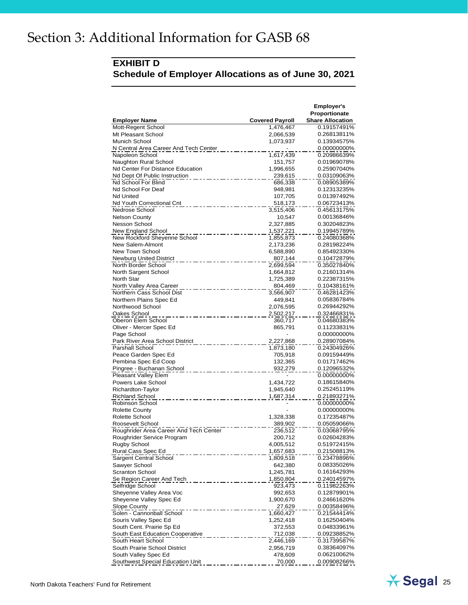#### **EXHIBIT D Schedule of Employer Allocations as of June 30, 2021**

| <b>Employer Name</b>                    | <b>Covered Payroll</b> | <b>Employer's</b><br>Proportionate<br><b>Share Allocation</b> |
|-----------------------------------------|------------------------|---------------------------------------------------------------|
| Mott-Regent School                      | 1,476,467              | 0.19157491%                                                   |
| Mt Pleasant School                      | 2,066,539              | 0.26813811%                                                   |
| Munich School                           | 1,073,937              | 0.13934575%                                                   |
| N Central Area Career And Tech Center   |                        | 0.00000000%                                                   |
| Napoleon School                         | 1,617,439              | 0.20986639%                                                   |
| Naughton Rural School                   | 151,757                | 0.01969078%                                                   |
| Nd Center For Distance Education        | 1,996,655              | 0.25907040%                                                   |
| Nd Dept Of Public Instruction           | 239,615                | 0.03109063%                                                   |
| Nd School For Blind                     | 686,338                | 0.08905389%                                                   |
| Nd School For Deaf                      | 948,981                | 0.12313235%                                                   |
| <b>Nd United</b>                        | 107,705                | 0.01397492%                                                   |
| Nd Youth Correctional Cnt               | 518,173                | 0.06723413%                                                   |
| Nedrose School                          | 3,515,406              | 0.45613175%                                                   |
| <b>Nelson County</b>                    | 10,547                 | 0.00136846%                                                   |
| Nesson School                           | 2,327,885              | 0.30204823%                                                   |
| New England School                      | 1,537,221              | 0.19945789%                                                   |
| New Rockford Sheyenne School            | 1,855,873              | 0.24080368%                                                   |
| New Salem-Almont                        | 2,173,236              | 0.28198224%                                                   |
| New Town School                         | 6,588,890              | 0.85492330%                                                   |
| <b>Newburg United District</b>          | 807,144                | 0.10472879%                                                   |
| North Border School                     | 2,699,594              | 0.35027840%                                                   |
| North Sargent School                    | 1,664,812              | 0.21601314%                                                   |
| North Star                              | 1,725,389              | 0.22387315%                                                   |
| North Valley Area Career                | 804,469                | 0.10438161%                                                   |
| Northern Cass School Dist               | 3,566,907              | 0.46281423%                                                   |
| Northern Plains Spec Ed                 | 449,841                | 0.05836784%                                                   |
| Northwood School                        | 2,076,595              | 0.26944292%                                                   |
| Oakes School                            | 2,502,217              | 0.32466831%                                                   |
| Oberon Elem School                      | 360,717                | 0.04680383%                                                   |
| Oliver - Mercer Spec Ed                 | 865,791                | 0.11233831%                                                   |
| Page School                             |                        | 0.00000000%                                                   |
| Park River Area School District         | 2,227,868              | 0.28907084%                                                   |
| Parshall School                         | 1,873,180              | 0.24304926%                                                   |
| Peace Garden Spec Ed                    | 705,918                | 0.09159449%                                                   |
| Pembina Spec Ed Coop                    | 132,365                | 0.01717462%                                                   |
| Pingree - Buchanan School               | 932,279                | 0.12096532%                                                   |
| Pleasant Valley Elem                    |                        | 0.00000000%                                                   |
| Powers Lake School<br>Richardton-Taylor | 1,434,722              | 0.18615840%<br>0.25245119%                                    |
| <b>Richland School</b>                  | 1,945,640              | 0.21893271%                                                   |
| Robinson School                         | 1,687,314              | 0.00000000%                                                   |
| <b>Rolette County</b>                   |                        | 0.00000000%                                                   |
| Rolette School                          | 1,328,338              | 0.17235487%                                                   |
| Roosevelt School                        | 389,902                | 0.05059066%                                                   |
| Roughrider Area Career And Tech Center  | 236,512                | 0.03068795%                                                   |
| Roughrider Service Program              | 200,712                | 0.02604283%                                                   |
| Rugby School                            | 4,005,512              | 0.51972415%                                                   |
| Rural Cass Spec Ed                      | 1,657,683              | 0.21508813%                                                   |
| Sargent Central School                  | 1,809,518              | 0.23478896%                                                   |
| Sawyer School                           | 642,380                | 0.08335026%                                                   |
| <b>Scranton School</b>                  | 1,245,781              | 0.16164293%                                                   |
| Se Region Career And Tech               | 1,850,804              | 0.24014597%                                                   |
| Selfridge School                        | 923,473                | 0.11982263%                                                   |
| Sheyenne Valley Area Voc                | 992,653                | 0.12879901%                                                   |
| Sheyenne Valley Spec Ed                 | 1,900,670              | 0.24661620%                                                   |
| Slope County                            | 27,629                 | 0.00358496%                                                   |
| Solen - Cannonball School               | 1,660,427              | 0.21544414%                                                   |
| Souris Valley Spec Ed                   | 1,252,418              | 0.16250404%                                                   |
| South Cent. Prairie Sp Ed               | 372,553                | 0.04833961%                                                   |
| South East Education Cooperative        | 712,038                | 0.09238852%                                                   |
| South Heart School                      | 2,446,169              | 0.31739587%                                                   |
| South Prairie School District           | 2,956,719              | 0.38364097%                                                   |
| South Valley Spec Ed                    | 478,609                | 0.06210062%                                                   |
| Southwest Special Education Unit        | 70,000                 | 0.00908266%                                                   |

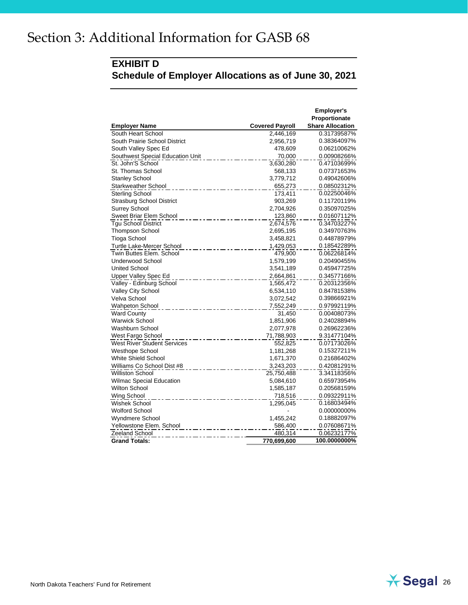#### **EXHIBIT D**

**Schedule of Employer Allocations as of June 30, 2021**

|                                    |                        | <b>Employer's</b>       |
|------------------------------------|------------------------|-------------------------|
|                                    |                        | Proportionate           |
| <b>Employer Name</b>               | <b>Covered Payroll</b> | <b>Share Allocation</b> |
| South Heart School                 | 2,446,169              | 0.31739587%             |
| South Prairie School District      | 2,956,719              | 0.38364097%             |
| South Valley Spec Ed               | 478,609                | 0.06210062%             |
| Southwest Special Education Unit   | 70,000                 | 0.00908266%             |
| St. John'S School                  | 3,630,280              | 0.47103699%             |
| St. Thomas School                  | 568,133                | 0.07371653%             |
| <b>Stanley School</b>              | 3,779,712              | 0.49042606%             |
| <b>Starkweather School</b>         | 655,273                | 0.08502312%             |
| Sterling School                    | 173,411                | 0.02250046%             |
| <b>Strasburg School District</b>   | 903,269                | 0.11720119%             |
| <b>Surrey School</b>               | 2,704,926              | 0.35097025%             |
| Sweet Briar Elem School            | 123,860                | 0.01607112%             |
| <b>Tgu School District</b>         | 2,674,576              | 0.34703227%             |
| <b>Thompson School</b>             | 2,695,195              | 0.34970763%             |
| <b>Tioga School</b>                | 3,458,821              | 0.44878979%             |
| Turtle Lake-Mercer School          | 1,429,053              | 0.18542289%             |
| Twin Buttes Elem. School           | 479,900                | 0.06226814%             |
| <b>Underwood School</b>            | 1,579,199              | 0.20490455%             |
| <b>United School</b>               | 3,541,189              | 0.45947725%             |
| <b>Upper Valley Spec Ed</b>        | 2,664,861              | 0.34577166%             |
| Valley - Edinburg School           | 1,565,472              | 0.20312356%             |
| <b>Valley City School</b>          | 6,534,110              | 0.84781538%             |
| Velva School                       | 3,072,542              | 0.39866921%             |
| <b>Wahpeton School</b>             | 7,552,249              | 0.97992119%             |
| <b>Ward County</b>                 | 31,450                 | 0.00408073%             |
| <b>Warwick School</b>              | 1,851,906              | 0.24028894%             |
| Washburn School                    | 2,077,978              | 0.26962236%             |
| West Fargo School                  | 71,788,903             | 9.31477104%             |
| <b>West River Student Services</b> | 552,825                | 0.07173026%             |
| Westhope School                    | 1,181,268              | 0.15327211%             |
| White Shield School                | 1,671,370              | 0.21686402%             |
| Williams Co School Dist #8         | 3,243,203              | 0.42081291%             |
| Williston School                   | 25,750,488             | 3.34118356%             |
| <b>Wilmac Special Education</b>    | 5,084,610              | 0.65973954%             |
| Wilton School                      | 1,585,187              | 0.20568159%             |
| Wing School                        | 718,516                | 0.09322911%             |
| Wishek School                      | 1,295,045              | 0.16803494%             |
| <b>Wolford School</b>              |                        | 0.00000000%             |
| Wyndmere School                    | 1,455,242              | 0.18882097%             |
| Yellowstone Elem. School           | 586,400                | 0.07608671%             |
| Zeeland School                     | 480,314                | 0.06232177%             |
| <b>Grand Totals:</b>               | 770,699,600            | 100.0000000%            |

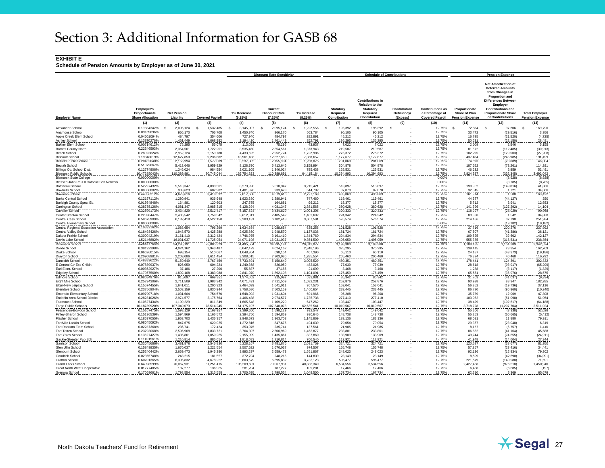#### **EXHIBIT E**

|                                                                     |                                                               |                                 |                         |                          | <b>Discount Rate Sensitivity</b>           |                         |                                       | <b>Schedule of Contributions</b>                                                           |                                         |                                                                      |                                                          | <b>Pension Expense</b>                                                                                                                                                                                                    |                                                 |
|---------------------------------------------------------------------|---------------------------------------------------------------|---------------------------------|-------------------------|--------------------------|--------------------------------------------|-------------------------|---------------------------------------|--------------------------------------------------------------------------------------------|-----------------------------------------|----------------------------------------------------------------------|----------------------------------------------------------|---------------------------------------------------------------------------------------------------------------------------------------------------------------------------------------------------------------------------|-------------------------------------------------|
| <b>Employer Name</b>                                                | <b>Employer's</b><br>Proportionate<br><b>Share Allocation</b> | <b>Net Pension</b><br>Liability | <b>Covered Payroll</b>  | 1% Decrease<br>(6.25%    | Current<br><b>Discount Rate</b><br>(7.25%) | 1% Increase<br>(8.25%)  | Statutory<br>Required<br>Contribution | <b>Contributions In</b><br><b>Relation to the</b><br>Statutory<br>Required<br>Contribution | Contribution<br>Deficiency/<br>(Excess) | <b>Contributions as</b><br>a Percentage of<br><b>Covered Payroll</b> | Proportionate<br>Share of Plan<br><b>Pension Expense</b> | <b>Net Amortization of</b><br><b>Deferred Amounts</b><br>from Changes in<br><b>Proportion and</b><br><b>Differences Between</b><br>Employer<br><b>Contributions and</b><br><b>Proportionate Share</b><br>of Contributions | <b>Total Employer</b><br><b>Pension Expense</b> |
|                                                                     | (1)                                                           | (2)                             | (3)                     | (4)                      | (5)                                        | (6)                     | (7)                                   | (8)                                                                                        | (9)                                     | (10)                                                                 | (11)                                                     | (12)                                                                                                                                                                                                                      | (13)                                            |
| Alexander School                                                    | 0.19884342%                                                   | - \$<br>2,095,124               | -S<br>1,532,485         | 3,145,907<br>- \$        | - S<br>2,095,124                           | 1,222,556<br>-S         | 195,392<br>-S                         | $\mathbf{\hat{s}}$<br>195.392                                                              | $\mathbf{s}$                            | 12.75%                                                               | - \$<br>72,584                                           | -S<br>97,206                                                                                                                                                                                                              | -S<br>169,790                                   |
| Anamoose School                                                     | 0.09169696%                                                   | 966,170                         | 706,708                 | 1,450,740                | 966.170                                    | 563.784                 | 90.105                                | 90.105                                                                                     |                                         | 12.75%                                                               | 33,472                                                   | (29, 516)                                                                                                                                                                                                                 | 3,956                                           |
| Apple Creek Elem School                                             | 0.04601094%                                                   | 484,797                         | 354,606                 | 727,940                  | 484,797                                    | 282,891                 | 45,212                                | 45,212                                                                                     |                                         | 12.75%                                                               | 16,795                                                   | (21, 520)                                                                                                                                                                                                                 | (4, 725)                                        |
| <b>Ashley School</b><br><b>Bakker Elem School</b>                   | 0.138702769<br>0.00714612%                                    | 1,461,449<br>75,295             | 1,068,982<br>55,075     | 2,194,420<br>113,059     | 1,461,449<br>75,295                        | 852,791<br>43,937       | 136,295<br>7,022                      | 136,295<br>7,022                                                                           |                                         | 12.75%<br>12.75%                                                     | 50,631<br>2,609                                          | (22, 150)<br>2,546                                                                                                                                                                                                        | 28,481<br>5,155                                 |
| <b>Barnes County North</b>                                          | 0.22346593%                                                   | 2,354,561                       | 1,722,251               | 3,535,460                | 2,354,561                                  | 1,373,943               | 219,587                               | 219,587                                                                                    |                                         | 12.75%                                                               | 81,572                                                   | (112, 485)                                                                                                                                                                                                                | (30, 913)                                       |
| <b>Beach School</b>                                                 | 0.28023624%                                                   | 2,952,724                       | 2,159,780               | 4,433,625                | 2,952,724                                  | 1,722,986               | 275,372                               | 275,372                                                                                    |                                         | 12.75%                                                               | 102,295                                                  | (129, 503)                                                                                                                                                                                                                | (27, 208)                                       |
| <b>Belcourt School</b>                                              | 1.19848019%                                                   | 12,627,850                      | 9,236,682               | 18,961,186               | 12,627,850                                 | 7,368,657               | 1,177,677                             | 1.177.677                                                                                  |                                         | 12.75%<br>12.75%                                                     | 437,484                                                  | (245, 985)                                                                                                                                                                                                                | 191,499<br>46,004                               |
| <b>Belfield Public School</b>                                       | 0.20462040%                                                   | 2,155,994                       | 1,577,009               | 3,237,305                | 2,155,994                                  | 1,258,075               | 201,069                               | 201,069                                                                                    |                                         |                                                                      | 74,693                                                   | (28, 689)                                                                                                                                                                                                                 |                                                 |
| <b>Beulah School</b>                                                | 0.51379667%                                                   | 5,413,646                       | 3,959,829               | 8,128,790                | 5,413,646                                  | 3,158,994               | 504,878                               | 504,878                                                                                    |                                         | 12.75%                                                               | 187,552                                                  | (73, 261)                                                                                                                                                                                                                 | 114,291                                         |
| Billings Co. School Dist                                            | 0.12774806%<br>10.47685043%                                   | 1,346,024                       | 984,554                 | 2,021,105                | 1,346,024                                  | 785,438                 | 125,531                               | 125,531                                                                                    |                                         | 12.75%<br>12.75%                                                     | 46,632                                                   | 5,859                                                                                                                                                                                                                     | 52,491                                          |
| <b>Bismarck Public Schools</b><br><b>Bismarck State College</b>     | 0.00000000%                                                   | 110,389,891                     | 80,745,044              | 165,754,523              | <u>110,389,891</u>                         | 64,415,184              | 10,294,993                            | 10,294,993                                                                                 |                                         | 0.00%                                                                | 3,824,387                                                | (332, 345)<br>(8,928)                                                                                                                                                                                                     | 3,492,042<br>(8,928)                            |
| Blessed John Paul II Catholic Sch Network                           | 0.00000000%                                                   |                                 |                         |                          |                                            |                         |                                       |                                                                                            |                                         | 0.00%                                                                |                                                          | (8,785)                                                                                                                                                                                                                   | (8,785)                                         |
| <b>Bottineau School</b>                                             | 0.52297432%                                                   | 5,510,347                       | 4,030,561               | 8,273,990                | 5,510,347                                  | 3,215,421               | 513,897                               | 513,897                                                                                    |                                         | 12.75%                                                               | 190,902                                                  | (149, 016)                                                                                                                                                                                                                | 41,886                                          |
| <b>Bowbells School</b>                                              | 0.088608029                                                   | 933,623                         | 682,902                 | 1,401,870                | 933,623                                    | 544,792                 | 87,070                                | 87,070                                                                                     |                                         | 12.75%                                                               | 32,345                                                   | 1,721                                                                                                                                                                                                                     | 34,066                                          |
| Bowman School                                                       | 0.44356212%                                                   | 4,673,616                       | 3,418,532               | 7,017,608                | 4,673,616                                  | 2,727,168               | 435.863                               | 435,863                                                                                    |                                         | 12.75%                                                               | 161.914                                                  | 1,508                                                                                                                                                                                                                     | 163,422                                         |
| <b>Burke Central School</b>                                         | 0.12157112%<br>0.01564848%                                    | 1,280,941<br>164,881            | 936,948<br>120,603      | 1,923,380<br>247,575     | 1,280,941<br>164,881                       | 747.460<br>96,212       | 119,461<br>15,377                     | 119,461<br>15,377                                                                          |                                         | 12.75%<br>12.75%                                                     | 44,377<br>5,712                                          | (44, 127)<br>6,941                                                                                                                                                                                                        | 250<br>12,653                                   |
| Burleigh County Spec. Ed<br>Carrington School                       | 0.38735126%                                                   | 4,081,347                       | 2,985,315               | 6,128,294                | 4,081,347                                  | 2,381,565               | 380,628                               | 380,628                                                                                    |                                         | 12.75%                                                               | 141,396                                                  | (127, 292)                                                                                                                                                                                                                | 14,104                                          |
| Cavalier School                                                     | 0.32599173%                                                   | 3,434,829                       | 2,512,417               | 5,157,524                | 3,434,829                                  | 2,004,306               | 320,333                               | 320,333                                                                                    |                                         | 12.75%                                                               | 118,997                                                  | (28, 029)                                                                                                                                                                                                                 | 90,968                                          |
| Center Stanton Schoo                                                | 0.22830447%                                                   | 2,405,542                       | 1,759,542               | 3,612,011                | 2,405,542                                  | 1,403,692               | 224,342                               | 224,342                                                                                    |                                         | 12.75%                                                               | 83,338                                                   | 1,542                                                                                                                                                                                                                     | 84,880                                          |
| <b>Central Cass School</b>                                          | 0.58675909%                                                   | 6,182,418                       | 4,522,150               | 9,283,131                | 6,182,418                                  | 3,607,591               | 576,574                               | 576,574                                                                                    |                                         | 12.75%                                                               | 214,186                                                  | 37,798                                                                                                                                                                                                                    | 251,984                                         |
| Central Elementary School<br>Central Regional Education Association | 0.000000009<br>0.10332162%                                    | 1,088,654                       | 796,299                 | 1,634,654                | 1,088,654                                  | 635,256                 | 101,528                               | 101,528                                                                                    |                                         | 0.00%<br>12.75%                                                      | 37,716                                                   | (19, 182)<br>200,276                                                                                                                                                                                                      | (19, 182)<br>237,992                            |
| <b>Central Valley School</b>                                        | 0.18493426%                                                   | 1,948,570                       | 1,425,288               | 2,925,850                | 1,948,570                                  | 1,137,038               | 181,724                               | 181,724                                                                                    |                                         | 12.75%                                                               | 67,507                                                   | (41, 386)                                                                                                                                                                                                                 | 26,121                                          |
| Dakota Prairie Schoo                                                | 0.30004219%                                                   | 3,161,410                       | 2,312,424               | 4,746,975                | 3,161,410                                  | 1,844,760               | 294,834                               | 294,834                                                                                    |                                         | 12.75%                                                               | 109,525                                                  | 32,602                                                                                                                                                                                                                    | 142,127                                         |
| Devils Lake School                                                  | 1.52146882%                                                   | 16.031.037                      | 11,725,954              | 24.071.198               | 16.031.037                                 | 9,354,500               | 1,495,059                             | 1.495.059                                                                                  |                                         | 12.75%                                                               | 555,385                                                  | (316.531                                                                                                                                                                                                                  | 238,854<br>2,342,524                            |
| Dickinson School                                                    | 3.25487764%                                                   | 34,295,191                      | 25,085,329              | 51,495,504               | 34,295,191                                 | 20,012,077              | 3,198,380                             | 3,198,380                                                                                  |                                         | 12.75%                                                               | 188,135                                                  | 1,154,389                                                                                                                                                                                                                 |                                                 |
| Divide School                                                       | 0.38192398%                                                   | 4,024,162                       | 2,943,487               | 6,042,429                | 4,024,162                                  | 2,348,196               | 375,295                               | 375,295                                                                                    |                                         | 12.75%                                                               | 139,415                                                  | 23,354                                                                                                                                                                                                                    | 162,769                                         |
| Drake School                                                        | 0.06626015%<br>0.20908981%                                    | 698,154<br>2.203.086            | 510,667<br>1.611.454    | 1,048,304<br>3.308.015   | 698,154<br>2.203.086                       | 407,390<br>1,285,554    | 65,110<br>205,460                     | 65,110<br>205.460                                                                          |                                         | 12.75%<br>12.75%                                                     | 24,187<br>76,324                                         | (43, 373)<br>40,468                                                                                                                                                                                                       | (19, 186)                                       |
| Drayton School<br>Dunseith School                                   | 0.48883622%                                                   | 5,150,649                       | 3,767,459               | 7,733,891                | 5,150,649                                  | 3,005,529               | 480,351                               | 480,351                                                                                    |                                         | 12.75%                                                               | 178,441                                                  | 124,391                                                                                                                                                                                                                   | 116,792<br>302,832                              |
| E Central Ctr Exc Childr                                            | 0.07839937%                                                   | 826,059                         | 604,224                 | 1,240,358                | 826,059                                    | 482,026                 | 77,039                                | 77,039                                                                                     |                                         | 12.75%                                                               | 28,618                                                   | (93, 917)                                                                                                                                                                                                                 | (65, 299)                                       |
| Earl Elem, School                                                   | 0.00352927%                                                   | 37,186                          | 27,200                  | 55,837                   | 37.186                                     | 21.699                  | 3,468                                 | 3.468                                                                                      |                                         | 12.75%                                                               | 1,288                                                    | (3.117)                                                                                                                                                                                                                   | (1,829)                                         |
| Edgeley School                                                      | 0.17957560%                                                   | 1,892,108                       | 1,383,988               | 2,841,070                | 1,892,108                                  | 1,104,091               | 176,459                               | 176,459                                                                                    |                                         | 12.75%                                                               | 65,551                                                   | (36, 976)                                                                                                                                                                                                                 | 28,575                                          |
| <b>Edmore School</b>                                                | 0.08684976%<br>0.25734306%                                    | 915,097<br>2,711,509            | 669,351<br>1,983,342    | 1,374,052<br>4,071,431   | 915,097<br>2,711,509                       | 533,981<br>1,582,231    | 85,342<br>252,876                     | 85,342<br>252,876                                                                          |                                         | 12.75%<br>12.75%                                                     | 31,703<br>93,938                                         | (41, 037)<br>88,347                                                                                                                                                                                                       | (9, 334)<br>182,285                             |
| Eight Mile School<br>Elgin-New Leipzig School                       | 0.15574455%                                                   | 1,641,011                       | 1,200,323               | 2.464.039                | 1,641,011                                  | 957,570                 | 153,041                               | 153,041                                                                                    |                                         | 12.75%                                                               | 56,852                                                   | (19, 736)                                                                                                                                                                                                                 | 37,116                                          |
| Ellendale School                                                    | 0.23756904%                                                   | 2,503,159                       | 1,830,944               | 3,758,586                | 2,503,159                                  | 460,654                 | 233,445                               | 233,445                                                                                    |                                         | 12.75%                                                               | 86,720                                                   | (96, 960)                                                                                                                                                                                                                 | (10, 240)                                       |
| <b>Emerado Elementary Schoo</b>                                     | 0.09790718%                                                   | 1,031,604                       | 754,570                 | 1,548,992                | 1,031,604                                  | 601,966                 | 96,208                                | 96,208                                                                                     |                                         | 12.75%                                                               | 35,739                                                   | 12.069                                                                                                                                                                                                                    | 47,808                                          |
| Enderlin Area School Distric                                        | 0.28231026%                                                   | 2,974,577                       | 2,175,764               | 4,466,438                | 2,974,577                                  | 1,735,738               | 277,410                               | 277,410                                                                                    |                                         | 12.75%                                                               | 103,052                                                  | (51,098)                                                                                                                                                                                                                  | 51,954                                          |
| Fairmount School                                                    | 0.10527434%                                                   | 1,109,229                       | 811,349                 | 1,665,548                | 1,109,229                                  | 647,262                 | 103,447                               | 103,447                                                                                    |                                         | 12.75%                                                               | 38,429                                                   | (102, 617)                                                                                                                                                                                                                | (64, 188)                                       |
| Fargo Public Schools<br>Fessenden-Bowdon Schoo                      | 0.18739920%<br>0.15167475%                                    | 107,340,073<br>1,598,129        | 78,514,245<br>1,168,957 | 161,175,107<br>2,399,650 | 107,340,073<br>1,598,129                   | 62,635,541<br>932,547   | 10,010,567<br>149,042                 | 0.010,567<br>149,042                                                                       |                                         | 12.75%<br>12.75%                                                     | 718,728<br>55,366                                        | 1,207,704)<br>(3,338)                                                                                                                                                                                                     | 2,511,024<br>52,028                             |
| Finley-Sharon School                                                | 0.15136539%                                                   | 1,594,869                       | 1,166,572               | 2,394,756                | 1,594,869                                  | 930,645                 | 148.738                               | 148.738                                                                                    |                                         | 12.75%                                                               | 55,253                                                   | (60, 665)                                                                                                                                                                                                                 | (5, 412)                                        |
| <b>Flasher School</b>                                               | 0.18637055%                                                   | 1,963,703                       | 1,436,357               | 2,948,573                | 1,963,703                                  | 1,145,869               | 183,136                               | 183,136                                                                                    |                                         | 12.75%                                                               | 68,031                                                   | 11,880                                                                                                                                                                                                                    | 79,911                                          |
| Fordville Lankin School                                             | 0.08045092%                                                   | 847,675                         | 620,035                 | 1,272,816                | 847,675                                    | 494,639                 | 79,054                                | 79,054                                                                                     |                                         | 12.75%                                                               | 29,367                                                   | (23, 048)                                                                                                                                                                                                                 | 6,319                                           |
| Fort Ransom Elem School                                             | 0.02237368%                                                   | 235,741                         | 172,434                 | 353,975                  | 235,741                                    | 137,561                 | 21,985                                | 21,985                                                                                     |                                         | 12.75%                                                               | 8,167                                                    | (6, 757)                                                                                                                                                                                                                  | 1,410                                           |
| Fort Totten School<br>Fort Yates School                             | 0.23793068%<br>0.13627427%                                    | 2,506,969<br>1,435,861          | 1,833,731<br>1,050,265  | 3,764,307<br>2,155,999   | 2,506,969<br>1,435,861                     | 1,462,877<br>837.860    | 233,801<br>133,909                    | 233,801<br>133.909                                                                         |                                         | 12.75%<br>12.75%                                                     | 86,852<br>49.744                                         | (41, 164)<br>(74.655)                                                                                                                                                                                                     | 45,688<br>(24, 911)                             |
| Gackle-Streeter Pub Sch                                             | 0.11491561%                                                   | 1,210,814                       | 885,654                 | 1,818,083                | 1,210,814                                  | 706,540                 | 112,921                               | 112.921                                                                                    |                                         | 12.75%                                                               | 41,948                                                   | (14, 604)                                                                                                                                                                                                                 | 27,344                                          |
| Garrison School                                                     | 0.33045686%                                                   | 3,481,876                       | 2,546,830               | 5,228,167                | 3,481,876                                  | 2,031,759               | 324,721                               | 324,721                                                                                    |                                         | 12.75%                                                               | 120,627                                                  | (38, 677)                                                                                                                                                                                                                 | 81,950                                          |
| Glen Ullin School                                                   | 0.15849935%                                                   | 1,670,037                       | 1,221,554               | 2,507,622                | 1,670,037                                  | 974,507                 | 155,748                               | 155,748                                                                                    |                                         | 12.75%                                                               | 57,857                                                   | (23, 416)                                                                                                                                                                                                                 | 34,441                                          |
| Glenburn School                                                     | 0.25240442%                                                   | 2,659,473                       | 1,945,280               | 3,993,297                | 2,659,473                                  | 1,551,867               | 248,023                               | 248,023                                                                                    |                                         | 12.75%                                                               | 92,136                                                   | (12, 834)                                                                                                                                                                                                                 | 79,302                                          |
| Goodrich School                                                     | 0.02355748%                                                   | 248,215                         | 181,557                 | 372,704                  | 248,215                                    | 144,839                 | 23,149                                | 23,149                                                                                     |                                         | 12.75%                                                               | 8,599                                                    | (42, 690)                                                                                                                                                                                                                 | (34,091)                                        |
| Grafton School<br>Grand Forks School                                | 0.60701365%<br>6.64998599%                                    | 6,395,832<br>70,067,931         | 4,678,252<br>51,251,415 | 9,603,579<br>105,209,601 | 6.395.832<br>70,067,931                    | 3,732,123<br>40,886,340 | 596,477<br>6,534,556                  | 596.47<br>6,534,556                                                                        |                                         | 12.75%<br>12.75%                                                     | 221,579<br>2,427,458                                     | (149, 988)<br>(976, 518)                                                                                                                                                                                                  | 71,591<br>1,450,940                             |
| Great North West Cooperative                                        | 0.01777405%                                                   | 187,277                         | 136,985                 | 281,204                  | 187,277                                    | 109,281                 | 17,466                                | 17,466                                                                                     |                                         | 12.75%                                                               | 6,488                                                    | (6,685)                                                                                                                                                                                                                   | (197)                                           |
| Grenora School                                                      | 0.17069661%                                                   | 1,798,554                       | 1,315,558               | 2,700,595                | 1,798,554                                  | 1,049,500               | 167,734                               | 167,734                                                                                    |                                         | 12.75%                                                               | 62,310                                                   | 3,369                                                                                                                                                                                                                     | 65,679                                          |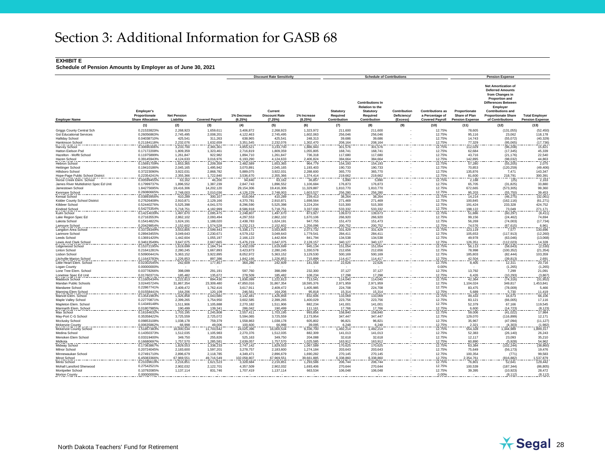#### **EXHIBIT E**

|                                         |                                                               |                                 |                        |                         | <b>Discount Rate Sensitivity</b>           |                        |                                       | <b>Schedule of Contributions</b>                                                           |                                         |                                                                      |                                                          | <b>Pension Expense</b>                                                                                                                                                                                                    |                                                 |
|-----------------------------------------|---------------------------------------------------------------|---------------------------------|------------------------|-------------------------|--------------------------------------------|------------------------|---------------------------------------|--------------------------------------------------------------------------------------------|-----------------------------------------|----------------------------------------------------------------------|----------------------------------------------------------|---------------------------------------------------------------------------------------------------------------------------------------------------------------------------------------------------------------------------|-------------------------------------------------|
| <b>Employer Name</b>                    | <b>Employer's</b><br>Proportionate<br><b>Share Allocation</b> | <b>Net Pension</b><br>Liability | <b>Covered Payroll</b> | 1% Decrease<br>(6.25%)  | Current<br><b>Discount Rate</b><br>(7.25%) | 1% Increase<br>(8.25%) | Statutory<br>Required<br>Contribution | <b>Contributions In</b><br><b>Relation to the</b><br>Statutory<br>Required<br>Contribution | Contribution<br>Deficiency/<br>(Excess) | <b>Contributions as</b><br>a Percentage of<br><b>Covered Payroll</b> | Proportionate<br>Share of Plan<br><b>Pension Expense</b> | <b>Net Amortization of</b><br><b>Deferred Amounts</b><br>from Changes in<br><b>Proportion and</b><br><b>Differences Between</b><br>Employer<br><b>Contributions and</b><br><b>Proportionate Share</b><br>of Contributions | <b>Total Employer</b><br><b>Pension Expense</b> |
|                                         | (1)                                                           | (2)                             | (3)                    | (4)                     | (5)                                        | (6)                    | (7)                                   | (8)                                                                                        | (9)                                     | (10)                                                                 | (11)                                                     | (12)                                                                                                                                                                                                                      | (13)                                            |
| Griggs County Central Sch               | 0.21533823%                                                   | 2,268,923                       | 1,659,611              | 3,406,872               | 2,268,923                                  | 1,323,972              | 211,600                               | 211,600                                                                                    |                                         | 12.75%                                                               | 78,605                                                   | (131, 055)                                                                                                                                                                                                                | (52, 450)                                       |
| <b>Gst Educational Services</b>         | 0.26056863%                                                   | 2,745,495                       | 2,008,201              | 4,122,463               | 2,745,495                                  | 1,602,063              | 256,046                               | 256,046                                                                                    |                                         | 12.75%                                                               | 95,116                                                   | 23,062                                                                                                                                                                                                                    | 118,178                                         |
| <b>Halliday School</b>                  | 0.04038710%                                                   | 425,541                         | 311,263                | 638,965                 | 425,541                                    | 248,313                | 39,686                                | 39,686                                                                                     |                                         | 12.75%                                                               | 14.743                                                   | (55,072)                                                                                                                                                                                                                  | (40, 329)                                       |
| Hankinson School                        | 0.21184118%                                                   | 2,232,076                       | 1,632,659              | 3,351,545               | 2,232,076                                  | 1,302,470              | 208,164                               | 208,164                                                                                    |                                         | 12.75%                                                               | 77,329                                                   | (95,065)                                                                                                                                                                                                                  | (17, 736)                                       |
| Harvey School                           | 0.30690306%                                                   | 3,233,700                       | 2,365,301              | 4,855,521               | 3,233,700                                  | 1,886,943              | 301,576                               | 301,576                                                                                    |                                         | 12.75%                                                               | 112,029                                                  | (96, 208)                                                                                                                                                                                                                 | 15,821                                          |
| Hatton Eielson Psd                      | 0.17172208%                                                   | 1,809,359                       | 1,323,461              | 2,716,819               | 1,809,359                                  | 1,055,805              | 168,741                               | 168,741                                                                                    |                                         | 12.75%                                                               | 62,684                                                   | (17, 345)                                                                                                                                                                                                                 | 45,339                                          |
| Hazelton - Moffit School                | 0.11975899%                                                   | 1.261.847                       | 922,982                | 1,894,710               | 1,261,847                                  | 736,318                | 117,680                               | 117.680                                                                                    |                                         | 12.75%                                                               | 43.716                                                   | (21, 176)                                                                                                                                                                                                                 | 22,540                                          |
| Hazen School                            | 0.39145943%                                                   | 4,124,633                       | 3,016,976              | 6,193,290               | 4,124,633                                  | 2,406,824              | 384,664                               | 384.664                                                                                    |                                         | 12.75%                                                               | 142,895                                                  | (98, 032)                                                                                                                                                                                                                 | 44,863<br>2,075                                 |
| Hebron School                           | 0.15691709%                                                   | 1.653.365                       | 1.209.359              | 2.482.589               | 1,653,365                                  | 964,779                | 154,193                               | 154.193                                                                                    |                                         | 12.75%                                                               | 57,280                                                   | (55, 205)                                                                                                                                                                                                                 |                                                 |
| <b>Hettinger School</b>                 | 0.19410186%                                                   | 2,045,165                       | 1,495,942              | 3,070,891               | 2,045,165                                  | 1,193,403              | 190,733                               | 190.733                                                                                    |                                         | 12.75%                                                               | 70,853                                                   | (120, 259)                                                                                                                                                                                                                | (49, 406)                                       |
| Hillsboro School                        | 0.37223090%                                                   | 3,922,031                       | 2,868,782              | 5,889,075               | 3,922,031                                  | 2,288,600              | 365,770                               | 365,770                                                                                    |                                         | 12.75%                                                               | 135,876                                                  | 7,471                                                                                                                                                                                                                     | 143,347                                         |
| Hope-Page Public School District        | 0.22354241%                                                   | 2,355,366                       | 1,722,840              | 3,536,670               | 2,355,366                                  | 1,374,414              | 219,662                               | 219,662                                                                                    |                                         | 12.75%                                                               | 81,600                                                   | 218,791                                                                                                                                                                                                                   | 300,391                                         |
| Horse Creek Elem. School                | 0.005994559                                                   | 63,162                          | 46,200                 | 94,840                  | 63,162                                     | 36,857                 | 5,890                                 | 5,890                                                                                      |                                         | 12.75%                                                               | 2,188                                                    | (25)                                                                                                                                                                                                                      | 2,163                                           |
| James River Multidistrict Spec Ed Unit  | 0.17999737%                                                   | 1,896,552                       | 1,387,239              | 2,847,743               | 1,896,552                                  | 1,106,684              | 176,873                               | 176,873                                                                                    |                                         | 12.75%                                                               | 65,705                                                   | (31, 825)                                                                                                                                                                                                                 | 33,880                                          |
| Jamestown School                        | 1.84275695%                                                   | 19,416,306                      | 14,202,120             | 29, 154, 306            | 19,416,306                                 | 11,329,887             | 1,810,770                             | 1,810,770                                                                                  |                                         | 12.75%                                                               | 672,665                                                  | (573, 305)                                                                                                                                                                                                                | 99,360                                          |
| Kenmare School                          | 0.26080665%                                                   | 2,748,003                       | 2,010,036              | 4,126,229               | 2,748,003                                  | 1,603,527              | 256,280<br>38,264                     | 256,280                                                                                    |                                         | 12.75%<br>12.75%                                                     | 95,203<br>14,214                                         | $\frac{(55,750)}{(46,275)}$                                                                                                                                                                                               | 39,453<br>(32,061)                              |
| Kensal School                           | 0.03893956%                                                   | 410,289                         | 300,107                | 616,064                 | 410,289                                    | 239,413                |                                       | 38,264                                                                                     |                                         |                                                                      |                                                          |                                                                                                                                                                                                                           |                                                 |
| Kidder County School District           | 0.27626408%                                                   | 2.910.871                       | 2.129.166              | 4,370,781               | 2.910.871                                  | 1.698.564              | 271.469                               | 271.469                                                                                    |                                         | 12.75%                                                               | 100.845                                                  | (162.116)                                                                                                                                                                                                                 | (61.271)                                        |
| Killdeer School                         | 0.52440276%                                                   | 5.525.398                       | 4,041,570              | 8,296,590               | 5.525.398                                  | 3.224.204              | 515,300                               | 515,300                                                                                    |                                         | 12.75%                                                               | 191.424                                                  | 233.328                                                                                                                                                                                                                   | 424,752                                         |
| Kindred School                          | 0.54275354%                                                   | 5,718,751                       | 4.182.999              | 8.586.918               | 5.718.751                                  | 3,337,030              | 533,332                               | 533.332                                                                                    |                                         | 12.75%                                                               | 198,122                                                  | 73,049<br>(60,297)                                                                                                                                                                                                        | 271,171                                         |
| Kulm School                             | 0.14214039%                                                   | 1,497,670                       | 1,095,475              | 2,248,807               | 1,497,670                                  | 873,927                | 139,673                               | 139,673                                                                                    |                                         | 12.75%                                                               | 51,886                                                   |                                                                                                                                                                                                                           | (8, 411)                                        |
| Lake Region Spec Ed                     | 0.27163553%                                                   | 2,862,102                       | 2,093,494              | 4,297,553               | 2,862,102                                  | 1,670,106              | 266,920                               | 266,920                                                                                    |                                         | 12.75%                                                               | 99,156                                                   | (24, 462)                                                                                                                                                                                                                 | 74,694                                          |
| Lakota School                           | 0.15414822%<br>0.20429854%                                    | 1,624,191<br>2,152,602          | 1,188,020<br>1,574,528 | 2,438,783<br>3.232.213  | 1,624,191<br>2,152,602                     | 947,755                | 151,473<br>200,752                    | 151,473<br>200.752                                                                         |                                         | 12.75%                                                               | 56,269                                                   | (74,003)                                                                                                                                                                                                                  | (17, 734)                                       |
| Lamoure School                          | 0.33728349%                                                   | 3,553,805                       | 2,599,443              | 5,336,171               | 3,553,805                                  | 1,256,096<br>2,073,732 | 331,429                               | 331,429                                                                                    |                                         | 12.75%<br>12.75%                                                     | 74,576<br>123,119                                        | $\frac{(67,615)}{7,577}$                                                                                                                                                                                                  | 6,961<br>130,696                                |
| Langdon Area School<br>Larimore School  | 0.28943455%                                                   | 3,049,643                       | 2,230,671              | 4,579,152               | 3,049,643                                  | 1,779,541              | 284,411                               | 284,411                                                                                    |                                         | 12.75%                                                               | 105,653                                                  | (117, 913)                                                                                                                                                                                                                | (12, 260)                                       |
| Leeds School                            | 0.13691420%                                                   | 1,442,604                       | 1,055,197              | 2,166,123               | 1,442,604                                  | 841.794                | 134,538                               | 134.538                                                                                    |                                         | 12.75%                                                               | 49,978                                                   | (63,046)                                                                                                                                                                                                                  | (13,068)                                        |
| Lewis And Clark Schoo                   | 0.34613549%                                                   | 3,647,075                       | 2,667,665              | 5,476,219               | 3,647,075                                  | 2,128,157              | 340,127                               | 340,127                                                                                    |                                         | 12.75%                                                               | 126,351                                                  | (112, 023)                                                                                                                                                                                                                | 14,328                                          |
| Lidgerwood School                       | 0.15372195%                                                   | 1,619,699                       | 1,184,734              | 2,432,039               | 1,619,699                                  | 945,134                | 151,054                               | 151,054                                                                                    |                                         | 12.75%                                                               | 56,113                                                   | (58, 643)                                                                                                                                                                                                                 | (2,530)                                         |
| Linton School                           | 0.21641281%                                                   | 2,280,245                       | 1,667,893              | 3,423,873               | 2,280,245                                  | 1,330,578              | 212,656                               | 212,656                                                                                    |                                         | 12.75%                                                               | 78,998                                                   | (100, 352)                                                                                                                                                                                                                | (21, 354)                                       |
| Lisbon School                           | 0.50900441%                                                   | 5,363,152                       | 3.922.895              | 8,052,972               | 5,363,152                                  | 3,129,530              | 500.169                               | 500.169                                                                                    |                                         | 12.75%                                                               | 185.803                                                  | (82.444)                                                                                                                                                                                                                  | 103,359                                         |
| Litchville-Marion School                | 0.11643783%                                                   | 1,226,853                       | 897,386                | 1,842,166               | 1,226,853                                  | 715,899                | 114,417                               | 114.417                                                                                    |                                         | 12.75%                                                               | 42,504                                                   | (39, 813)                                                                                                                                                                                                                 |                                                 |
| Little Heart Elem, School               | 0.02302545%                                                   | 242,609                         | 177.457                | 364,286                 | 242,609                                    | 141,568                | 22,626                                | 22,626                                                                                     |                                         | 12.75%                                                               | 8,405                                                    | 12,311                                                                                                                                                                                                                    | 2,691<br>20,716                                 |
| Logan County                            | 0.00000000%                                                   | $\sim$                          | . .                    | ×                       | $\sim$                                     | $\sim$                 | $\sim$                                | $\sim$                                                                                     |                                         | 0.00%                                                                | $\sim$                                                   | (1,265)                                                                                                                                                                                                                   | (1,265)                                         |
| Lone Tree Elem. School                  | 0.03778266%                                                   | 398,099                         | 291,191                | 597.760                 | 398,099                                    | 232,300                | 37,127                                | 37.127                                                                                     |                                         | 12.75%                                                               | 13.792                                                   | 7.299                                                                                                                                                                                                                     | 21,091                                          |
| Lonetree Spec Ed Unit                   | 0.01760371%                                                   | 185,482                         | 135,672                | 278,509                 | 185,482                                    | 108,234                | 17,298                                | 17,298                                                                                     |                                         | 12.75%                                                               | 6,426                                                    | (10, 293)                                                                                                                                                                                                                 |                                                 |
| Maddock School                          | 0.11605434%                                                   | ,222,813                        | 894,430                | 1,836,099               | 1,222,813                                  | 713,541                | 114,040                               | 114,040                                                                                    |                                         | 12.75%                                                               | 42,364                                                   | (74, 316)                                                                                                                                                                                                                 | $(3,867)$<br>$(31,952)$                         |
| Mandan Public Schools                   | 3.02445724%                                                   | 31,867,354                      | 23,309,480             | 47,850,016              | 31,867,354                                 | 18,595,376             | 2,971,959                             | 2,971,959                                                                                  |                                         | 12.75%                                                               | 1,104,024                                                | 349,817                                                                                                                                                                                                                   | 1,453,841                                       |
| Mandaree School                         | 0.22867741%                                                   | 2,409,472                       | 1,762,416              | 3,617,911               | 2,409,472                                  | 1,405,985              | 224,708                               | 224,708                                                                                    |                                         | 12.75%                                                               | 83,475                                                   | (78,009)                                                                                                                                                                                                                  | 5,466                                           |
| Manning Elem Schoo                      | 0.01558441%                                                   | 164,206                         | 120,109                | 246,561                 | 164,206                                    | 95,818                 | 15,314                                | 15,314                                                                                     |                                         | 12.75%                                                               | 5,689                                                    | $\frac{5,730}{16,673}$                                                                                                                                                                                                    | 11,419<br>66,106                                |
| Manvel Elem. School                     | 0.13541983%                                                   | 1,426,858                       | 1,043,680              | 2,142,481               | 1,426,858                                  | 832,606                | 133,069                               | 133,069                                                                                    |                                         | 12.75%                                                               | 49,433                                                   |                                                                                                                                                                                                                           |                                                 |
| Maple Valley School                     | 0.22770871%                                                   | 2,399,265                       | 1,754,950              | 3,602,585               | 2.399.265                                  | 1.400.029              | 223.756                               | 223.756                                                                                    |                                         | 12.75%                                                               | 83.121                                                   | (66.005)                                                                                                                                                                                                                  | 17,116                                          |
| Mapleton Elem, School                   | 0.14349148%                                                   | 1.511.906                       | 1,105,888              | 2,270,182               | 1.511.906                                  | 882.234                | 141.001                               | 141.001                                                                                    |                                         | 12.75%                                                               | 52.379                                                   | 67.166                                                                                                                                                                                                                    | 119,545                                         |
| Marmarth Elem. School                   | 0.01807985%                                                   | 190,499                         | 139,341                | 286,042                 | 190,499                                    | 111,161                | 17,766                                | 17,766                                                                                     |                                         | 12.75%                                                               | 6,600                                                    | (14, 723)                                                                                                                                                                                                                 | (8, 123)                                        |
| Max School                              | 0.16164632%                                                   | 1,703,195                       | 1,245,808              | 2,557,411               | 1,703,195                                  | 993,856                | 158,840                               | 158,840                                                                                    |                                         | 12.75%                                                               | 59,006                                                   | (41, 022)                                                                                                                                                                                                                 | 17,984                                          |
| May-Port C-G School                     | 0.35358422%                                                   | 3,725,559                       | 2,725,072              | 5,594,065               | 3,725,559                                  | 2,173,954              | 347,447                               | 347,447                                                                                    |                                         | 12.75%                                                               | 129,070                                                  | (116, 899)                                                                                                                                                                                                                | 12,171                                          |
| Mcclusky School                         | 0.09853108%<br>0.00635862%                                    | 1,038,178                       | 759,379<br>49,006      | 1,558,863<br>100,600    | 1,038,178                                  | 605,802                | 96,821<br>6,248                       | 96,821<br>6,248                                                                            |                                         | 12.75%<br>12.75%                                                     | 35,967                                                   | (47, 094)<br>(4, 303)                                                                                                                                                                                                     | (11, 127)                                       |
| <b>Mckenzie County</b>                  |                                                               | 66,998                          |                        |                         | 66,998                                     | 39,095                 |                                       |                                                                                            |                                         |                                                                      | 2,321                                                    |                                                                                                                                                                                                                           | (1,982)                                         |
| Mckenzie County School<br>Medina School | 1.51857383%<br>0.14350373%                                    | 16,000,534<br>1,512,035         | 11,703,642             | 24,025,396<br>2,270,376 | 16,000,534<br>1,512,035                    | 9,336,700<br>882,309   | 1,492,214<br>141,013                  | 1,492,214<br>141,013                                                                       |                                         | 12.75%<br>12.75%                                                     | 554,328<br>52,383                                        | 1,344,989<br>(26, 140)                                                                                                                                                                                                    | 1,899,317<br>26,243                             |
| Menoken Elem School                     | 0.03319400%                                                   | 349,750                         | 1,105,983<br>255,826   | 525,163                 | 349,750                                    | 204.088                | 32.618                                | 32,618                                                                                     |                                         | 12.75%                                                               | 12,117                                                   | 23.093                                                                                                                                                                                                                    | 35,210                                          |
| Midkota                                 | 0.16680697%                                                   | 1,757,570                       | 1,285,581              | 2.639.057               | 1,757,570                                  |                        | 163,912                               | 163,912                                                                                    |                                         | 12.75%                                                               | 60,890                                                   | (5,928)                                                                                                                                                                                                                   |                                                 |
| Midway School                           | 0.17363867%                                                   | 1,829,553                       | 1,338,233              | 2,747,142               | 1,829,553                                  | 1,025,585<br>1,067,589 | 170,625                               | 170,625                                                                                    |                                         | 12.75%                                                               | 63,384                                                   | (102, 244)                                                                                                                                                                                                                | 54,962<br>(38, 860)                             |
| Milnor School                           | 0.20724045%                                                   | 2,183,600                       | 1,597,201              | 3,278,757               | 2,183,600                                  | 1,274,184              | 203,643                               | 203,643                                                                                    |                                         | 12.75%                                                               | 75,649                                                   | (56, 173)                                                                                                                                                                                                                 | 19,476                                          |
| Minnewaukan School                      | 0.27491710%                                                   | 2,896,679                       | 2,118,785              | 4,349,471               | 2,896,679                                  | 1,690,282              | 270,145                               | 270,145                                                                                    |                                         | 12.75%                                                               | 100,354                                                  | (771)                                                                                                                                                                                                                     | 99,583                                          |
| Minot School                            | 6.45083366%                                                   | 67,969,551                      | 49,716,549             | 102,058,807             | 67,969,551                                 | 39,661,885             | 6,338,860                             | 6.338.860                                                                                  |                                         | 12.75%                                                               | 2,354,761                                                | (816, 882)                                                                                                                                                                                                                | ,537,879                                        |
| Minto School                            | 0.21039619%                                                   | 2,216,851                       | 1,621,523              | 3,328,684               | 2,216,851                                  | 1.293.586              | 206,744                               | 206.744                                                                                    |                                         | 12.75%                                                               | 76,801                                                   | 52,641                                                                                                                                                                                                                    | 129.442                                         |
| Mohall Lansford Sherwood                | 0.27542521%                                                   | 2,902,032                       | 2,122,701              | 4,357,509               | 2,902,032                                  | 1,693,406              | 270,644                               | 270.644                                                                                    |                                         | 12.75%                                                               | 100,539                                                  | (187, 344)                                                                                                                                                                                                                | (86, 805)                                       |
| Montpelier School                       | 0.10792085%                                                   | 1.137.114                       | 831,746                | 1,707,419               | 1,137,114                                  | 663,534                | 106.048                               | 106.048                                                                                    |                                         | 12.75%                                                               | 39,395                                                   | (10, 923)                                                                                                                                                                                                                 | 28,472                                          |
| <b>Morton County</b>                    | 0.00000000%                                                   |                                 |                        |                         |                                            |                        |                                       |                                                                                            |                                         | 0.00%                                                                |                                                          | (8, 112)                                                                                                                                                                                                                  | (8, 112)                                        |
|                                         |                                                               |                                 |                        |                         |                                            |                        |                                       |                                                                                            |                                         |                                                                      |                                                          |                                                                                                                                                                                                                           |                                                 |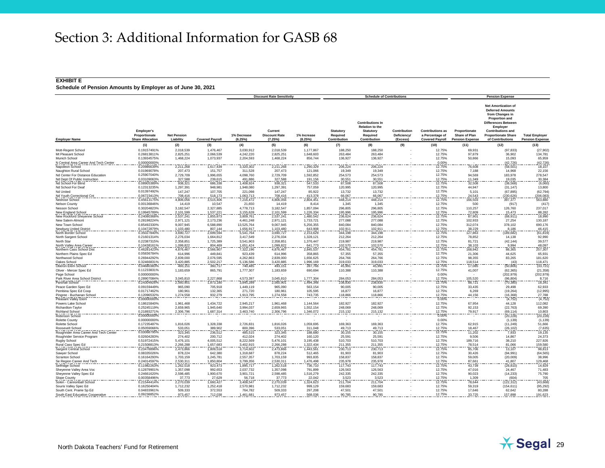#### **EXHIBIT E**

|                                                   |                                                               |                                        |                        |                        | <b>Discount Rate Sensitivity</b>          |                       |                                       | <b>Schedule of Contributions</b>                                                                  |                                         |                                                                      |                                                          | <b>Pension Expense</b>                                                                                                                                                                                                    |                                                 |
|---------------------------------------------------|---------------------------------------------------------------|----------------------------------------|------------------------|------------------------|-------------------------------------------|-----------------------|---------------------------------------|---------------------------------------------------------------------------------------------------|-----------------------------------------|----------------------------------------------------------------------|----------------------------------------------------------|---------------------------------------------------------------------------------------------------------------------------------------------------------------------------------------------------------------------------|-------------------------------------------------|
| <b>Employer Name</b>                              | <b>Employer's</b><br>Proportionate<br><b>Share Allocation</b> | <b>Net Pension</b><br><b>Liability</b> | <b>Covered Payroll</b> | 1% Decrease<br>(6.25%) | Current<br><b>Discount Rate</b><br>(7.25% | 1% Increase<br>(8.25% | Statutory<br>Required<br>Contribution | <b>Contributions In</b><br><b>Relation to the</b><br><b>Statutory</b><br>Required<br>Contribution | Contribution<br>Deficiency/<br>(Excess) | <b>Contributions as</b><br>a Percentage of<br><b>Covered Payroll</b> | Proportionate<br>Share of Plan<br><b>Pension Expense</b> | <b>Net Amortization of</b><br><b>Deferred Amounts</b><br>from Changes in<br><b>Proportion and</b><br><b>Differences Between</b><br>Employer<br><b>Contributions and</b><br><b>Proportionate Share</b><br>of Contributions | <b>Total Employer</b><br><b>Pension Expense</b> |
|                                                   | (1)                                                           | (2)                                    | (3)                    | (4)                    | (5)                                       | (6)                   | (7)                                   | (8)                                                                                               | (9)                                     | (10)                                                                 | (11)                                                     | (12)                                                                                                                                                                                                                      | (13)                                            |
| Mott-Regent School                                | 0.19157491%                                                   | 2,018,539                              | 1,476,467              | 3,030,912              | 2,018,539                                 | 1,177,867             | 188,250                               | 188,250                                                                                           |                                         | 12.75%                                                               | 69,931                                                   | (97, 833)                                                                                                                                                                                                                 | (27, 902)                                       |
| Mt Pleasant School                                | 0.26813811%                                                   | 2.825.251                              | 2.066.539              | 4.242.220              | 2.825.251                                 | 1.648.603             | 263.484                               | 263.484                                                                                           |                                         | 12.75%                                                               | 97.879                                                   | 36.902                                                                                                                                                                                                                    | 134,781                                         |
| Munich School                                     | 0.13934575%                                                   | 1,468,224                              | 1,073,937              | 2.204.593              | 1,468,224                                 | 856.744               | 136,927                               | 136.927                                                                                           |                                         | 12.75%                                                               | 50,866                                                   | 15.093                                                                                                                                                                                                                    | 65,959                                          |
| N Central Area Career And Tech Center             | 0.00000000%                                                   |                                        |                        |                        |                                           |                       |                                       |                                                                                                   |                                         | 0.00%                                                                |                                                          | (42, 726)                                                                                                                                                                                                                 | $\frac{(42,726)}{18,107}$                       |
| Napoleon School                                   | 0.209866399                                                   | 2,211,268                              | 1,617,439              | 3,320,302              | 2,211,268                                 | 1.290.329             | 206,224                               | 206,224                                                                                           |                                         | 12.75%                                                               | 76,608                                                   | (58, 501)                                                                                                                                                                                                                 |                                                 |
| Naughton Rural School                             | 0.01969078%                                                   | 207,473                                | 151,757                | 311,528                | 207,473                                   | 121,066               | 19,349                                | 19,349                                                                                            |                                         | 12.75%                                                               | 7,188                                                    | 14,968                                                                                                                                                                                                                    | 22,156                                          |
| Nd Center For Distance Education                  | 0.25907040%                                                   | 2,729,709                              | 1,996,655              | 4,098,760              | 2,729,709                                 | 1,592,852             | 254,573                               | 254,573                                                                                           |                                         | 12.75%                                                               | 94,569                                                   | 183,978                                                                                                                                                                                                                   | 278,547                                         |
| Nd Dept Of Public Instruction                     | 0.03109063%                                                   | 327,588                                | 239,615                | 491,886                | 327,588                                   | 191,156               | 30,551                                | 30,551                                                                                            |                                         | 12.75%                                                               | 11,349                                                   | 19,035                                                                                                                                                                                                                    |                                                 |
| Nd School For Blind                               | 0.08905389%                                                   | 938,321                                | 686,338                | 1,408,924              | 938,321                                   | 547,533               | 87,508                                | 87,508                                                                                            |                                         | 12.75%                                                               | 32,508                                                   | (38, 568)                                                                                                                                                                                                                 | 30,384<br>(6,060)                               |
| Nd School For Deaf                                | 0.12313235%                                                   | 1,297,391                              | 948,981                | 1,948,080              | 1,297,391                                 | 757,059               | 120,995                               | 120,995                                                                                           |                                         | 12.75%                                                               | 44,947                                                   | (31, 147)                                                                                                                                                                                                                 | 13,800                                          |
| Nd United                                         | 0.01397492%                                                   | 147,247                                | 107,705                | 221,098                | 147,247                                   | 85,922                | 13,732                                | 13,732                                                                                            |                                         | 12.75%                                                               | 5,101                                                    | (67, 895)                                                                                                                                                                                                                 | (62, 794)                                       |
| Nd Youth Correctional Cnt                         | 0.06723413%                                                   | 708.416                                | 518,173                | 1.063.713              | 708.416                                   | 413,378               | 66,067                                | 66.067                                                                                            |                                         | 12.75%                                                               | 24,543                                                   | (230, 626)                                                                                                                                                                                                                |                                                 |
| Nedrose School                                    | 0.45613175%                                                   | 4.806.056                              | 3,515,406              | 7,216,472              | 4,806,056                                 | 2.804.451             | 448.214                               | 448.214                                                                                           |                                         | 12.75%                                                               | 166,503                                                  | 397.377                                                                                                                                                                                                                   | $(206, 083)$<br>563,880                         |
| <b>Nelson County</b>                              | 0.00136846%                                                   | 14,419                                 | 10,547                 | 21,650                 | 14,419                                    | 8.414                 | 1,345                                 | 1.345                                                                                             |                                         | 12.75%                                                               | 500                                                      | (917)                                                                                                                                                                                                                     | (417)                                           |
| Nesson School                                     | 0.30204823%                                                   | 3,182,547                              | 2,327,885              | 4,778,713              | 3,182,547                                 | 1,857,094             | 296,805                               | 296.805                                                                                           |                                         | 12.75%                                                               | 110,257                                                  | 126,760                                                                                                                                                                                                                   | 237,017                                         |
| New England School                                | 0.19945789%                                                   | 2.101.599                              | 1,537,221              | 3.155.628              | 2,101,599                                 | 1.226.334             | 195.996                               | 195.996                                                                                           |                                         | 12.75%                                                               | 72,809                                                   | 15,473                                                                                                                                                                                                                    | 88,282                                          |
| New Rockford Sheyenne School                      | 0.24080368%                                                   | 2,537,241                              | 1,855,873              | 3,809,761              | 2,537,241                                 | 1,480,542             | 236,624                               | 236,624                                                                                           |                                         | 12.75%                                                               | 87,901                                                   | (68, 911)                                                                                                                                                                                                                 | 18,990                                          |
| New Salem-Almon                                   | 0.28198224%                                                   | 2,971,121                              | 2,173,236              | 4,461,248              | 2,971,121                                 | 1,733,721             | 277,088                               | 277,088                                                                                           |                                         | 12.75%                                                               | 102,933                                                  | 27,254                                                                                                                                                                                                                    | 130,187                                         |
| New Town Schoo                                    | 0.85492330%                                                   | 9,007,945                              | 6,588,890              | 13,525,764             | 9,007,945                                 | 5,256,355             | 840,084                               | 840,084                                                                                           |                                         | 12.75%                                                               | 312,074                                                  | 378,102                                                                                                                                                                                                                   | 690,176                                         |
| Newburg United District                           | 0.10472879%                                                   | 1,103,480                              | 807,144                | 1,656,917              | 1,103,480                                 | 643,908               | 102,911                               | 102,911                                                                                           |                                         | 12.75%                                                               | 38,229                                                   | 8,186                                                                                                                                                                                                                     | 46,415                                          |
| North Border School                               | 0.35027840%                                                   | 3,690,727                              | 2,699,594              | 5,541,764              | 3,690,727                                 | 2,153,629             | 344,198                               | 344,198                                                                                           |                                         | 12.75%                                                               | 127,863                                                  | (189, 682)                                                                                                                                                                                                                | (61, 819)                                       |
| North Sargent School                              | 0.21601314%                                                   | 2,276,034                              | 1,664,812              | 3,417,549              | 2,276,034                                 | 1,328,121             | 212,264                               | 212,264                                                                                           |                                         | 12.75%                                                               | 78,852                                                   | 14,138                                                                                                                                                                                                                    | 92,990                                          |
| North Star                                        | 0.22387315%                                                   | 2.358.851                              | 1.725.389              | 3.541.903              | 2.358.851                                 | 1.376.447             | 219,987                               | 219.987                                                                                           |                                         | 12.75%                                                               | 81.721                                                   | (42.144)                                                                                                                                                                                                                  | 39,577                                          |
| North Valley Area Career                          | 0.10438161%                                                   | 1.099.822                              | 804,469                | 1,651,424              | 1,099,822                                 | 641,773               | 102,570                               | 102,570                                                                                           |                                         | 12.75%                                                               | 38,103                                                   | 9,994                                                                                                                                                                                                                     | 48,097                                          |
| Northern Cass School Dis                          | 0.46281423%                                                   | 4.876.467                              | 3.566.907              | 7.322.196              | 4.876.467                                 | 2.845.537             | 454,781                               | 454,781                                                                                           |                                         | 12.75%                                                               | 168.942                                                  | 88.365                                                                                                                                                                                                                    | 257,307                                         |
| Northern Plains Spec Ed                           | 0.05836784%                                                   | 614.996                                | 449,841                | 923,439                | 614,996                                   | 358,865               | 57,355                                | 57,355                                                                                            |                                         | 12.75%                                                               | 21.306                                                   | 44.625                                                                                                                                                                                                                    | 65,931                                          |
| Northwood School                                  | 0.26944292%                                                   | 2,839,000                              | 2,076,595              | 4,262,863              | 2,839,000                                 | 1,656,625             | 264,766                               | 264,766                                                                                           |                                         | 12.75%                                                               | 98,355                                                   | 83,265                                                                                                                                                                                                                    | 181,620                                         |
|                                                   |                                                               |                                        |                        |                        |                                           |                       |                                       | 319,033                                                                                           |                                         |                                                                      |                                                          |                                                                                                                                                                                                                           |                                                 |
| Oakes School                                      | 0.32466831%                                                   | 3,420,885                              | 2,502,217              | 5,136,586<br>740,485   | 3,420,885                                 | 1,996,169<br>287,766  | 319,033                               |                                                                                                   |                                         | 12.75%                                                               | 118,514<br>17,085                                        | (43)                                                                                                                                                                                                                      | $\frac{118,471}{(33,721)}$                      |
| Oberon Elem School                                | 0.04680383%                                                   | 493,151                                | 360,717                |                        | 493,151                                   |                       | 45,991                                | 45,991                                                                                            |                                         | 12.75%                                                               |                                                          | (50, 806)                                                                                                                                                                                                                 |                                                 |
| Oliver - Mercer Spec Ed                           | 0.11233831%                                                   | 1,183,659                              | 865,791                | 1,777,307              | 1,183,659                                 | 690,694               | 110,388                               | 110,388                                                                                           |                                         | 12.75%                                                               | 41,007                                                   | (62, 365)                                                                                                                                                                                                                 | (21, 358)                                       |
| Page School                                       | 0.00000000%                                                   |                                        |                        |                        |                                           |                       |                                       |                                                                                                   |                                         | 0.00%                                                                |                                                          | (202, 979)                                                                                                                                                                                                                | (202, 979)                                      |
| Park River Area School District                   | 0.28907084%                                                   | 3,045,810                              | 2,227,868              | 4,573,397              | 3,045,810                                 | ,777,304              | 284,053                               | 284,053                                                                                           |                                         | 12.75%                                                               | 105,520<br>88,721                                        | (96, 804)                                                                                                                                                                                                                 | 8,716<br>18,341                                 |
| Parshall School                                   | 0.24304926%                                                   | 2,560,901                              | 1,873,180              | 3,845,289              | 2,560,901                                 | 1,494,348             | 238,830                               | 238,830                                                                                           |                                         | 12.75%                                                               |                                                          | (70, 380)                                                                                                                                                                                                                 |                                                 |
| Peace Garden Spec Ed                              | 0.09159449%                                                   | 965,090                                | 705,918                | 1.449.119              | 965.090                                   | 563.154               | 90.005                                | 90.005                                                                                            |                                         | 12.75%                                                               | 33.435                                                   | 29,498                                                                                                                                                                                                                    | 62.933                                          |
| Pembina Spec Ed Coop                              | 0.01717462%                                                   | 180.961                                | 132.365                | 271,720                | 180.961                                   | 105.595               | 16,877                                | 16.877                                                                                            |                                         | 12.75%                                                               | 6.269                                                    | (19.264)                                                                                                                                                                                                                  | (12.995                                         |
| Pingree - Buchanan School<br>Pleasant Valley Elem | 0.12096532%                                                   | 1,274,558                              | 932,279                | 1,913,795              | 1.274.558                                 | 743,735               | 118,866                               | 118,866                                                                                           |                                         | 12.75%                                                               | 44,156                                                   | (16, 368)                                                                                                                                                                                                                 | 27,788<br>(4,752)                               |
|                                                   | 0.00000000%                                                   |                                        |                        |                        |                                           |                       |                                       |                                                                                                   |                                         | 0.00%                                                                |                                                          | (4, 752)                                                                                                                                                                                                                  |                                                 |
| Powers Lake School                                | 0.18615840%                                                   | 1,961,468                              | 1,434,722              | 2,945,217              | 1,961,468                                 | 1,144,564             | 182,927                               | 182,927                                                                                           |                                         | 12.75%                                                               | 67,954                                                   | 44,128                                                                                                                                                                                                                    | 112,082                                         |
| Richardton-Taylor                                 | 0.25245119%<br>0.21893271%                                    | 2,659,965                              | 1,945,640              | 3,994,037              | 2,659,965                                 | 1,552,154             | 248,069                               | 248,069                                                                                           |                                         | 12.75%<br>12.75%                                                     | 92,153                                                   | (22, 763)<br>(69.114)                                                                                                                                                                                                     | 69,390                                          |
| Richland School                                   |                                                               | 2,306,796                              | 1,687,314              | 3,463,740              | 2,306,796                                 | 1,346,072             | 215,132                               | 215,132                                                                                           |                                         |                                                                      | 79,917                                                   |                                                                                                                                                                                                                           | 10,803<br>(20,228)                              |
| Robinson School                                   | 0.00000000%                                                   |                                        |                        |                        |                                           |                       |                                       |                                                                                                   |                                         | 0.00%                                                                |                                                          | (20, 228)                                                                                                                                                                                                                 |                                                 |
| <b>Rolette County</b>                             | 0.00000000%<br>0.17235487%                                    |                                        |                        |                        |                                           |                       |                                       |                                                                                                   |                                         | 0.00%<br>12.75%                                                      |                                                          | (1, 139)                                                                                                                                                                                                                  | (1, 139)                                        |
| Rolette School                                    |                                                               | 1,816,026                              | 1,328,338              | 2,726,831              | 1,816,026                                 | 1,059,695             | 169,363                               | 169,363                                                                                           |                                         |                                                                      | 62.915                                                   | (11, 249)                                                                                                                                                                                                                 | 51,666                                          |
| Roosevelt School                                  | 0.05059066%                                                   | 533,051                                | 389,902                | 800,396                | 533,051                                   | 311,048               | 49,713                                | 49,713                                                                                            |                                         | 12.75%                                                               | 18,467                                                   | (26, 102)                                                                                                                                                                                                                 | (7,635)                                         |
| Roughrider Area Career And Tech Center            | 0.03068795%                                                   | 323.345                                | 236.512                | 485.515                | 323.345                                   | 188,680               | 30.155                                | 30.155                                                                                            |                                         | 12.75%                                                               | 11.202                                                   | 7.933                                                                                                                                                                                                                     | 19.135                                          |
| Roughrider Service Program                        | 0.02604283%                                                   | 274,402                                | 200,712                | 412,024                | 274,402                                   | 160,120               | 25,591                                | 25,591                                                                                            |                                         | 12.75%                                                               | 9,506                                                    | 14,867                                                                                                                                                                                                                    | 24,373                                          |
| <b>Rugby School</b>                               | 0.51972415%                                                   | 5,476,101                              | 4,005,512              | 8,222,569              | 5,476,101                                 | 3,195,438             | 510,703                               | 510,703                                                                                           |                                         | 12.75%                                                               | 189,716                                                  | 38,210                                                                                                                                                                                                                    | 227,926                                         |
| Rural Cass Spec Ed                                | 0.21508813%                                                   | 2,266,288                              | 1,657,683              | 3,402,915              | 2,266,288                                 | 1,322,434             | 211,355                               | 211,355                                                                                           |                                         | 12.75%                                                               | 78,514                                                   | 81,066                                                                                                                                                                                                                    | 159,580<br>98,813                               |
| Sargent Central School                            | 0.23478896%                                                   | 2,473,866                              | 1,809,518              | 3,714,602              | 2,473,866                                 | .443.561              | 230,713                               | 230.713                                                                                           |                                         | 12.75%                                                               | 85,706                                                   | 13.107                                                                                                                                                                                                                    |                                                 |
| Sawyer School                                     | 0.08335026%                                                   | 878,224                                | 642,380                | 1,318,687              | 878,224                                   | 512,465               | 81,903                                | 81,903                                                                                            |                                         | 12.75%                                                               | 30,426                                                   | (94, 991)                                                                                                                                                                                                                 | (64, 565)                                       |
| Scranton School                                   | 0.16164293%                                                   | 1,703,159                              | 1,245,781              | 2,557,357              | 1,703,159                                 | 993,835               | 158,837                               | 158.837                                                                                           |                                         | 12.75%                                                               | 59,005                                                   | (20,009)                                                                                                                                                                                                                  | 38,996                                          |
| Se Region Career And Tech                         | 0.24014597%                                                   | 2,530,311                              | 1,850,804              | 3,799,356              | 2,530,311                                 | 476,498               | 235,978                               | 235,978                                                                                           |                                         | 12.75%                                                               | 87,661                                                   | 41,807                                                                                                                                                                                                                    | 129,468<br>14,929                               |
| Selfridge School                                  | 0.11982263%                                                   | 1,262,518                              | 923,473                | 1,895,717              | 1,262,518                                 | 736,710               | 117,743                               | 117,743                                                                                           |                                         | 12.75%                                                               | 43,739                                                   | (28, 810)                                                                                                                                                                                                                 |                                                 |
| Sheyenne Valley Area Voc                          | 0.12879901%                                                   | 1,357,098                              | 992,653                | 2,037,732              | 1,357,098                                 | 791.899               | 126,563                               | 126,563                                                                                           |                                         | 12.75%                                                               | 47,016                                                   | 24,467                                                                                                                                                                                                                    | 71,483                                          |
| Sheyenne Valley Spec Ed                           | 0.24661620%                                                   | 2,598,485                              | 1,900,670              | 3,901,721              | 2,598,485                                 | 1,516,279             | 242,335                               | 242,335                                                                                           |                                         | 12.75%                                                               | 90,023                                                   | (14, 233)                                                                                                                                                                                                                 | 75,790                                          |
| Slope County                                      | 0.00358496%                                                   | 37,773                                 | 27,629                 | 56,718                 | 37,773                                    | 22,042                | 3,523                                 | 3.523                                                                                             |                                         | 12.75%                                                               | 1,309                                                    | (604)                                                                                                                                                                                                                     | $\frac{705}{(43,668)}$                          |
| Solen - Cannonball School                         | 0.21544414%                                                   | 2,270,039                              | 1,660,427              | 3,408,547              | 2,270,039                                 | 1,324,623             | 211,704                               | 211,704                                                                                           |                                         | 12.75%                                                               | 78,644                                                   | (122, 312)                                                                                                                                                                                                                |                                                 |
| Souris Valley Spec Ed                             | 0.16250404%                                                   | 1,712,232                              | 1,252,418              | 2,570,981              | 1,712,232                                 | 999,129               | 159,683                               | 159,683                                                                                           |                                         | 12.75%                                                               | 59,319                                                   | (154, 611)                                                                                                                                                                                                                | (95, 292)                                       |
| South Cent. Prairie Sp Ed                         | 0.04833961%                                                   | 509.333                                | 372.553                | 764.782                | 509.333                                   | 297.208               | 47.501                                | 47.501                                                                                            |                                         | 12.75%                                                               | 17.646                                                   | 62.642                                                                                                                                                                                                                    | 80.288                                          |
| South East Education Cooperative                  | 0.09238852%                                                   | 973.457                                | 712.038                | 1.461.681              | 973.457                                   | 568.036               | 90.785                                | 90.785                                                                                            |                                         | 12.75%                                                               | 33,725                                                   | 157.898                                                                                                                                                                                                                   | 191,623                                         |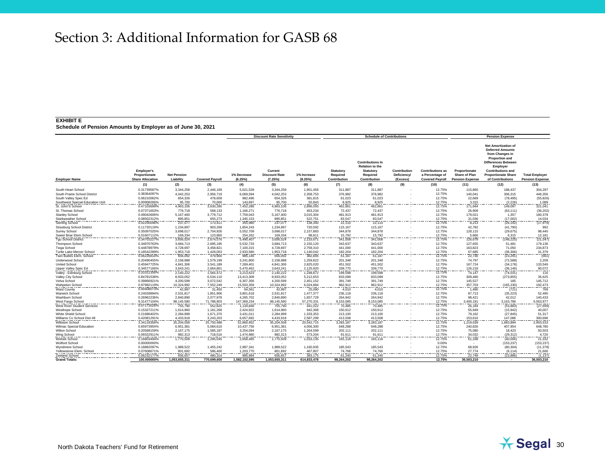#### **EXHIBIT E**

|                                  |                                                               |                                 |                        |                        | <b>Discount Rate Sensitivity</b>          |                        |                                              | <b>Schedule of Contributions</b>                                                           |                                         |                                                                      |                                                                 | <b>Pension Expense</b>                                                                                                                                                                                                    |                                                 |
|----------------------------------|---------------------------------------------------------------|---------------------------------|------------------------|------------------------|-------------------------------------------|------------------------|----------------------------------------------|--------------------------------------------------------------------------------------------|-----------------------------------------|----------------------------------------------------------------------|-----------------------------------------------------------------|---------------------------------------------------------------------------------------------------------------------------------------------------------------------------------------------------------------------------|-------------------------------------------------|
| <b>Employer Name</b>             | <b>Employer's</b><br>Proportionate<br><b>Share Allocation</b> | <b>Net Pension</b><br>Liability | <b>Covered Pavroll</b> | 1% Decrease<br>(6.25%) | Current<br><b>Discount Rate</b><br>(7.25% | 1% Increase<br>(8.25%) | <b>Statutory</b><br>Required<br>Contribution | <b>Contributions In</b><br><b>Relation to the</b><br>Statutory<br>Required<br>Contribution | Contribution<br>Deficiency/<br>(Excess) | <b>Contributions as</b><br>a Percentage of<br><b>Covered Pavroll</b> | Proportionate<br><b>Share of Plan</b><br><b>Pension Expense</b> | <b>Net Amortization of</b><br><b>Deferred Amounts</b><br>from Changes in<br><b>Proportion and</b><br><b>Differences Between</b><br>Employer<br><b>Contributions and</b><br><b>Proportionate Share</b><br>of Contributions | <b>Total Employer</b><br><b>Pension Expense</b> |
|                                  | (1)                                                           | (2)                             | (3)                    | (4)                    | (5)                                       | (6)                    | (7)                                          | (8)                                                                                        | (9)                                     | (10)                                                                 | (11)                                                            | (12)                                                                                                                                                                                                                      | (13)                                            |
| South Heart School               | 0.31739587%                                                   | 3,344,258                       | 2,446,169              | 5.021.528              | 3.344.258                                 | 1.951.456              | 311,887                                      | 311,887                                                                                    |                                         | 12.75%                                                               | 115,860                                                         | 188.437                                                                                                                                                                                                                   | 304,297                                         |
| South Prairie School District    | 0.38364097%                                                   | 4,042,253                       | 2,956,719              | 6,069,594              | 4,042,253                                 | 2,358,753              | 376,982                                      | 376,982                                                                                    |                                         | 12.75%                                                               | 140,041                                                         | 306,315                                                                                                                                                                                                                   | 446,356                                         |
| South Valley Spec Ed             | 0.06210062%                                                   | 654,326                         | 478,609                | 982,496                | 654,326                                   | 381,815                | 61,023                                       | 61,023                                                                                     |                                         | 12.75%                                                               | 22,669                                                          | (78, 495)                                                                                                                                                                                                                 | (55, 826)                                       |
| Southwest Special Education Unit | 0.00908266%                                                   | 95,700                          | 70,000                 | 143,697                | 95.700                                    | 55,843                 | 8,925                                        | 8,925                                                                                      |                                         | 12.75%                                                               | 3,315                                                           | (2, 226)                                                                                                                                                                                                                  |                                                 |
| St. John'S School                | 0.47103699%                                                   | 4.963.106                       | 3.630.280              | 7.452.288              | 4.963.106                                 | 2.896.093              | 462.861                                      | 462.861                                                                                    |                                         | 12.75%                                                               | 171,944                                                         | 149.097                                                                                                                                                                                                                   | $\frac{1,089}{321,041}$                         |
| St. Thomas School                | 0.07371653%                                                   | 776,718                         | 568,133                | 1,166,271              | 776,718                                   | 453,234                | 72,437                                       | 72,437                                                                                     |                                         | 12.75%                                                               | 26,909                                                          | (63, 111)                                                                                                                                                                                                                 | (36, 202)                                       |
| <b>Stanley School</b>            | 0.49042606%                                                   | 5,167,400                       | 3,779,712              | 7,759,043              | 5,167,400                                 | 3,015,304              | 481,913                                      | 481,913                                                                                    |                                         | 12.75%                                                               | 179,021                                                         | 1,357                                                                                                                                                                                                                     | 180,378                                         |
| Starkweather School              | 0.08502312%                                                   | 895.851                         | 655.273                | 1,345,153              | 895.851                                   | 522.751                | 83,547                                       | 83.547                                                                                     |                                         | 12.75%                                                               | 31,036                                                          | (17,002)                                                                                                                                                                                                                  | 14,034                                          |
| <b>Sterling School</b>           | 0.02250046%                                                   | 237,077                         | 173,411                | 355,980                | 237,077                                   | 138,340                | 22,110                                       | 22,110                                                                                     |                                         | 12.75%                                                               | 8,213                                                           | (26, 192)                                                                                                                                                                                                                 | (17, 979)                                       |
| Strasburg School District        | 0.11720119%                                                   | 1,234,897                       | 903,269                | 1,854,243              | 1,234,897                                 | 720,592                | 115,167                                      | 115,167                                                                                    |                                         | 12.75%                                                               | 42,782                                                          | (41,790)                                                                                                                                                                                                                  | 992                                             |
| Surrey School                    | 0.35097025%                                                   | 3,698,017                       | 2,704,926              | 5,552,709              | 3,698,017                                 | 2,157,883              | 344,878                                      | 344,878                                                                                    |                                         | 12.75%                                                               | 128,115                                                         | (29, 675)                                                                                                                                                                                                                 | 98,440                                          |
| Sweet Briar Elem School          | 0.01607112%                                                   | 169.334                         | 123,860                | 254,262                | 169.334                                   | 98.811                 | 15,792                                       | 15.792                                                                                     |                                         | 12.75%                                                               | 5,866                                                           | 6.315                                                                                                                                                                                                                     |                                                 |
| <b>Tgu School District</b>       | 0.34703227%                                                   | 3,656,524                       | 2,674,576              | 5,490,407              | 3,656,524                                 | 2,133,671              | 341,008                                      | 341,008                                                                                    |                                         | 12.75%                                                               | 126,678                                                         | (148, 225)                                                                                                                                                                                                                | $\frac{12,181}{(21,547)}$                       |
| <b>Thompson School</b>           | 0.34970763%                                                   | 3,684,713                       | 2,695,195              | 5,532,733              | 3,684,713                                 | 2,150,120              | 343,637                                      | 343,637                                                                                    |                                         | 12.75%                                                               | 127,655                                                         | 51,481                                                                                                                                                                                                                    | 179,136                                         |
| <b>Tioga School</b>              | 0.44878979%                                                   | 4,728,697                       | 3,458,821              | 7,100,315              | 4.728.697                                 | 2.759.310              | 441.000                                      | 441,000                                                                                    |                                         | 12.75%                                                               | 163.823                                                         | 71,050                                                                                                                                                                                                                    | 234,873                                         |
| Turtle Lake-Mercer School        | 0.18542289%                                                   | 1,953,718                       | 1,429,053              | 2,933,580              |                                           | 1,140,042              | 182,204                                      | 182,204                                                                                    |                                         | 12.75%                                                               | 67,685                                                          | (36, 306)                                                                                                                                                                                                                 |                                                 |
| Twin Buttes Elem. School         | 0.06226814%                                                   | 656,092                         | 479,900                | 985,146                | 1,953,718<br>656,092                      | 382,845                | 61,187                                       | 61,187                                                                                     |                                         | 12.75%                                                               | 22,730                                                          | (23, 291)                                                                                                                                                                                                                 | $\frac{31,379}{(561)}$                          |
| Underwood School                 | 0.20490455%                                                   | 2,158,988                       | 1,579,199              | 3,241,800              | 2,158,988                                 | 1,259,822              | 201,348                                      | 201,348                                                                                    |                                         | 12.75%                                                               | 74,797                                                          | (72, 588)                                                                                                                                                                                                                 | 2,209                                           |
| <b>United School</b>             | 0.45947725%                                                   | 4,841,306                       | 3,541,189              | 7,269,401              | 4,841,306                                 | 2,825,020              | 451,502                                      | 451,502                                                                                    |                                         | 12.75%                                                               | 167,724                                                         | (34, 178)                                                                                                                                                                                                                 | 133,546                                         |
| Upper Valley Spec Ed             | 0.34577166%                                                   | 3,643,241                       | 2,664,861              | 5,470,462              | 3,643,241                                 | 2,125,920              | 339,770                                      | 339,770                                                                                    |                                         | 12.75%                                                               | 126,218                                                         | (36, 146)                                                                                                                                                                                                                 | 90,072                                          |
| Valley - Edinburg School         | 0.20312356%                                                   | 2,140,222                       | 1,565,472              | 3,213,623              | 2,140,222                                 | 1,248,872              | 199,598                                      | 199,598                                                                                    |                                         | 12.75%                                                               | 74,147                                                          | (74, 031)                                                                                                                                                                                                                 | 116                                             |
| Valley City School               | 0.84781538%                                                   | 8,933,052                       | 6,534,110              | 13,413,309             | 8,933,052                                 | 5,212,653              | 833,099                                      | 833,099                                                                                    |                                         | 12.75%                                                               | 309,480                                                         | (273, 855)                                                                                                                                                                                                                | 35,625                                          |
| Velva School                     | 0.39866921%                                                   | 4,200,599                       | 3,072,542              | 6,307,356              | 4,200,599                                 | 2,451,152              | 391,749                                      | 391,749                                                                                    |                                         | 12.75%                                                               | 145,527                                                         | 185                                                                                                                                                                                                                       | 145,712                                         |
| <b>Wahpeton School</b>           | 0.97992119%                                                   | 10,324,992                      | 7,552,249              | 15,503,359             | 10,324,992                                | 6,024,884              | 962,912                                      | 962.912                                                                                    |                                         | 12.75%                                                               | 357,703                                                         | (165, 230)                                                                                                                                                                                                                |                                                 |
| <b>Ward County</b>               | 0.00408073%                                                   | 42,997                          | 31,450                 | 64,561                 | 42,997                                    | 25,090                 | 4,010                                        | 4,010                                                                                      |                                         | 12.75%                                                               | 1,490                                                           | (721)                                                                                                                                                                                                                     | 192,473<br>769                                  |
| Warwick School                   | 0.24028894%                                                   | 2,531,817                       | 1,851,906              | 3,801,618              | 2,531,817                                 | 1,477,377              | 236,118                                      | 236,118                                                                                    |                                         | 12.75%                                                               | 87,713                                                          | (35, 223)                                                                                                                                                                                                                 | 52,490                                          |
| Washburn School                  | 0.26962236%                                                   | 2,840,890                       | 2,077,978              | 4,265,702              | 2,840,890                                 | 1,657,729              | 264,942                                      | 264,942                                                                                    |                                         | 12.75%                                                               | 98,421                                                          | 42,012                                                                                                                                                                                                                    | 140,433                                         |
| West Fargo School                | 9.31477104%                                                   | 98,145,580                      | 71,788,903             | 147.369.234            | 98,145,580                                | 57,270,331             | 9,153,085                                    | 9,153,085                                                                                  |                                         | 12.75%                                                               | 3.400.191                                                       | 3,163,786                                                                                                                                                                                                                 | 6,563,977                                       |
| West River Student Services      | 0.07173026%                                                   | 755,790                         | 552,825                | 1,134,846              | 755,790                                   | 441,022                | 70,485                                       | 70,485                                                                                     |                                         | 12.75%                                                               | 26,184                                                          | (53, 883)                                                                                                                                                                                                                 | (27, 699)                                       |
| <b>Westhope School</b>           | 0.15327211%                                                   | 1,614,960                       | 1,181,268              | 2,424,922              | 1,614,960                                 | 942,368                | 150,612                                      | 150,612                                                                                    |                                         | 12.75%                                                               | 55,949                                                          | (15, 942)                                                                                                                                                                                                                 | 40,007                                          |
| White Shield School              | 0.21686402%                                                   | 2,284,999                       | 1.671.370              | 3.431.011              | 2.284.999                                 | 1.333.353              | 213,100                                      | 213,100                                                                                    |                                         | 12.75%                                                               | 79.162                                                          | (27, 845)                                                                                                                                                                                                                 | 51,317                                          |
| Williams Co School Dist #8       | 0.42081291%                                                   | 4.433.918                       | 3.243.203              | 6.657.692              | 4.433.918                                 | 2.587.299              | 413,508                                      | 413.508                                                                                    |                                         | 12.75%                                                               | 153,610                                                         | 147.086                                                                                                                                                                                                                   | 300,696                                         |
| <b>Williston School</b>          | 3.34118356%                                                   | 35,204,558                      | 25,750,488             | 52,860,952             | 35,204,558                                | 20,542,715             | 3,283,187                                    | 3,283,187                                                                                  |                                         | 12.75%                                                               | ,219,639                                                        | 1,683,894                                                                                                                                                                                                                 | 2,903,533                                       |
| Wilmac Special Education         | 0.65973954%                                                   | 6,951,381                       | 5,084,610              | 10,437,756             | 6,951,381                                 | 4,056,300              | 648,288                                      | 648,288                                                                                    |                                         | 12.75%                                                               | 240,826                                                         | 407,954                                                                                                                                                                                                                   | 648,780                                         |
| Wilton School                    | 0.20568159%                                                   | 2,167,175                       | 1,585,187              | 3,254,094              | 2,167,175                                 | 1,264,599              | 202,111                                      | 202,111                                                                                    |                                         | 12.75%                                                               | 75,080                                                          | 18,423                                                                                                                                                                                                                    | 93,503                                          |
|                                  | 0.09322911%                                                   | 982.313                         | 718,516                | 1.474.980              | 982.313                                   | 573.204                | 91.61                                        | 91.611                                                                                     |                                         | 12.75%                                                               | 34.032                                                          | (29, 312)                                                                                                                                                                                                                 |                                                 |
| Wing School<br>Wishek School     | 0.16803494%                                                   | 1,770,509                       | 1,295,045              | 2,658,485              | 1,770,509                                 | 1,033,135              | 165,118                                      | 165,118                                                                                    |                                         | 12.75%                                                               | - - - -<br>61,338                                               | (40,006)                                                                                                                                                                                                                  | $\frac{4,720}{21,332}$                          |
| <b>Wolford School</b>            | 0.00000000%                                                   |                                 |                        |                        |                                           |                        |                                              | $\overline{\phantom{a}}$                                                                   |                                         | 0.00%                                                                |                                                                 | (153, 237)                                                                                                                                                                                                                | (153, 237)                                      |
| Wyndmere School                  | 0.18882097%                                                   | 1,989,522                       | 1,455,242              | 2,987,341              | 1,989,522                                 | 1,160,935              | 185,543                                      | 185,543                                                                                    |                                         | 12.75%                                                               | 68,926                                                          | (80, 304)                                                                                                                                                                                                                 | (11, 378)                                       |
| Yellowstone Elem. School         | 0.07608671%                                                   | 801,692                         | 586,400                | 1,203,770              | 801,692                                   | 467,807                | 74,766                                       | 74,766                                                                                     |                                         | 12.75%                                                               | 27,774                                                          | (6, 114)                                                                                                                                                                                                                  |                                                 |
| Zeeland School                   | 0.06232177%                                                   | 656,657                         | 480.314                | 985.994                | 656.657                                   | 383.175                | 61,240                                       | 61,240                                                                                     |                                         | 12.75%                                                               | 22,749                                                          | (23, 886)                                                                                                                                                                                                                 | $\frac{21,660}{(1,137)}$                        |
| <b>Grand Totals:</b>             | 100.000000%                                                   | 1.053.655.311                   | 770,699,600            | 1,582,102,595          | 1.053.655.311                             | 614.833.478            | 98.264.202                                   | 98,264,202                                                                                 | $\overline{a}$                          | 12.75%                                                               | 36.503.210                                                      | $\sim$                                                                                                                                                                                                                    | 36,503,210                                      |

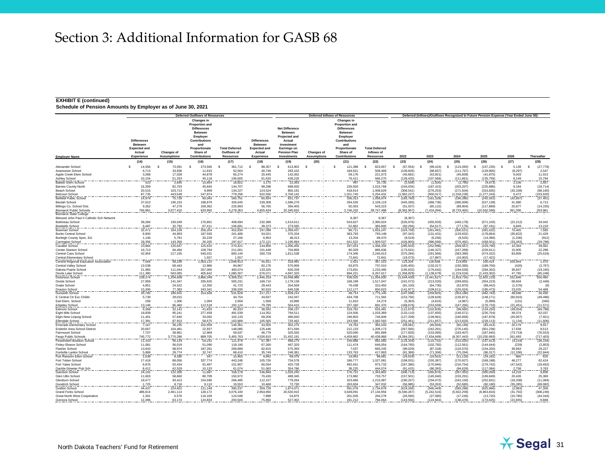#### **EXHIBIT E (continued)**

|                                                               |                                                                       |                        | <b>Deferred Outflows of Resources</b>                                                   |                                      |                                                                |                                                                  |                    | <b>Deferred Inflows of Resources</b>                                             | Deferred (Inflows)/Outflows Recognized In Future Pension Expense (Year Ended June 30) |                           |                              |                             |                              |                        |                           |  |
|---------------------------------------------------------------|-----------------------------------------------------------------------|------------------------|-----------------------------------------------------------------------------------------|--------------------------------------|----------------------------------------------------------------|------------------------------------------------------------------|--------------------|----------------------------------------------------------------------------------|---------------------------------------------------------------------------------------|---------------------------|------------------------------|-----------------------------|------------------------------|------------------------|---------------------------|--|
|                                                               |                                                                       |                        | <b>Changes in</b><br><b>Proportion and</b><br><b>Differences</b><br>Between<br>Employer |                                      |                                                                | <b>Net Difference</b><br>Between<br>Projected and                |                    | Changes in<br><b>Proportion and</b><br><b>Differences</b><br>Between<br>Employer |                                                                                       |                           |                              |                             |                              |                        |                           |  |
|                                                               | <b>Differences</b><br><b>Between</b><br><b>Expected and</b><br>Actual | <b>Changes of</b>      | <b>Contributions</b><br>and<br>Proportionate<br>Share of                                | <b>Total Deferred</b><br>Outflows of | <b>Differences</b><br>Between<br><b>Expected and</b><br>Actual | Actual<br>Investmen<br><b>Earnings on</b><br><b>Pension Plan</b> | <b>Changes of</b>  | <b>Contributions</b><br>and<br>Proportionate<br>Share of                         | <b>Total Deferred</b><br>Inflows of                                                   |                           |                              |                             |                              |                        |                           |  |
| <b>Employer Name</b>                                          | <b>Experience</b>                                                     | <b>Assumptions</b>     | <b>Contributions</b>                                                                    | <b>Resources</b>                     | Experience                                                     | Investments                                                      | <b>Assumptions</b> | <b>Contributions</b>                                                             | <b>Resources</b>                                                                      | 2022                      | 2023                         | 2024                        | 2025                         | 2026                   | Thereafter                |  |
|                                                               | (14)                                                                  | (15)                   | (16)                                                                                    | (17)                                 | (18)                                                           | (19)                                                             | (20)               | (21)                                                                             | (22)                                                                                  | (23)                      | (24)                         | (25)                        | (26)                         | (27)                   | (28)                      |  |
| Alexander School                                              | 14.556                                                                | 73,591<br>-S<br>33,936 | 273.565<br>-8                                                                           | 361.712                              | 88.357<br>- \$                                                 | 613,902<br>-S<br>283,102                                         | .s                 | 121.398<br>s                                                                     | 823.657<br>- \$                                                                       | (67, 554)<br>s            | (99, 424)<br>-9              | (115,093)                   | (157, 235)<br>-8             | 5,139<br>s<br>(8, 297) | (27, 778)<br>2,547        |  |
| Anamoose School<br>Apple Creek Elem School                    | 6,713<br>3.368                                                        | 17.028                 | 11,915<br>44.878                                                                        | 52,564<br>65.274                     | 40,746<br>20.445                                               | 142.052                                                          |                    | 184,621<br>59.176                                                                | 508,469<br>221.673                                                                    | (109, 826)<br>(45.681)    | (98, 657)<br>(43.921)        | (111, 767)<br>(45.839)      | (129, 905)<br>(41, 875)      | 9.003                  | 11.913                    |  |
| Ashley School                                                 | 10.154                                                                | 51.333                 | 45.118                                                                                  | 106.605                              | 61.633                                                         | 428.226                                                          |                    | 76.411                                                                           | 566,270                                                                               | (128.420)                 | (107,568)                    | (111.861)                   | (135, 759)                   | 8.149                  | 15.794                    |  |
| <b>Bakker Elem School</b><br>Barnes County North              | 523<br>16,359                                                         | 2.645<br>82,703        | 15,654<br>45.645                                                                        | 18,822<br>144,707                    | 3.175<br>99.298                                                | 22,063<br>689,920                                                |                    | 497<br>226,550                                                                   | 25,735<br>1,015,768                                                                   | (2.509)<br>(244, 034)     | (1,500)<br>(187, 415)        | (2,795)<br>(203, 207)       | (4, 873)<br>(225, 886)       | 2.106<br>9.194         | 2.65<br>(19, 714)         |  |
| Beach School                                                  | 20,515                                                                | 103,713                | 9,999                                                                                   | 134,227                              | 124,524                                                        | 865,191                                                          |                    | 418,914                                                                          | 1,408,629                                                                             | (308, 541)                | (276, 253)                   | (271, 504)                  | (316, 835)                   | (33, 108)              | (68, 160)                 |  |
| <b>Belcourt School</b>                                        | 87,735                                                                | 443,549                | 247,974                                                                                 | 779,258                              | 532,550                                                        | 3,700,142                                                        |                    | 1,021,740                                                                        | 5,254,432                                                                             | (1,082,227)               | (950, 017)                   | (1,018,239)                 | 1,277,243)                   | 6,472                  | (153, 920)                |  |
| <b>Belfield Public School</b>                                 | 14,979<br>37,613                                                      | 75,729                 | 90,043<br>198,879                                                                       | 180,751<br>426,645                   | 90,924<br>228,308                                              | 631,737<br>1,586,276                                             |                    | 336,313<br>294,535                                                               | 1,058,974                                                                             | (183, 760)<br>(445, 285)  | (181, 329)<br>(368, 736)     | (190, 286)<br>(390,009)     | (242, 591)<br>(527, 138)     | (42, 857)<br>41,980    | (37, 401)<br>6,713        |  |
| Beulah School<br>Billings Co. School Dist                     | 9,352                                                                 | 190,153<br>47,279      | 169,362                                                                                 | 225,993                              | 56,765                                                         | 394,405                                                          |                    | 92,053                                                                           | 2,109,119<br>543,223                                                                  | (51,037)                  | (65, 122)                    | (89, 904)                   | (117, 889)                   | 20,877                 | (14, 155)                 |  |
| <b>Bismarck Public Schools</b>                                | 766,961                                                               | 3,877,410              | 633,992                                                                                 | 5,278,363                            | 4,655,434                                                      | 32,345,832                                                       |                    | 2,746,232                                                                        | 39,747,498                                                                            | (8,381,957)               | (7, 416, 094)                | (8,733,455)                 | (10, 562, 596)               | 361,006                | 263,961                   |  |
| <b>Bismarck State College</b>                                 |                                                                       |                        |                                                                                         |                                      |                                                                |                                                                  |                    |                                                                                  |                                                                                       |                           |                              |                             |                              |                        |                           |  |
| Blessed John Paul II Catholic Sch Network<br>Bottineau School | 38,284                                                                | 193,549                | $\overline{\phantom{a}}$<br>176,861                                                     | 408,694                              | 232,386                                                        | 1,614,611                                                        |                    | 8.367<br>543,627                                                                 | 8.367<br>2,390,624                                                                    | (8.367)<br>(526, 976)     | (455, 503)                   | (440, 178)                  | (571, 103)                   | (22, 212)              | 34,042                    |  |
| <b>Bowbells School</b>                                        | 6.487                                                                 | 32.793                 | 67.41                                                                                   | 106.691                              | 39.373                                                         | 273,565                                                          |                    | 52.862                                                                           | 365,800                                                                               | (60, 294)                 | (54, 517)                    | (77, 176)                   | (87, 191)                    | 6.849                  | 13,219                    |  |
| Bowman School                                                 | 32,471                                                                | 164.159                | 256.204                                                                                 | 452,834                              | 197,099                                                        | 1.369.437                                                        |                    | 86,711                                                                           | 653,247                                                                               | (324, 759)                | (261, 491)                   | (300, 521)                  | (391, 632)                   | 70,405                 | 7,585                     |  |
| <b>Burke Central School</b><br>Burleigh County Spec. Ed.      | 8,900<br>1.146                                                        | 44,993<br>5,791        | 187,593<br>20,229                                                                       | 241,486<br>27.166                    | 54,021<br>6,953                                                | 375,334<br>48,313                                                |                    | 363,793<br>13,204                                                                | 793,148<br>68,470                                                                     | (97, 342)<br>(9,019)      | (131, 431)<br>(6, 256)       | (129, 632)<br>(9,525)       | (178, 864)<br>(14, 386)      | (35, 822)<br>(1,206)   | 21,429<br>(912)           |  |
| Carrington School                                             | 28,356                                                                | 143,356                | 26,205                                                                                  | 197,917                              | 172,121                                                        | 1,195,894                                                        |                    | 541,522                                                                          | 1,909,537                                                                             | (426, 800)                | (386, 566)                   | (376, 492)                  | (458, 501)                   | (33, 463)              | $\frac{(29,798)}{39,581}$ |  |
| <b>Cavalier School</b>                                        | 23,864                                                                | 120,647                | 125,910                                                                                 | 270,421                              | 144,856                                                        | 1,006,455                                                        |                    | 197,023                                                                          | 1,348,334                                                                             | (285, 503)                | (252, 996)                   | (269,567                    | (319,790)                    | 10,363                 |                           |  |
| Center Stanton Schoo<br>Central Cass School                   | 16,713<br>42,954                                                      | 84,494<br>217,155      | 109,794<br>540,031                                                                      | 211,001<br>800,140                   | 101,448<br>260,729                                             | 704,859<br>1,811,538                                             |                    | 80,329<br>174,346                                                                | 886,636<br>2,246,613                                                                  | (173, 631)<br>(375, 284)  | (146, 327)<br>(291, 566)     | (167, 269)<br>(363, 390)    | (226, 611)<br>(474, 422)     | 15,905<br>83,809       | 22,298<br>(25, 619)       |  |
| Central Elementary School                                     |                                                                       |                        | 1.557                                                                                   | 1.557                                |                                                                |                                                                  |                    | 72.841                                                                           | 72.841                                                                                | (19.073)                  | (17.887                      | (16.902)                    | (17, 422)                    |                        |                           |  |
| Central Regional Education Association                        | 7.564                                                                 | 38.239                 | .003.110                                                                                | .048.913                             | 45.911                                                         | 318.991                                                          |                    | 2,421                                                                            | 367.323                                                                               | 123,204                   | 130,598                      | 119,959                     | 100,414                      | 205.944                | 1.470                     |  |
| Central Valley School<br>Dakota Prairie School                | 13.538<br>21.965                                                      | 68.443<br>111,044      | 12.986<br>267.065                                                                       | 94.967<br>400.074                    | 82.176<br>133.325                                              | 570.959<br>926,339                                               |                    | 83.875<br>173,831                                                                | 737.010<br>1.233.495                                                                  | (165.455)<br>(195, 632)   | (133, 317)<br>(176, 642)     | (150.385)<br>(194, 528)     | (189, 700)<br>(284, 302)     | (420)<br>36,847        | (2.767)<br>(19, 165)      |  |
| Devils Lake School                                            | 111.380                                                               | 563,085                | 405.842                                                                                 | 1.080.307                            | 676.071                                                        | 4,697,325                                                        |                    | 894.221                                                                          | 6.267.617                                                                             | (1.358.829)               | (1.138.679)                  | (1.219.018)                 | (1.433.302)                  | 47.765                 | (85, 248)                 |  |
| Dickinson School                                              | 238,274                                                               | ,204,608               | 3.866.349                                                                               | 5,309,231                            | 446,319                                                        | 10,048,986                                                       |                    | 439,525                                                                          | 11,934,830                                                                            | (1,644,430)               | (1,441,627)                  | (1,819,716)                 | (2,602,133)                  | 331,846                | 550,460                   |  |
| Divide School<br>Drake School                                 | 27,959<br>4,851                                                       | 141,347<br>24,522      | 335,925<br>12,350                                                                       | 505,231<br>41,723                    | 169,710<br>29,443                                              | 1,179,138<br>204,569                                             |                    | 168,199<br>76,438                                                                | 1,517,047<br>310,450                                                                  | (241, 072)<br>(81, 100)   | (213, 020)<br>(64, 730)      | (269, 655)<br>(52, 870)     | (354, 223)<br>(68, 442)      | 68,604<br>(1,576)      | (2, 449)                  |  |
| <b>Drayton School</b>                                         | 15,306                                                                | 77,383                 | 243,341                                                                                 | 336,030                              | 92.910                                                         | 645,536                                                          |                    | 112,177                                                                          | 850,623                                                                               | (141, 977)                | (109, 611)                   | (155, 024)                  | (185, 473)                   | 23,025                 |                           |  |
| Dunseith School                                               | 35,785                                                                | 180,915                | 314,928                                                                                 | 531,628                              | 217,217                                                        | 1,509,214                                                        |                    | 48,714                                                                           | 1,775,145                                                                             | (247, 096)                | (259, 605)                   | (353, 180)                  | (462, 763)                   | 48,698                 | 54,468<br>30,430          |  |
| E Central Ctr Exc Childn                                      | 5,739                                                                 | 29,015                 |                                                                                         | 34,754                               | 34,837                                                         | 242,047                                                          |                    | 434,708                                                                          | 711.592                                                                               | (153, 756)                | (128, 628)                   | (135, 871)                  | (148, 171)                   | (60, 916)              | (49, 496)                 |  |
| Earl Elem. School<br><b>Edgeley Schoo</b>                     | 258<br>13,146                                                         | 1,306<br>66,460        | 1,094<br>112,518                                                                        | 2,658<br>192,124                     | 1,568<br>79,795                                                | 10,896<br>554,415                                                |                    | 11,810<br>257,160                                                                | 24,274<br>891,370                                                                     | (5, 363)<br>(168, 676)    | (4, 815)                     | (4,967)<br>(167, 256)       | (5,999)<br>(176, 733)        | (131)<br>(21, 451)     | (340)<br>(11, 571)        |  |
| Edmore School                                                 | 6.358                                                                 | 32.142                 | 41,833                                                                                  | 80.333                               | 38,592                                                         | 268.137                                                          |                    | 319.762                                                                          | 626,491                                                                               | (111.670)                 | $(153, 559)$<br>$(102, 835)$ | (98.560)                    | (124.250)                    | (39.054)               | (69,788)                  |  |
| Eight Mile School                                             | 18,839<br>11.401                                                      | 95.241                 | 377,459<br>33.092                                                                       | 491.539                              | 114.352                                                        | 794.511                                                          |                    | 124.506                                                                          | 1.033.369                                                                             | (133, 110)                | (137, 855)                   | (146, 571)                  | (235, 704)                   | 49.374                 | 62.037                    |  |
| Elgin-New Leipzig School<br>Ellendale School                  | 17.39                                                                 | 57.640<br>87.923       | 58.675                                                                                  | 102.133<br>163.989                   | 69,206<br>105.565                                              | 480.840<br>733,462                                               |                    | 196,803<br>243.566                                                               | 746,849<br>082.593                                                                    | (127, 339)<br>(251, 461)  | (139, 961)<br>(211, 657)     | (160.658)<br>(213, 633)     | (187.878)<br>(229, 113)      | (20.957)<br>(1, 134)   | (7, 921)<br>(11.606)      |  |
| <b>Emerado Elementary Schoo</b>                               | 7,167                                                                 | 36,235                 | 102.959                                                                                 | 146,361                              | 43,505                                                         | 302,275                                                          |                    | 19,763                                                                           | 365,543                                                                               | (59,061)                  | (46, 656)                    | (60, 148)                   | (83, 414)                    | 20,179                 | 9,917                     |  |
| Enderlin Area School Distric                                  | 20,667                                                                | 104,481                | 22,937                                                                                  | 148,085                              | 125,446                                                        | 871,594                                                          |                    | 212,133                                                                          | 1,209,173                                                                             | (267, 565)                | (242, 291)                   | (276, 145)                  | (301, 238)                   | 17,638                 | 8,513                     |  |
| Fairmount School<br>Fargo Public Schools                      | 7,707<br>745.772                                                      | 38,961<br>3,770,286    | 12,969<br>889.705                                                                       | 59,637<br>5.405.763                  | 46,779<br>4,526,815                                            | 325,020<br>31.452.191                                            |                    | 520,090<br>4,459,862                                                             | 891,889<br>40.438.868                                                                 | (177, 833)<br>(8,384,291) | (153,095)<br>(7.634.669)     | (163, 407)<br>(8, 307, 443) | (187, 645)<br>(10, 250, 993) | (73, 719)<br>261,693   | (76, 553)<br>(717, 403)   |  |
| Fessenden-Bowdon Schoo                                        | 11,103                                                                | 56,134                 | 54,241                                                                                  | 121,478                              | 67,397                                                         | 468,275                                                          |                    | 146,888                                                                          | 682,560                                                                               | (115, 334)                | (115, 752)                   | (132, 020)                  | (157, 613)                   | (4,219)                | (36, 144)                 |  |
| Finley-Sharon School                                          | 11.081                                                                | 56,019                 | 51.090                                                                                  | 118,190                              | 67.260                                                         | 467.320                                                          |                    | 111,474                                                                          | 646.054                                                                               | (164, 785)                | (102, 792)                   | (112, 561)                  | (144, 644)                   | (229)                  | (2.853)                   |  |
| <b>Flasher School</b><br>Fordville Lankin Schoo               | 13,643<br>5.889                                                       | 68,974<br>29.774       | 187,281<br>32.747                                                                       | 269.898<br>68,410                    | 82.815<br>35.749                                               | 575,393<br>248.381                                               |                    | 7,037<br>133.763                                                                 | 665.245<br>417.893                                                                    | (99, 029)<br>(81.386)     | (87, 318)<br>(71.306)        | (120, 570)                  | (154, 320)<br>(86, 317)      | 36,663<br>(12, 336)    | 29,227                    |  |
| Fort Ransom Elem School                                       | 1.638                                                                 | 8.280                  | 547                                                                                     | 10.465                               | 9,942                                                          | 69.076                                                           |                    | 19,663                                                                           | 98,68                                                                                 | (24, 919)                 | (19, 502)                    | $(75, 294)$<br>$(21, 118)$  | (24, 181)                    | 880                    | (22, 844)                 |  |
| Fort Totten School                                            | 17,418                                                                | 88.056                 | 337,774                                                                                 | 443.248                              | 105.726                                                        | 734,578                                                          |                    | 186,777                                                                          | 1.027.081                                                                             | (198.031)                 | (155, 387)                   | (170, 927)                  | (168.188)                    | 46.277                 | 62.424                    |  |
| Fort Yates School<br>Gackle-Streeter Pub Sch                  | 9.976<br>8.412                                                        | 50.434<br>42,529       | 91.497<br>10.133                                                                        | 151.907<br>61,074                    | 60.554<br>51,063                                               | 420,728<br>354,786                                               |                    | 492.451<br>38,225                                                                | 973.733<br>444.074                                                                    | (187.380)<br>(91.415)     | (170, 946)<br>(86, 393)      | (216.754)<br>(94.629)       | (179, 742)<br>(117.084)      | (47, 542)<br>2,758     | (19, 462)                 |  |
| Garrison School                                               | 24,191                                                                | 122,300                | 11,687                                                                                  | 158,178                              | 146,840                                                        | 1,020,240                                                        |                    | 176,722                                                                          | 1,343,802                                                                             | (306, 713)                | (265, 876)                   | (287, 053)                  | (350, 050)                   | 14,233                 | 3,763<br>9,836            |  |
| Glen Ullin School                                             | 11,603                                                                | 58,660                 | 80.709                                                                                  | 150,972                              | 70,430                                                         | 489,345                                                          |                    | 173,982                                                                          | 733,757                                                                               | (157, 501)                | (145, 940)                   | (155, 291)                  | (169, 849)                   | 20,426                 | 25,369                    |  |
| Glenburn School                                               | 18,477<br>1,725                                                       | 93,413                 | 154,595                                                                                 | 266,485                              | 112,157                                                        | 779,264                                                          |                    | 323,666<br>263,834                                                               | 1,215,087                                                                             | (190, 257)                | (234, 072)                   | (242, 150)                  | (252, 831)                   | (18, 208)              | (11,084)                  |  |
| Goodrich School<br>Grafton School                             | 44.437                                                                | 8,718<br>224,652       | 9,110<br>121.148                                                                        | 19,553<br>390.237                    | 10,468<br>269,729                                              | 72,730<br>1.874.071                                              |                    | 591.078                                                                          | 347,032<br>2,734,878                                                                  | (56, 985)<br>(619, 266)   | (53, 263)<br>(560, 449)      | (52, 685)<br>(583, 288)     | (60, 180)<br>(625, 966)      | (35, 285)<br>(2,983)   | (69, 082)<br>47,309       |  |
| <b>Grand Forks School</b>                                     | 486,814                                                               | 2,461,114              | 128,172                                                                                 | 3,076,100                            | 2.954.950                                                      | 20,530,915                                                       |                    | 3,649,091                                                                        | 27,134,956                                                                            | (5,590,267)               | (5, 242, 516)                | (5,922,259)                 | (6,963,816)                  | (31,750)               | (308, 249)                |  |
| <b>Great North West Cooperative</b>                           | 1.301                                                                 | 6.578                  | 116,169                                                                                 | 124,048                              | 7,898                                                          | 54.875                                                           |                    | 201.505                                                                          | 264.278                                                                               | (26, 560)                 | (27, 580)                    | (17, 246)                   | (13, 720)                    | (10.780)               | (44.344)                  |  |
| Grenora School                                                | 12.496                                                                | 63,174                 | 124.833                                                                                 | 200.503                              | 75.850                                                         | 527.002                                                          |                    | 191.212                                                                          | 794,064                                                                               | (143, 550)                | (124, 944)                   | (138, 476)                  | (173, 625)                   | (22.835)               | 9,868                     |  |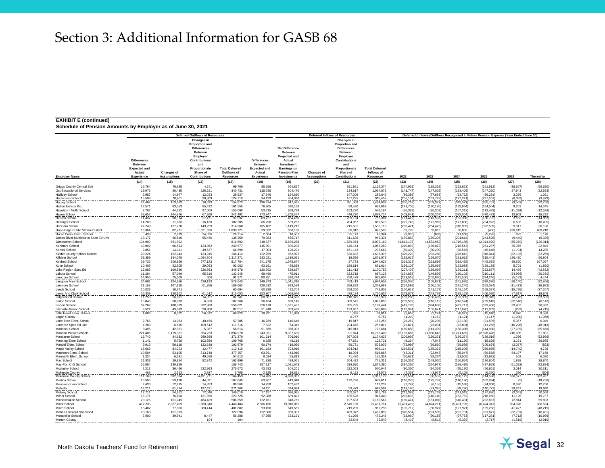#### **EXHIBIT E (continued)**

|                                                       |                               |                     | <b>Deferred Outflows of Resources</b>                                            |                                      |                                      |                                                   |                    | <b>Deferred Inflows of Resources</b>                                                    |                                     | Deferred (Inflows)/Outflows Recognized In Future Pension Expense (Year Ended June 30) |                             |                             |                               |                        |                           |  |  |
|-------------------------------------------------------|-------------------------------|---------------------|----------------------------------------------------------------------------------|--------------------------------------|--------------------------------------|---------------------------------------------------|--------------------|-----------------------------------------------------------------------------------------|-------------------------------------|---------------------------------------------------------------------------------------|-----------------------------|-----------------------------|-------------------------------|------------------------|---------------------------|--|--|
|                                                       | <b>Differences</b>            |                     | <b>Changes in</b><br>Proportion and<br><b>Differences</b><br>Between<br>Employer |                                      |                                      | <b>Net Difference</b><br>Between<br>Projected and |                    | Changes in<br><b>Proportion and</b><br><b>Differences</b><br><b>Between</b><br>Employer |                                     |                                                                                       |                             |                             |                               |                        |                           |  |  |
|                                                       | <b>Between</b>                |                     | Contributions<br>and                                                             |                                      | <b>Differences</b><br><b>Between</b> | Actual<br>Investment                              |                    | <b>Contributions</b><br>and                                                             |                                     |                                                                                       |                             |                             |                               |                        |                           |  |  |
|                                                       | <b>Expected and</b><br>Actual | Changes of          | Proportionate<br>Share of                                                        | <b>Total Deferred</b><br>Outflows of | <b>Expected and</b><br>Actual        | Earnings on<br><b>Pension Plan</b>                | <b>Changes of</b>  | Proportionate<br>Share of                                                               | <b>Total Deferred</b><br>Inflows of |                                                                                       |                             |                             |                               |                        |                           |  |  |
| <b>Employer Name</b>                                  | Experience                    | <b>Assumptions</b>  | Contributions                                                                    | <b>Resources</b>                     | Experience                           | <b>Investments</b>                                | <b>Assumptions</b> | <b>Contributions</b>                                                                    | <b>Resources</b>                    | 2022                                                                                  | 2023                        | 2024                        | 2025                          | 2026                   | Thereafter                |  |  |
|                                                       | (14)                          | (15)                | (16)                                                                             | (17)                                 | (18)                                 | (19)                                              | (20)               | (21)                                                                                    | (22)                                | (23)                                                                                  | (24)                        | (25)                        | (26)                          | (27)                   | (28)                      |  |  |
| <b>Griggs County Central Sch</b>                      | 15,764                        | 79,695              | 4,241                                                                            | 99,700                               | 95,686                               | 664,827                                           |                    | 391,861                                                                                 | 1,152,374                           | (274, 931)                                                                            | (198, 332)                  | (222, 623)                  | (261, 512)                    | (38, 657)              | (56, 620)                 |  |  |
| <b>Gst Educational Services</b><br>Halliday School    | 19,075<br>2,957               | 96,435<br>14,947    | 225,221<br>12,033                                                                | 340,731<br>29,937                    | 115,785<br>17,946                    | 804,470<br>124,690                                |                    | 134,617<br>147,209                                                                      | 1,054,872<br>289,845                | (141, 747)<br>(86, 389)                                                               | (147, 023)<br>(77, 633)     | (183, 409)<br>(63, 722)     | (247, 320)<br>(36, 291)       | 27,943<br>3,076        | (22, 583)<br>1,051        |  |  |
| Hankinson Schoo                                       | 15,508                        | 78,401              | 30,809                                                                           | 124,718                              |                                      | 654,030                                           |                    | 167,295                                                                                 | 915,458                             | (206, 154)                                                                            | (161, 742)                  | (177, 221)                  | (227, 561)                    | (8,089)                |                           |  |  |
| Harvey School                                         | 22,467                        | 113,583             | 18,623                                                                           | 154,673                              | 94, 133<br>136, 374                  | 947.52                                            |                    | 381,008                                                                                 | 1,464,903                           | (306, 718)                                                                            | (303, 377)                  | (312, 571)                  | (355, 751)                    | (9, 563)               | $(9,973)$<br>$(22,250)$   |  |  |
| <b>Hatton Eielson Psd</b><br>Hazelton - Moffit School | 12.571<br>8,767               | 63.553<br>44,322    | 85.432<br>97,009                                                                 | 161.556<br>150,098                   | 76.305<br>53,215                     | 530.168<br>369,739                                |                    | 80.590<br>153,230                                                                       | 687.063<br>576,184                  | (141.706)<br>(86, 328)                                                                | (120.180)<br>(95, 307)      | (132.964)<br>(107, 312)     | (154.504)<br>(113, 483)       | 9.202<br>(11, 029)     | 14,645<br>(12, 628)       |  |  |
| Hazen School                                          | 28,657                        | 144,876             | 67,959                                                                           | 241,492                              | 173,947                              | 1.208.577                                         |                    | 446.230                                                                                 | ,828,754                            | (403,641                                                                              | (360,267                    | (382, 004)                  | (470, 483)                    | 13,903                 |                           |  |  |
| <b>Hebron School</b>                                  | 11.487                        | 58,074              | 27.471                                                                           | 97,032                               | 69,727                               | 484.460                                           |                    | 209,194                                                                                 | 763.381                             | (161, 429)                                                                            | (143, 503)                  | (163, 336)                  | (186, 792)                    | 3,562                  | $15,232$<br>(14,852)      |  |  |
| <b>Hettinger School</b>                               | 14.209                        | 71,836              | 16.160                                                                           | 102,205                              | 86,250                               | 599,263                                           |                    | 204.057                                                                                 | 889,570                             | (222, 746)                                                                            | (177,969)                   | (177, 830)                  | (204, 926)                    | 6,602                  | (10, 495)                 |  |  |
| Hillsboro School<br>Hope-Page Public School District  | 27.249<br>16.364              | 137,760<br>82.731   | 149.259<br>1.531.626                                                             | 314.268<br>1.630.721                 | 165.402<br>99.332                    | 1,149,212<br>690.156                              |                    | 215,501<br>36.012                                                                       | 1.530.115<br>825,500                | (293.421)<br>59,770                                                                   | (264.475)<br>65,015         | (310, 909)<br>60,003        | (392, 539)<br>(400)           | 9.317<br>220,615       | 36,180<br>400.218         |  |  |
| Horse Creek Elem, School                              | 439                           | 2,219               | 24.056                                                                           | 26,714                               | 2,664                                | 18,507                                            |                    | 25,173                                                                                  | 46,344                              | (3,935)                                                                               | (893)                       | (11, 568)                   | (5,228)                       | 822                    | 1,170                     |  |  |
| James River Multidistrict Spec Ed Unit                | 13,177                        | 66,616              | 55,466                                                                           | 135,259                              | 79,983                               | 555,717                                           |                    | 311,636                                                                                 | 947,336                             | (179, 852)                                                                            | (170, 306)                  | (201, 618)                  | (244, 526)                    | (9,440)                | (6, 335)                  |  |  |
| Jamestown School<br>Kenmare School                    | 134,900<br>19,092             | 681,992<br>96,523   | 133.962                                                                          | 816,892<br>249,577                   | 818,837<br>115,891                   | 5,689,258<br>805,205                              |                    | 1,589,074<br>146,164                                                                    | 8,097,169<br>1,067,260              | (1, 813, 137)<br>(210, 003)                                                           | (1, 554, 952)<br>(186, 072) | (1,716,185)<br>(218, 543)   | (2,014,920)<br>(261, 287)     | (55,070)<br>35,375     | (126, 014)<br>22,849      |  |  |
| Kensal School                                         | 2,851                         | 14,411              | 49,637                                                                           | 66,899                               | 17,303                               | 120,221                                           |                    | 161,143                                                                                 | 298,667                             | (80, 499)                                                                             | (80, 200)                   | (38, 515)                   | (45, 646)                     | (1, 194)               | 14,285                    |  |  |
| Kidder County School District                         | 20.224                        | 102,243             | 123.945                                                                          | 246,412                              | 122.759                              | 852,927                                           |                    | 630.692                                                                                 | 1.606.378                           | (329, 229)                                                                            | (293, 288)                  | (276, 642)                  | (346, 444)                    | (82, 103)              | (32, 259)                 |  |  |
| Killdeer School                                       | 38,389<br>39,732              | 194,078<br>200.869  | 1,084,804<br>577.183                                                             | 1,317,271                            | 233,021<br>241.175                   | 1,619,021<br>1,675,677                            |                    | 19,536<br>27.773                                                                        | 1,871,578<br>1.944.625              | (182, 018)<br>(318,318                                                                | (129,070)<br>(251,699       | (181, 012)<br>(318, 435)    | (315, 442)<br>(445.075        | 196,430                | 56,804                    |  |  |
| Kindred School<br>Kulm School                         | 10,405                        | 52,605              | 29,053                                                                           | 817,784                              | 63,161                               | 438,839                                           |                    | 159,614                                                                                 | 661,614                             | 156,106)                                                                              | (135,069)                   | (123, 088)                  | (159, 138)                    | 99,620                 | $\frac{107,067}{(1,850)}$ |  |  |
| Lake Region Spec Ed                                   | 19,885                        | 100.530             | 226,563                                                                          | 346.978                              | 120.702                              | 838.637                                           |                    | 211.413                                                                                 | 1.170.752                           | (207.475)                                                                             | (156.056)                   | (179, 211)                  | (252.657)                     | 14.456                 | (42.832)                  |  |  |
| Lakota School                                         | 11.284                        | 57.049              | 65,616                                                                           | 133,949                              | 68,496                               | 475.911                                           |                    | 322,718                                                                                 | 867.125                             | (154, 853)                                                                            | (146, 895)                  | (160, 102)                  | (210, 111)                    | (24, 966)              | (36, 250)                 |  |  |
| Lamoure School<br>Langdon Area School                 | 14.956<br>24,691              | 75,609<br>124,826   | 606<br>429,123                                                                   | 91.171<br>578,640                    | 90.781<br>149,873                    | 630.744<br>1,041,316                              |                    | 250.479<br>453,419                                                                      | 972.004<br>1,644,608                | (231, 518)<br>(236, 340)                                                              | (202.830<br>(108, 821)      | (211, 500)<br>(261, 685)    | $\frac{(234,246)}{(338,026)}$ | (5, 183)<br>(28, 140)  | $4,444$<br>(92,956)       |  |  |
| Larimore School                                       | 21,188                        | 107,118             | 61,356                                                                           | 189,662                              | 128,612                              | 893,589                                           |                    | 356,892                                                                                 | 1,379,093                           | (267, 598)                                                                            | (260, 105)                  | (281, 240)                  | (352, 034)                    | (11, 472)              | (16, 982)                 |  |  |
| Leeds School                                          | 10,023                        | 50,671              |                                                                                  | 60,694                               | 60,838                               | 422,704                                           |                    | 258,260                                                                                 | 741,802                             | (170, 618)                                                                            | (141, 177)                  | (148, 164)                  | (168, 087)                    | (15, 795)              | (37, 267)                 |  |  |
| Lewis And Clark School<br>Lidgerwood School           | 25,339<br>11,253              | 128,102<br>56,891   | 61,612<br>14,097                                                                 | 215,053<br>82,241                    | 153,807<br>68,307                    | 1,068,646<br>474,595                              |                    | 498,184<br>218,075                                                                      | 1,720,637<br>760,977                | (379,877<br>(153, 290)                                                                | (343, 739)<br>(150, 435)    | (388, 123)<br>(163, 305)    | (406, 076)<br>(169, 345)      | (7, 617)<br>(8,776)    | $\frac{19,849}{(33,585)}$ |  |  |
| Linton School                                         | 15,843                        | 80.093              | 6.330                                                                            | 102,266                              | 96.164                               | 668.145                                           |                    | 308.541                                                                                 | 1,072,850                           | (239, 592)                                                                            | (216, 112)                  | (216, 574)                  | (259, 618)                    | (32, 548)              | (6.142)                   |  |  |
| Lisbon School                                         | 37,262                        | 188,379             | 332,980                                                                          | 558,621                              | 226,178                              | 1,571,481                                         |                    | 395,785                                                                                 | 2,193,444                           | (413, 185)                                                                            | (394, 688)                  | (421, 717)                  | (529, 466)                    | 33,402                 | 90,832                    |  |  |
| Litchville-Marion School<br>Little Heart Elem. School | 8,524                         | 43,093<br>8,522     | 30,900<br>56,612                                                                 | 82,517<br>66,820                     | 51,740<br>10,231                     | 359,486<br>71,088                                 |                    | 123,867<br>1,695                                                                        | 535,093<br>83,014                   | (112, 374)<br>(5,618)                                                                 | (105,671<br>(2, 274)        | (117, 620)<br>(8,927)       | (111, 902)<br>(15,940)        | (293)<br>6,976         | $(4,715)$<br>9,588        |  |  |
| Logan County                                          | 1,686                         |                     |                                                                                  |                                      |                                      |                                                   |                    | 6.757                                                                                   | 6.757                               | (1, 219)                                                                              | (1, 162)                    | (1, 121)                    | (1, 117)                      | (1,080)                | (1,058)                   |  |  |
| Lone Tree Elem, School                                | 2.766                         | 13,983              | 40.456                                                                           | 57.205                               | 16.789                               | 116,649                                           |                    | 19.817                                                                                  | 153.255                             | (25, 257)                                                                             | (28, 205)                   | (22.188)                    | (31, 505)                     | 5,057                  | 6.049                     |  |  |
| Lonetree Spec Ed Unit                                 | 1.289<br>8.496                | 6,515<br>42.951     | 109.512                                                                          | 117.316<br>56,814                    | 7,822<br>51,569                      | 54.349<br>358,302                                 |                    | 224.645<br>315,813                                                                      | 286,816<br>725.684                  | (22, 871)                                                                             | (23, 031)<br>(141, 399)     | (23, 801)<br>(138.386)      | (41.256)                      | (10, 228)<br>(27, 789) | (48, 313)<br>(55,666)     |  |  |
| Maddock School<br>Mandan Public Schools               | 221.406                       | 1,119,331           | 5.367<br>554.233                                                                 | 1,894,970                            | 1,343,931                            | 9.337.595                                         |                    | 91.874                                                                                  | 10.773.400                          | (160, 650)<br>(2, 109, 666)                                                           | (1,938,643)                 | (2,271,659)                 | (144, 980)<br>(2,826,428)     | 216,085                | 51,881                    |  |  |
| Mandaree School                                       | 16,740                        | 84,632              | 269,998                                                                          | 371,370                              | 101,614                              | 706,010                                           |                    | 367,003                                                                                 | 1,174,627                           | (206, 936)                                                                            | (199, 371)                  | (156, 374)                  | (189, 016)                    | 1,396                  | (52, 956)                 |  |  |
| Manning Elem School                                   | 1 1 4 1                       | 5,768               | 102.856                                                                          | 109,765                              | 6.925                                | 48.115                                            |                    | 67.681                                                                                  | 122,721                             | $\frac{(9,234)}{(73,986)}$                                                            | $(7,043)$<br>(69,850)       | $\frac{(11,190)}{(85,986)}$ | (15, 626)                     | $3,151$<br>$(2,037)$   | $\frac{26,985}{623}$      |  |  |
| Manvel Elem. School<br>Maple Valley School            | 9.913<br>16,669               | 50,118<br>84,273    | 132,648<br>12,477                                                                | 192,679<br>113,419                   | 60,174<br>101,183                    | 418,090<br>703,019                                |                    | 56,771<br>194,912                                                                       | 535,035<br>999,114                  | (219, 501)                                                                            | (185, 322)                  | (215,005)                   | (109, 674)<br>(255, 855)      | (14, 740)              | 4,728                     |  |  |
| Mapleton Elem. School                                 | 10,504                        | 53,105              | 313,748                                                                          | 377,357                              | 63,761                               | 443,010                                           |                    | 10,094                                                                                  | 516,865                             | (43, 311)                                                                             | (22, 947)                   | (55,047)                    | (89, 568)                     | 54,197                 | 17,168                    |  |  |
| Marmarth Elem. School                                 | 1.324                         | 6,691               | 49,598                                                                           | 57,613                               | 8,034                                | 55,819                                            |                    | 71,480                                                                                  | 135,333                             | (20, 621)                                                                             | (29, 234)                   | (21, 505)                   | (12, 932)                     | 552                    | $6,020$<br>$28,840$       |  |  |
| Max School                                            | 11,833                        | 59,824              | 92,342                                                                           | 163,999                              | 71,828                               | 499,061                                           |                    | 204,422                                                                                 | 775,311                             | 156,362)                                                                              | (148, 020)                  | 160,854)                    | (176, 804)                    | 1.888                  | (82, 884)                 |  |  |
| May-Port C-G School<br>Mcclusky School                | 25,884<br>7,213               | 130,859<br>36,466   | 232,993                                                                          | 156,743<br>276,672                   | 157,117<br>43,783                    | 1,091,643<br>304,201                              |                    | 628,620<br>222,063                                                                      | 1,877,380<br>570,047                | (394, 236)<br>(90, 350)                                                               | (364, 977)<br>(94, 359)     | (389, 495)<br>(75, 130)     | (437, 952)<br>(66, 861)       | (51,092)<br>3,014      | 30,311                    |  |  |
| Mckenzie County                                       | 465                           | 2,353               | 2.887                                                                            | 5,705                                | 2,825                                | 19.631                                            |                    | 6,122                                                                                   | 28,578                              | (7, 333)                                                                              | (3,977)                     | (5, 105)                    | (6, 350)                      | 396                    | (504                      |  |  |
| Mckenzie County School                                | 111.168                       | 562.014             | 4491.27                                                                          | 5.164.453                            | 674.785                              | 4.688.387                                         |                    |                                                                                         | 5.363.172                           | (22, 534)                                                                             | (80, 552)                   | (300, 122)                  | (714, 586)                    | 556,577                | 362,497                   |  |  |
| Medina School<br>Menoken Elem School                  | 10.505<br>2.430               | 53.110<br>12.285    | 44,031<br>74.853                                                                 | 107.646<br>89.568                    | 63.767<br>14.750                     | 443.048<br>102.482                                |                    | 172,796                                                                                 | 679.611<br>117.232                  | (118, 276)<br>(2.747)                                                                 | (125, 797)<br>(6, 156)      | (146, 196)<br>(15, 538)     | (162, 934)<br>(24,068)        | (5)<br>8.590           | (18, 756)<br>12,256       |  |  |
| Midkota                                               | 12.211                        | 61.734              | 197.421                                                                          | 271,366                              | 74.121                               | 514.994                                           |                    | 58.479                                                                                  | 647,594                             | (113, 196)                                                                            | (81, 345)                   | (99, 796)                   | (140, 771)                    | 39,241                 | 19,640                    |  |  |
| Midway School                                         | 12,711                        | 64,262              | 72,046                                                                           | 149,019                              | 77,157                               | 536,085                                           |                    | 352,527                                                                                 | 965,769                             | (212, 393)                                                                            | (212, 733)                  | (211, 519)                  | (197, 630)                    | (3,041)                | 20,568                    |  |  |
| Milnor School                                         | 15,171                        | 76,698              | 131,856                                                                          | 223,725                              | 92,088                               | 639,826                                           |                    | 185,526                                                                                 | 917,440                             | (203, 695)                                                                            | (148, 140)                  | (153, 782)                  | (218,960)                     | 11,125                 | 19,737                    |  |  |
| Minnewaukan School<br>Minot School                    | 20,125<br>472,235             | 101,745<br>,387,409 | 464,489<br>,580,840                                                              | 586,359<br>4,440,484                 | 122,161<br>1,866,456                 | 848,769<br>19,916,060                             |                    | 197,633<br>2,649,198                                                                    | 1,168,563<br>25,431,714             | (180, 474)<br>(5,431,499)                                                             | (161,088)<br>(4,824,211     | (140, 401)<br>(5,401,795)   | (232, 887)<br>6,424,347)      | 72,814<br>504,028      | 59,833<br>586,594         |  |  |
| Minto School                                          | 15,402                        | 77,866              | 388,414                                                                          | 481,682                              | 93,490                               | 649,569                                           |                    | 219,239                                                                                 | 962,298                             | (105, 712)                                                                            | (80, 927)                   | (127,921                    | (159, 268)                    | 41,427                 | (48, 215)                 |  |  |
| Mohall Lansford Sherwood                              | 20.163                        | 101,933             |                                                                                  | 122,096                              | 122,386                              | 850.337                                           |                    | 489,372                                                                                 | 1,462,095                           | (370, 554)                                                                            | (291, 505)                  | (297, 701)                  | (331, 077)                    | (32, 731)              | (16, 431)                 |  |  |
| Montpelier School                                     | 7,900                         | 39,941              | 8,447<br>104                                                                     | 56,288<br>104                        | 47,955                               | 333,191                                           |                    | 91,099<br>32,549                                                                        | 472,245<br>32,549                   | (92,060)                                                                              | (90, 155)<br>(8, 513)       | (97, 753)<br>(8, 379)       | (117, 281)<br>(2,717)         | (7, 712)               | (10, 996)                 |  |  |
| <b>Morton County</b>                                  |                               |                     |                                                                                  |                                      |                                      |                                                   |                    |                                                                                         |                                     | (8, 407)                                                                              |                             |                             |                               | (1, 519)               | (2, 910)                  |  |  |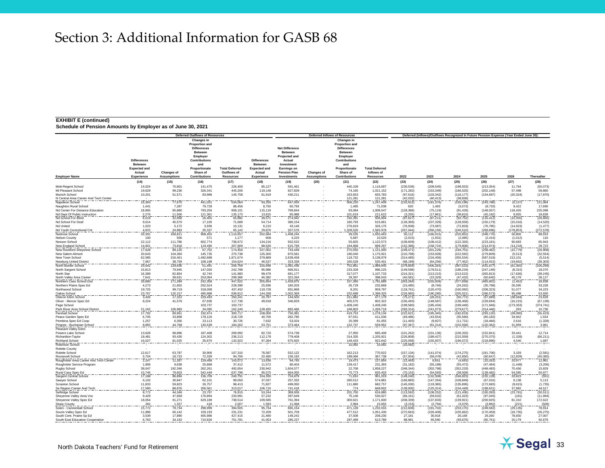#### **EXHIBIT E (continued)**

|                                                                   |                                                                       |                    | <b>Deferred Outflows of Resources</b>                                                                                                 |                                      |                                                                |                                                                                                                        |                    | <b>Deferred Inflows of Resources</b>                                                                                                  |                                     | Deferred (Inflows)/Outflows Recognized In Future Pension Expense (Year Ended June 30) |                           |                              |                          |                             |                              |  |  |
|-------------------------------------------------------------------|-----------------------------------------------------------------------|--------------------|---------------------------------------------------------------------------------------------------------------------------------------|--------------------------------------|----------------------------------------------------------------|------------------------------------------------------------------------------------------------------------------------|--------------------|---------------------------------------------------------------------------------------------------------------------------------------|-------------------------------------|---------------------------------------------------------------------------------------|---------------------------|------------------------------|--------------------------|-----------------------------|------------------------------|--|--|
|                                                                   | <b>Differences</b><br><b>Between</b><br><b>Expected and</b><br>Actual | <b>Changes of</b>  | Changes in<br>Proportion and<br><b>Differences</b><br>Between<br>Employer<br><b>Contributions</b><br>and<br>Proportionate<br>Share of | <b>Total Deferred</b><br>Outflows of | <b>Differences</b><br>Between<br><b>Expected and</b><br>Actual | <b>Net Difference</b><br><b>Between</b><br>Projected and<br>Actual<br>Investment<br>Earnings on<br><b>Pension Plan</b> | <b>Changes of</b>  | Changes in<br><b>Proportion and</b><br><b>Differences</b><br>Between<br>Employer<br>Contributions<br>and<br>Proportionate<br>Share of | <b>Total Deferred</b><br>Inflows of |                                                                                       |                           |                              |                          |                             |                              |  |  |
| <b>Employer Name</b>                                              | Experience                                                            | <b>Assumptions</b> | Contributions                                                                                                                         | <b>Resources</b>                     | Experience                                                     | <b>Investments</b>                                                                                                     | <b>Assumptions</b> | <b>Contributions</b>                                                                                                                  | <b>Resources</b>                    | 2022                                                                                  | 2023                      | 2024                         | 2025                     | 2026                        | Thereafter                   |  |  |
|                                                                   | (14)                                                                  | (15)               | (16)                                                                                                                                  | (17)                                 | (18)                                                           | (19)                                                                                                                   | (20)               | (21)                                                                                                                                  | (22)                                | (23)                                                                                  | (24)                      | (25)                         | (26)                     | (27)                        | (28)                         |  |  |
| Mott-Regent School                                                | 14,024                                                                | 70,901             | 141,475                                                                                                                               | 226,400                              | 85,127                                                         | 591,461                                                                                                                |                    | 440,109                                                                                                                               | 1,116,697                           | (230, 536)                                                                            | (209, 545)                | (198, 553)                   | (213, 354)               | 11,764                      | (50,073)                     |  |  |
| Mt Pleasant School<br>Munich School                               | 19,629<br>10,201                                                      | 99,236<br>51,571   | 326,341<br>83,986                                                                                                                     | 445,206<br>145,758                   | 119,148<br>61,919                                              | 827,839<br>430,211                                                                                                     |                    | 74,165<br>163,653                                                                                                                     | 1,021,152<br>655,783                | (171, 282)<br>(97, 616)                                                               | (153, 349)<br>(103, 342)  | (166, 525)<br>(116, 177)     | (202, 148)<br>(154, 697) | 57,498<br>(20, 324)         | 59,860<br>(17, 870)          |  |  |
| N Central Area Career And Tech Center                             |                                                                       |                    |                                                                                                                                       |                                      |                                                                |                                                                                                                        |                    | 121,281                                                                                                                               | 121,281                             | (42, 032)                                                                             | (40, 413)                 | (38, 836)                    |                          |                             |                              |  |  |
| Napoleon School                                                   | 15.363                                                                | 77,670             | 441,031                                                                                                                               | 534,064                              | 93,255                                                         | 647,934                                                                                                                |                    | 506,220                                                                                                                               | 1,247,409                           | (210, 913)                                                                            | (181, 376)                | (193, 196)                   | (243, 786)               | (5, 137)                    | 121,064                      |  |  |
| Naughton Rural School                                             | 1.441                                                                 | 7.287              | 79.728                                                                                                                                | 88.456                               | 8.750                                                          | 60.793                                                                                                                 |                    | 1.495                                                                                                                                 | 71.038                              | 620                                                                                   | 1.493                     | (3.072)                      | (8.733)                  | 9.422                       | 17,690                       |  |  |
| Nd Center For Distance Education<br>Nd Dept Of Public Instruction | 18,965<br>2,276                                                       | 95,880<br>11,506   | 793,256<br>121,391                                                                                                                    | 908,101<br>135,173                   | 115,119<br>13,815                                              | 799,844<br>95,988                                                                                                      |                    | 93,084<br>101.819                                                                                                                     | 1,008,047<br>211,622                | (128, 368)<br>(3, 255)                                                                | (75, 119)<br>(17, 961)    | (91, 426)<br>(39, 815)       | (148, 557)<br>(45, 192)  | 118,426                     | 225,098                      |  |  |
| Nd School For Blind                                               | 6,519                                                                 | 32,958             | 26.405                                                                                                                                | 65,882                               | 39,571                                                         | 274,942                                                                                                                |                    | 192.391                                                                                                                               | 506,904                             | (97, 627)                                                                             | (97, 211)                 | (92, 752)                    | (116, 412)               | $\frac{9,935}{(10,355)}$    | 19,839<br>(26,665)           |  |  |
| Nd School For Deaf                                                | 9.014                                                                 | 45,570             | 17,105                                                                                                                                | 71.689                               | 54.714                                                         | 380,154                                                                                                                |                    | 180.793                                                                                                                               | 615,661                             | (128, 369)                                                                            | (107, 329)                | (128, 559)                   | (150, 179)               | (15,016)                    | (14, 520)                    |  |  |
| Nd United                                                         | 1,023                                                                 | 5,172              | 3.936                                                                                                                                 | 10.131                               | 6,210                                                          | 43.146                                                                                                                 |                    | 276.819                                                                                                                               | 326.175                             | (76, 938)                                                                             | (73,087)                  | (72, 833)                    | (76, 785)                | (14, 923)                   | (1, 477)                     |  |  |
| Nd Youth Correctional Cnt<br>Nedrose School                       | 4.922<br>33.391                                                       | 24.883<br>168,811  | 35.337<br>908,455                                                                                                                     | 65.142<br>1,110,657                  | 29.876<br>202,684                                              | 207.576<br>1,408,244                                                                                                   |                    | 1.328.526<br>39,535                                                                                                                   | 1.565.978<br>1.650.463              | (267.044)<br>50,112                                                                   | (266, 156)<br>(166, 015)  | (246.510)<br>(220, 852)      | (269, 696)<br>(348, 776) | (178.853)<br>56,806         | (272.578)<br>88,919          |  |  |
| <b>Nelson County</b>                                              | 100                                                                   | 506                | 571                                                                                                                                   | 1,177                                | 608                                                            | 4,225                                                                                                                  |                    | 5,687                                                                                                                                 | 10,520                              | (2,015)                                                                               | (1,931)                   | (2,085)                      | (2, 416)                 | (1,012)                     | 116                          |  |  |
| Nesson School                                                     | 22,112                                                                | 111,786            | 602,774                                                                                                                               | 736,672                              | 134,216                                                        | 932,532                                                                                                                |                    | 55,825                                                                                                                                | 1,122,573                           | (108, 609)                                                                            | (108, 412)                | (122, 326)                   | (223, 181)               | 90,683                      | 85,943                       |  |  |
| New England School                                                | 14,601                                                                | 73,818             | 119,490                                                                                                                               | 207,909                              | 88,630                                                         | 615,799                                                                                                                |                    | 194.868                                                                                                                               | 899,297                             | (152, 386)                                                                            | (158, 724)                | (179, 808)                   | (214, 974)               | (14, 218)                   | 28,723                       |  |  |
| <b>New Rockford Sheyenne Schoo</b><br>New Salem-Almont            | 17,628<br>20.643                                                      | 89,120<br>104.360  | 67,702<br>145.735                                                                                                                     | 174,450<br>270,738                   | 107,002<br>125,300                                             | 743,448<br>870,581                                                                                                     |                    | 270,550<br>180,040                                                                                                                    | ,121,000<br>1.175.921               | 249,471<br>(210, 788)                                                                 | (201, 229)<br>(153, 928)  | (194, 701)<br>(222.592)      | (258, 462)<br>(279, 809) | (15, 779)<br>(5, 513)       | (26, 908)<br>(32, 554)       |  |  |
| New Town School                                                   | 62,585                                                                | 316,401            | 1,492,688                                                                                                                             | 1,871,674                            | 379,889                                                        | 2,639,458                                                                                                              |                    | 118,732                                                                                                                               | 3,138,079                           | (314, 485)                                                                            | (216, 456)                | (355, 534)                   | (587, 518)               | 213,101                     | (5, 514)                     |  |  |
| Newburg United District<br>North Border School                    | 7.667                                                                 | 38,759             | 108,198                                                                                                                               | 154,624                              | 46.537                                                         | 323.336                                                                                                                |                    | 165,528<br>752,861                                                                                                                    | 535.401                             | (68.189)                                                                              | $(64, 256)$<br>(406, 283) | $\frac{(77,452)}{(397,523)}$ | (114.915)                | $\frac{(19,662)}{(61,365)}$ | $\frac{(36,303)}{(106,269)}$ |  |  |
|                                                                   | 25.642                                                                | 129,636            | 51,491                                                                                                                                | 206,769                              | 155,648                                                        | 1.081.436                                                                                                              |                    |                                                                                                                                       | 1.989.945                           | 379,859                                                                               |                           |                              | (431,877                 |                             |                              |  |  |
| North Sargent School<br>North Star                                | 15.813<br>16.389                                                      | 79.945<br>82.854   | 147.030<br>42,740                                                                                                                     | 242.788<br>141.983                   | 95,986<br>99.479                                               | 666.911<br>691.177                                                                                                     |                    | 233.328<br>317.077                                                                                                                    | 996.225<br>1,107,733                | (149.598)<br>(216, 321)                                                               | (178.511)<br>(213, 215)   | (188.234)<br>(213, 522)      | (247.149)<br>(265, 813)  | (8.315)<br>(17, 636)        | 18,370<br>(39, 245)          |  |  |
| North Valley Area Career                                          | 7.641                                                                 | 38.631             | 253.094                                                                                                                               | 299,366                              | 46.382                                                         | 322.264                                                                                                                |                    | 29.397                                                                                                                                | 398.043                             | (40, 581)                                                                             | (23, 329)                 | (47.432)                     | (60, 640)                | 45.178                      | 28,127                       |  |  |
| Northern Cass School Dist                                         | 33,880                                                                | 171,284            | 242,358                                                                                                                               | 447,522                              | 205,654                                                        | 1,428,875                                                                                                              |                    | 157,360                                                                                                                               | 1,791,889                           | (263, 284)                                                                            | (255,009)                 | (377, 658)                   | (465, 901)               | (1, 452)                    | 18,938                       |  |  |
| Northern Plains Spec Ed                                           | 4,273                                                                 | 21,602             | 202,524                                                                                                                               | 228,399                              | 25,936                                                         | 180,203                                                                                                                |                    | 26,729                                                                                                                                | 232,868                             | (15, 485)                                                                             | (8,746)                   | (24, 262)                    | (35, 798)                | 26,595                      | 53,228                       |  |  |
| Northwood School                                                  | 19,725<br>23,767                                                      | 99,719<br>120,157  | 318,008<br>495,988                                                                                                                    | 437,452<br>639,912                   | 119,728<br>144,268                                             | 831.868<br>1,002,369                                                                                                   |                    | 8,201<br>252,688                                                                                                                      | 959,797<br>1,399,325                | (118, 761)<br>(226,960                                                                | (120, 470)<br>(190, 285)  | (160, 092)<br>(205, 021)     | (208, 323)<br>(286,573)  | 51,077                      | 34,223<br>53,930             |  |  |
| Oakes School<br>Oberon Elem School                                | 3,426                                                                 | 17,322             | 229,493                                                                                                                               | 250,241                              | 20,797                                                         | 144,500                                                                                                                |                    | 311,882                                                                                                                               | 477,179                             | (75, 271)                                                                             | (28, 251)                 | (50, 772)                    | (57, 689)                | 95,498<br>(38,584           | 23,628                       |  |  |
| Oliver - Mercer Spec Ed                                           | 8,224                                                                 | 41,576             | 67.936                                                                                                                                | 117,736                              | 49,918                                                         | 346,829                                                                                                                |                    | 405.575                                                                                                                               | 802,322                             | (156, 493)                                                                            | (148, 587)                | (136, 458)                   | (159, 694)               | (16, 215)                   | (67, 139)                    |  |  |
| Page School                                                       |                                                                       |                    | 103,737                                                                                                                               | 103,737                              |                                                                |                                                                                                                        |                    | 1,408,240                                                                                                                             | 1,408,240                           | (199, 580)                                                                            | (185, 434)                | (199, 449)                   | (171, 946)               | (173, 353)                  | (374, 741)                   |  |  |
| Park River Area School District<br>Parshall School                | 21,162<br>17,792                                                      | 106,983<br>89,951  | 34,095<br>192,974                                                                                                                     | 162,240<br>300,717                   | 128,450<br>108,000                                             | 892,466<br>750,381                                                                                                     |                    | 248,803<br>419,753                                                                                                                    | 1,269,719<br>1,278,134              | (283,314)<br>(222, 621)                                                               | (241, 073)<br>(195, 345)  | (279, 677)<br>(182, 819)     | (314, 446)<br>(293, 120) | 293<br>(28,090)             | $10,736$<br>(55,423)         |  |  |
| Peace Garden Spec Ed                                              | 6.705                                                                 | 33.898             | 178.126                                                                                                                               | 218.729                              | 40.700                                                         | 282.785                                                                                                                |                    | 87.551                                                                                                                                | 411.036                             | (49, 486)                                                                             | (43.554)                  | (55,580)                     | (80.183)                 | 34.942                      | 1,554                        |  |  |
| Pembina Spec Ed Coop                                              | 1.257                                                                 | 6.356              | 23.113                                                                                                                                | 30.726                               | 7.632                                                          | 53.024                                                                                                                 |                    | 20.399                                                                                                                                | 81.055                              | (11.493)                                                                              | (9.927)                   | (11.731)                     | (18.466)                 | 2.616                       | (1,328)                      |  |  |
| Pingree - Buchanan School                                         | 8.855                                                                 | 44,768             | 130.639                                                                                                                               | 184,262                              | 53,751                                                         | 373,464                                                                                                                |                    | 132.737                                                                                                                               | 559.952                             | (97, 367)                                                                             | (91, 314)                 | (102, 558)                   | (120, 362)               | 31,959                      | 3,951                        |  |  |
| Pleasant Valley Elem<br>Powers Lake School                        | 13,628                                                                | 68,896             | 187.468                                                                                                                               | 269.992                              | 82,720                                                         | 574.738                                                                                                                |                    | 27.950                                                                                                                                | 685.408                             | (101, 262)                                                                            | (101, 136)                | (106, 332)                   | (152, 841)               | 33.441                      | 12.714                       |  |  |
| Richardton-Taylor                                                 | 18,481                                                                | 93,430             | 124,302                                                                                                                               | 236,213                              | 112,178                                                        | 779,408                                                                                                                |                    | 314,335                                                                                                                               | 1,205,921                           | (226, 808)                                                                            | (189, 427)                | (215, 559)                   | (270, 375)               | (1, 328)                    | (66, 211)                    |  |  |
| Richland School                                                   | 16,027                                                                | 81,025             | 35,870                                                                                                                                | 132,922                              | 97,284                                                         | 675,925                                                                                                                |                    | 149.433                                                                                                                               | 922,642                             | (225, 058)                                                                            | (155, 937)                | (196, 072)                   | (218, 896)               | 4,546                       | 1,697                        |  |  |
| Robinson School                                                   |                                                                       |                    |                                                                                                                                       |                                      |                                                                |                                                                                                                        |                    | 10,092                                                                                                                                |                                     | (10, 092)                                                                             |                           |                              |                          |                             |                              |  |  |
| <b>Rolette County</b><br>Rolette School                           | 12,617                                                                | 63,787             | 30,906                                                                                                                                | 107,310                              | 76,587                                                         | 532,122                                                                                                                |                    | 162,213                                                                                                                               | 770,922                             | (157, 134)                                                                            | (141, 074)                | (174, 275)                   | (191, 706)               | 3,159                       | (2,581)                      |  |  |
| Roosevelt School                                                  | 3,704                                                                 | 18,723             | 72,339                                                                                                                                | 94,766                               | 22,480                                                         | 156.192                                                                                                                |                    | 189.066                                                                                                                               | 367,738                             | (57,004)                                                                              |                           | (42, 650)                    | (60, 647)                | (12, 829)                   |                              |  |  |
| Roughrider Area Career And Tech Cente                             | 2,247                                                                 | 11,357             | 129,468                                                                                                                               | 143,072                              | 13,636                                                         | 94,745                                                                                                                 |                    | 19,473                                                                                                                                | 127,854                             | (12, 465)                                                                             | $\frac{(59,478)}{8,651}$  | (4,643)                      | (10, 262)                | 20,977                      | $(40,365)$<br>12,961         |  |  |
| Roughrider Service Program                                        | 1,906                                                                 | 9,638              | 25,868                                                                                                                                | 37,412                               | 11,572                                                         | 80,404                                                                                                                 |                    | 139,417                                                                                                                               | 231,393                             | (31, 182)                                                                             | (55, 188)                 | (55, 472)                    | (47, 484)                | (1, 448)                    | (3,206)                      |  |  |
| Rugby School<br>Rural Cass Spec Ed                                | 38.047<br>15.746                                                      | 192,346<br>79,603  | 262,261<br>542,449                                                                                                                    | 492,654<br>637,798                   | 230.942<br>95,575                                              | 1.604.577<br>664,055                                                                                                   |                    | 22,708<br>75,773                                                                                                                      | 1.858.227<br>835,403                | (348, 344)<br>(70, 153)                                                               | (302, 798)                | (352, 233)<br>(38, 939)      | (448, 483)<br>(139, 482) | 70,456<br>54,585            | 15,829<br>50,977             |  |  |
| Sargent Central School                                            | 17.188                                                                | 86.894             | 136.709                                                                                                                               | 240,791                              | 104.330                                                        | 724.879                                                                                                                |                    | 71.810                                                                                                                                | 901.019                             | (149,240)                                                                             | $(54, 593)$<br>(132,308)  | 166,823)                     | (232, 128)               | 20.823                      | (551)                        |  |  |
| Sawyer School                                                     | 6.102                                                                 | 30.847             | 62.101                                                                                                                                | 99,050                               | 37.037                                                         | 257.332                                                                                                                |                    | 280.512                                                                                                                               | 574.881                             | (166, 883)                                                                            | (147, 334)                | (108, 849)                   | (67.016)                 | 9.138                       | 5.113                        |  |  |
| Scranton School                                                   | 11,833                                                                | 59.823             | 26,757                                                                                                                                | 98.413                               | 71.827                                                         | 499.050                                                                                                                |                    | 111.880                                                                                                                               | 682.757                             | (145, 030)                                                                            | (119, 385)                | (135, 895)                   | (172, 683)               | (9.615)                     | (1,735)                      |  |  |
| Se Region Career And Tech<br>Selfridge School                     | 17,580<br>8,772                                                       | 88.876<br>44,346   | 206,561<br>23,797                                                                                                                     | 313.017<br>76,915                    | 106.710<br>53,244                                              | 741.418<br>369.936                                                                                                     |                    | 774<br>201,700                                                                                                                        | 848.902<br>624,880                  | 139,000)<br>(113, 592)                                                                | (125, 314)<br>(108, 252)  | (154.449)<br>(121, 436)      | (199, 621)<br>(150, 393) | 37,982<br>(23, 781)         | 44.517<br>(30, 511)          |  |  |
| Sheyenne Valley Area Voc                                          | 9,429                                                                 | 47,668             | 176,894                                                                                                                               | 233,991                              | 57,232                                                         | 397.649                                                                                                                |                    | 75,146                                                                                                                                | 530,027                             | (66, 161)                                                                             | (59, 632)                 | (61, 023)                    | (97, 045)                | (181)                       | (11, 994)                    |  |  |
| Sheyenne Valley Spec Ed                                           | 18,054                                                                | 91,271             | 629,189                                                                                                                               | 738,514                              | 109,585                                                        | 761,394                                                                                                                |                    | 300,621                                                                                                                               | 1,171,600                           | (208, 339)                                                                            | (137, 833)                | (139, 921)                   | (200, 925)               | 81,310                      | 172,622                      |  |  |
| Slope County                                                      | 262                                                                   | 1,327              | 418                                                                                                                                   | 2,007                                | 1,593                                                          | 11,068                                                                                                                 |                    | 2.994                                                                                                                                 | 15,655                              | (3, 153)                                                                              | (2,794)                   | (3,079)                      | (3,892)                  | (221)                       | (509                         |  |  |
| Solen - Cannonball Schoo<br>Souris Valley Spec Ed                 | 15,772<br>11.896                                                      | 79,734<br>60.142   | 298,999<br>159.193                                                                                                                    | 394,505<br>231,231                   | 95,734<br>72,209                                               | 665,154<br>501.709                                                                                                     |                    | 471,128<br>477.512                                                                                                                    | 1,232,016<br>1,051,430              | (212, 836)<br>(272, 663)                                                              | (191, 702)<br>(226, 406)  | (233, 170)<br>(105, 662)     | (249, 582)<br>(170, 459) | (29, 135)<br>(18, 735)      | 78,914<br>(26, 275)          |  |  |
| South Cent. Prairie Sp Ed                                         | 3.539                                                                 | 17,890             | 405.986                                                                                                                               | 427,415                              | 21.480                                                         | 149,242                                                                                                                |                    | 37,508                                                                                                                                | 208.230                             | 27,181                                                                                | 30.918                    | 26.169                       | 29.260                   | 78,650                      | 27,007                       |  |  |
| South East Education Cooperative                                  | 6.763                                                                 | 34,192             | 710,826                                                                                                                               | 751,781                              | 41,053                                                         | 285.237                                                                                                                |                    | 287,499                                                                                                                               | 613,789                             | 88,981                                                                                | 95,590                    | (93, 676)                    | (65, 761)                | 20,179                      | 92.679                       |  |  |